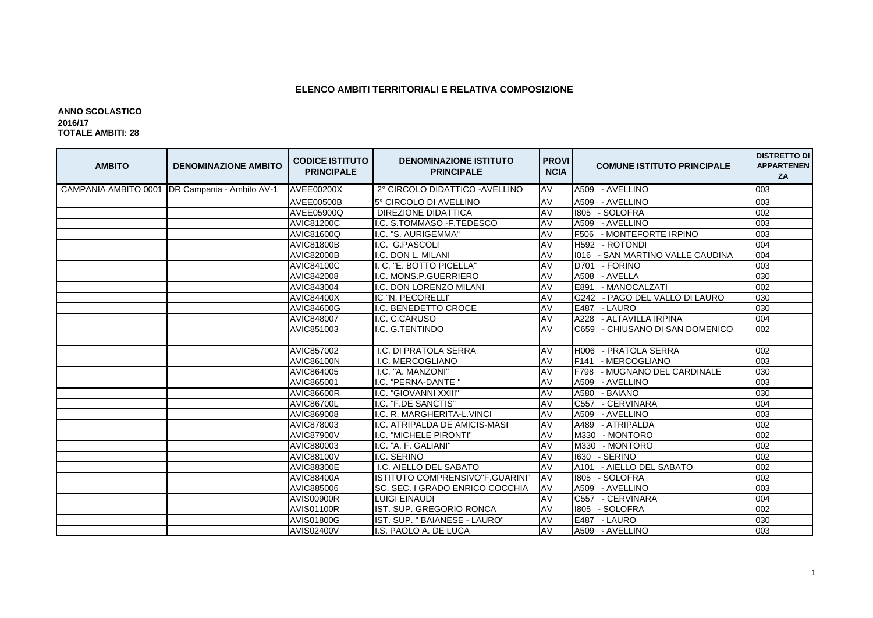## **ELENCO AMBITI TERRITORIALI E RELATIVA COMPOSIZIONE**

## **ANNO SCOLASTICO 2016/17 TOTALE AMBITI: 28**

| <b>AMBITO</b> | <b>DENOMINAZIONE AMBITO</b>                      | <b>CODICE ISTITUTO</b><br><b>PRINCIPALE</b> | <b>DENOMINAZIONE ISTITUTO</b><br><b>PRINCIPALE</b> | <b>PROVI</b><br><b>NCIA</b> | <b>COMUNE ISTITUTO PRINCIPALE</b>  | <b>DISTRETTO DI</b><br><b>APPARTENEN</b><br>ZA |
|---------------|--------------------------------------------------|---------------------------------------------|----------------------------------------------------|-----------------------------|------------------------------------|------------------------------------------------|
|               | CAMPANIA AMBITO 0001   DR Campania - Ambito AV-1 | <b>AVEE00200X</b>                           | 2° CIRCOLO DIDATTICO - AVELLINO                    | AV                          | A509 - AVELLINO                    | 003                                            |
|               |                                                  | <b>AVEE00500B</b>                           | 5° CIRCOLO DI AVELLINO                             | AV                          | - AVELLINO<br>A509                 | 003                                            |
|               |                                                  | AVEE05900Q                                  | <b>DIREZIONE DIDATTICA</b>                         | <b>AV</b>                   | 1805<br>- SOLOFRA                  | 002                                            |
|               |                                                  | <b>AVIC81200C</b>                           | I.C. S.TOMMASO - F.TEDESCO                         | AV                          | A509<br>- AVELLINO                 | 003                                            |
|               |                                                  | AVIC81600Q                                  | I.C. "S. AURIGEMMA"                                | AV                          | F506<br>- MONTEFORTE IRPINO        | 003                                            |
|               |                                                  | <b>AVIC81800B</b>                           | I.C. G.PASCOLI                                     | AV                          | H592 - ROTONDI                     | 004                                            |
|               |                                                  | <b>AVIC82000B</b>                           | I.C. DON L. MILANI                                 | AV                          | 1016 - SAN MARTINO VALLE CAUDINA   | 004                                            |
|               |                                                  | <b>AVIC84100C</b>                           | II. C. "E. BOTTO PICELLA"                          | AV                          | D701 - FORINO                      | 003                                            |
|               |                                                  | AVIC842008                                  | I.C. MONS.P.GUERRIERO                              | AV                          | A508 - AVELLA                      | 030                                            |
|               |                                                  | AVIC843004                                  | I.C. DON LORENZO MILANI                            | AV                          | E891<br>- MANOCALZATI              | 002                                            |
|               |                                                  | <b>AVIC84400X</b>                           | IC "N. PECORELLI"                                  | AV                          | G242 - PAGO DEL VALLO DI LAURO     | 030                                            |
|               |                                                  | <b>AVIC84600G</b>                           | I.C. BENEDETTO CROCE                               | AV                          | E487 - LAURO                       | 030                                            |
|               |                                                  | AVIC848007                                  | I.C. C.CARUSO                                      | <b>AV</b>                   | A228 - ALTAVILLA IRPINA            | 004                                            |
|               |                                                  | AVIC851003                                  | I.C. G.TENTINDO                                    | <b>AV</b>                   | - CHIUSANO DI SAN DOMENICO<br>C659 | 002                                            |
|               |                                                  | AVIC857002                                  | I.C. DI PRATOLA SERRA                              | AV                          | - PRATOLA SERRA<br>H006            | 002                                            |
|               |                                                  | <b>AVIC86100N</b>                           | I.C. MERCOGLIANO                                   | AV                          | F141<br>- MERCOGLIANO              | 003                                            |
|               |                                                  | AVIC864005                                  | I.C. "A. MANZONI"                                  | AV                          | F798<br>- MUGNANO DEL CARDINALE    | 030                                            |
|               |                                                  | AVIC865001                                  | .C. "PERNA-DANTE "                                 | AV                          | A509<br>- AVELLINO                 | 003                                            |
|               |                                                  | <b>AVIC86600R</b>                           | I.C. "GIOVANNI XXIII"                              | AV                          | A580<br>- BAIANO                   | 030                                            |
|               |                                                  | <b>AVIC86700L</b>                           | I.C. "F.DE SANCTIS"                                | AV                          | - CERVINARA<br>C557                | 004                                            |
|               |                                                  | AVIC869008                                  | I.C. R. MARGHERITA-L.VINCI                         | AV                          | A509<br>- AVELLINO                 | 003                                            |
|               |                                                  | AVIC878003                                  | I.C. ATRIPALDA DE AMICIS-MASI                      | AV                          | A489<br>- ATRIPALDA                | 002                                            |
|               |                                                  | <b>AVIC87900V</b>                           | I.C. "MICHELE PIRONTI"                             | <b>AV</b>                   | M330 - MONTORO                     | 002                                            |
|               |                                                  | AVIC880003                                  | I.C. "A. F. GALIANI"                               | AV                          | M330<br>- MONTORO                  | 002                                            |
|               |                                                  | <b>AVIC88100V</b>                           | I.C. SERINO                                        | AV                          | 1630<br>- SERINO                   | 002                                            |
|               |                                                  | <b>AVIC88300E</b>                           | I.C. AIELLO DEL SABATO                             | AV                          | - AIELLO DEL SABATO<br>A101        | 002                                            |
|               |                                                  | <b>AVIC88400A</b>                           | IISTITUTO COMPRENSIVO"F.GUARINI                    | AV                          | 1805<br>- SOLOFRA                  | 002                                            |
|               |                                                  | AVIC885006                                  | SC. SEC. I GRADO ENRICO COCCHIA                    | AV                          | A509<br>- AVELLINO                 | 003                                            |
|               |                                                  | <b>AVIS00900R</b>                           | <b>LUIGI EINAUDI</b>                               | AV                          | - CERVINARA<br>C557                | 004                                            |
|               |                                                  | <b>AVIS01100R</b>                           | IST. SUP. GREGORIO RONCA                           | <b>AV</b>                   | - SOLOFRA<br>1805                  | 002                                            |
|               |                                                  | <b>AVIS01800G</b>                           | IIST. SUP. " BAIANESE - LAURO"                     | AV                          | E487 - LAURO                       | 030                                            |
|               |                                                  | <b>AVIS02400V</b>                           | I.S. PAOLO A. DE LUCA                              | AV                          | A509 - AVELLINO                    | 003                                            |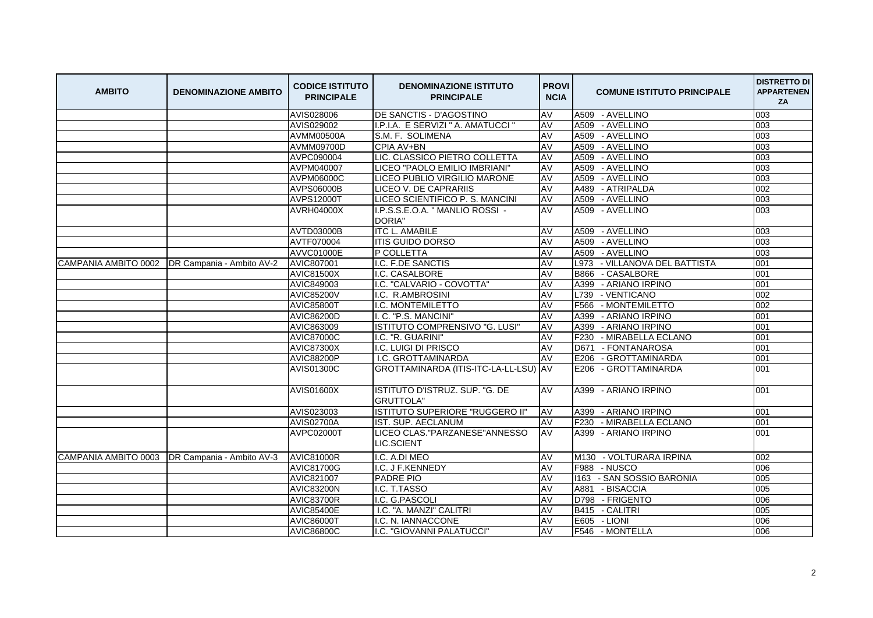| <b>AMBITO</b> | <b>DENOMINAZIONE AMBITO</b>                     | <b>CODICE ISTITUTO</b><br><b>PRINCIPALE</b> | <b>DENOMINAZIONE ISTITUTO</b><br><b>PRINCIPALE</b> | <b>PROVI</b><br><b>NCIA</b> | <b>COMUNE ISTITUTO PRINCIPALE</b> | <b>DISTRETTO DI</b><br><b>APPARTENEN</b><br>ZA |
|---------------|-------------------------------------------------|---------------------------------------------|----------------------------------------------------|-----------------------------|-----------------------------------|------------------------------------------------|
|               |                                                 | AVIS028006                                  | DE SANCTIS - D'AGOSTINO                            | AV                          | A509 - AVELLINO                   | 003                                            |
|               |                                                 | AVIS029002                                  | I.P.I.A. E SERVIZI " A. AMATUCCI '                 | AV                          | A509 - AVELLINO                   | 003                                            |
|               |                                                 | AVMM00500A                                  | S.M. F. SOLIMENA                                   | AV                          | - AVELLINO<br>A509                | 003                                            |
|               |                                                 | AVMM09700D                                  | CPIA AV+BN                                         | AV                          | A509 - AVELLINO                   | 003                                            |
|               |                                                 | AVPC090004                                  | LIC. CLASSICO PIETRO COLLETTA                      | AV                          | A509 - AVELLINO                   | 003                                            |
|               |                                                 | AVPM040007                                  | LICEO "PAOLO EMILIO IMBRIANI"                      | AV                          | A509<br>- AVELLINO                | 003                                            |
|               |                                                 | AVPM06000C                                  | LICEO PUBLIO VIRGILIO MARONE                       | AV                          | A509 - AVELLINO                   | 003                                            |
|               |                                                 | AVPS06000B                                  | <b>LICEO V. DE CAPRARIIS</b>                       | AV                          | A489 - ATRIPALDA                  | 002                                            |
|               |                                                 | AVPS12000T                                  | LICEO SCIENTIFICO P. S. MANCINI                    | AV                          | A509 - AVELLINO                   | 003                                            |
|               |                                                 | <b>AVRH04000X</b>                           | I.P.S.S.E.O.A. " MANLIO ROSSI -<br>DORIA"          | AV                          | A509 - AVELLINO                   | 003                                            |
|               |                                                 | <b>AVTD03000B</b>                           | <b>ITC L. AMABILE</b>                              | AV                          | A509 - AVELLINO                   | 003                                            |
|               |                                                 | AVTF070004                                  | <b>ITIS GUIDO DORSO</b>                            | AV                          | A509 - AVELLINO                   | 003                                            |
|               |                                                 | AVVC01000E                                  | P COLLETTA                                         | AV                          | A509 - AVELLINO                   | 003                                            |
|               | CAMPANIA AMBITO 0002 DR Campania - Ambito AV-2  | <b>AVIC807001</b>                           | I.C. F.DE SANCTIS                                  | AV                          | L973 - VILLANOVA DEL BATTISTA     | 001                                            |
|               |                                                 | <b>AVIC81500X</b>                           | I.C. CASALBORE                                     | AV                          | - CASALBORE<br>B866               | 001                                            |
|               |                                                 | AVIC849003                                  | I.C. "CALVARIO - COVOTTA"                          | AV                          | A399 - ARIANO IRPINO              | 001                                            |
|               |                                                 | <b>AVIC85200V</b>                           | I.C. R.AMBROSINI                                   | AV                          | L739 - VENTICANO                  | 002                                            |
|               |                                                 | <b>AVIC85800T</b>                           | I.C. MONTEMILETTO                                  | AV                          | - MONTEMILETTO<br>F566            | 002                                            |
|               |                                                 | AVIC86200D                                  | I. C. "P.S. MANCINI"                               | AV                          | A399<br>- ARIANO IRPINO           | 001                                            |
|               |                                                 | AVIC863009                                  | ISTITUTO COMPRENSIVO "G. LUSI"                     | <b>AV</b>                   | A399<br>- ARIANO IRPINO           | 001                                            |
|               |                                                 | <b>AVIC87000C</b>                           | I.C. "R. GUARINI"                                  | AV                          | F230<br>- MIRABELLA ECLANO        | 001                                            |
|               |                                                 | <b>AVIC87300X</b>                           | I.C. LUIGI DI PRISCO                               | AV                          | - FONTANAROSA<br>D671             | 001                                            |
|               |                                                 | <b>AVIC88200P</b>                           | I.C. GROTTAMINARDA                                 | AV                          | E206<br>- GROTTAMINARDA           | 001                                            |
|               |                                                 | AVIS01300C                                  | GROTTAMINARDA (ITIS-ITC-LA-LL-LSU) AV              |                             | E206 - GROTTAMINARDA              | 001                                            |
|               |                                                 | <b>AVIS01600X</b>                           | ISTITUTO D'ISTRUZ. SUP. "G. DE<br><b>GRUTTOLA"</b> | AV                          | A399 - ARIANO IRPINO              | 001                                            |
|               |                                                 | AVIS023003                                  | ISTITUTO SUPERIORE "RUGGERO II"                    | AV                          | A399 - ARIANO IRPINO              | 001                                            |
|               |                                                 | <b>AVIS02700A</b>                           | IST. SUP. AECLANUM                                 | AV                          | F230 - MIRABELLA ECLANO           | 001                                            |
|               |                                                 | AVPC02000T                                  | LICEO CLAS. "PARZANESE" ANNESSO<br>LIC.SCIENT      | AV                          | A399 - ARIANO IRPINO              | 001                                            |
|               | CAMPANIA AMBITO 0003  DR Campania - Ambito AV-3 | <b>AVIC81000R</b>                           | I.C. A.DI MEO                                      | AV                          | M130 - VOLTURARA IRPINA           | 002                                            |
|               |                                                 | AVIC81700G                                  | I.C. J F.KENNEDY                                   | AV                          | F988 - NUSCO                      | 006                                            |
|               |                                                 | AVIC821007                                  | PADRE PIO                                          | AV                          | - SAN SOSSIO BARONIA<br>1163      | 005                                            |
|               |                                                 | <b>AVIC83200N</b>                           | I.C. T.TASSO                                       | AV                          | A881 - BISACCIA                   | 005                                            |
|               |                                                 | <b>AVIC83700R</b>                           | I.C. G.PASCOLI                                     | AV                          | D798 - FRIGENTO                   | 006                                            |
|               |                                                 | <b>AVIC85400E</b>                           | I.C. "A. MANZI" CALITRI                            | AV                          | B415 - CALITRI                    | 005                                            |
|               |                                                 | <b>AVIC86000T</b>                           | I.C. N. IANNACCONE                                 | AV                          | E605 - LIONI                      | 006                                            |
|               |                                                 | <b>AVIC86800C</b>                           | I.C. "GIOVANNI PALATUCCI"                          | AV                          | F546 - MONTELLA                   | 006                                            |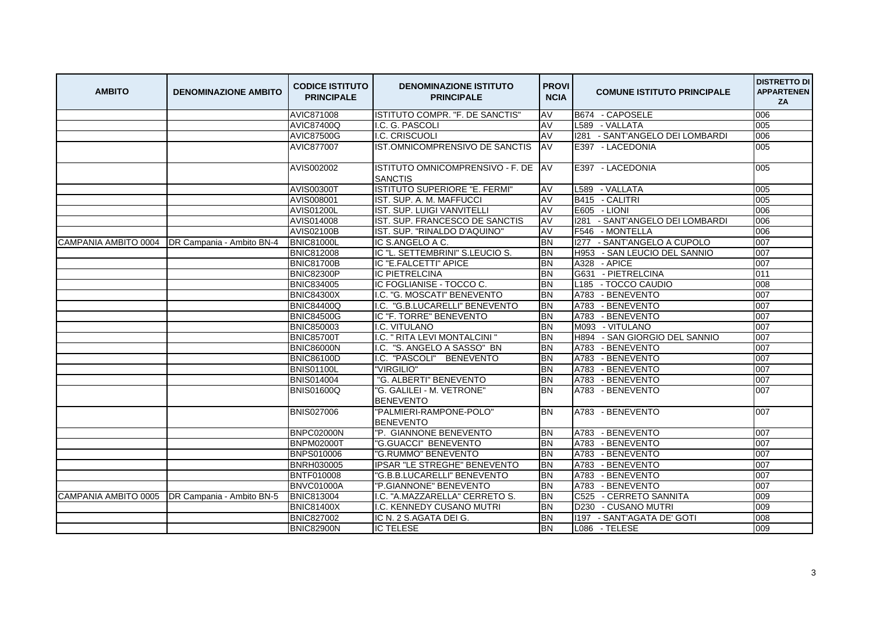| <b>AMBITO</b> | <b>DENOMINAZIONE AMBITO</b>                    | <b>CODICE ISTITUTO</b><br><b>PRINCIPALE</b> | <b>DENOMINAZIONE ISTITUTO</b><br><b>PRINCIPALE</b>    | <b>PROVI</b><br><b>NCIA</b> | <b>COMUNE ISTITUTO PRINCIPALE</b>     | <b>DISTRETTO DI</b><br><b>APPARTENEN</b><br>ZA |
|---------------|------------------------------------------------|---------------------------------------------|-------------------------------------------------------|-----------------------------|---------------------------------------|------------------------------------------------|
|               |                                                | <b>AVIC871008</b>                           | ISTITUTO COMPR. "F. DE SANCTIS"                       | AV                          | B674 - CAPOSELE                       | 006                                            |
|               |                                                | <b>AVIC87400Q</b>                           | I.C. G. PASCOLI                                       | AV                          | L589 - VALLATA                        | 005                                            |
|               |                                                | <b>AVIC87500G</b>                           | I.C. CRISCUOLI                                        | AV                          | 1281 - SANT'ANGELO DEI LOMBARDI       | 006                                            |
|               |                                                | AVIC877007                                  | IST.OMNICOMPRENSIVO DE SANCTIS                        | <b>AV</b>                   | E397 - LACEDONIA                      | 005                                            |
|               |                                                | AVIS002002                                  | ISTITUTO OMNICOMPRENSIVO - F. DE AV<br><b>SANCTIS</b> |                             | E397 - LACEDONIA                      | 005                                            |
|               |                                                | <b>AVIS00300T</b>                           | <b>ISTITUTO SUPERIORE "E. FERMI</b>                   | AV                          | L589 - VALLATA                        | 005                                            |
|               |                                                | AVIS008001                                  | IST. SUP. A. M. MAFFUCCI                              | AV                          | B415 - CALITRI                        | 005                                            |
|               |                                                | <b>AVIS01200L</b>                           | IST. SUP. LUIGI VANVITELLI                            | AV                          | E605 - LIONI                          | 006                                            |
|               |                                                | AVIS014008                                  | IST. SUP. FRANCESCO DE SANCTIS                        | AV                          | - SANT'ANGELO DEI LOMBARDI<br>1281    | 006                                            |
|               |                                                | <b>AVIS02100B</b>                           | IST. SUP. "RINALDO D'AQUINO"                          | AV                          | F546 - MONTELLA                       | 006                                            |
|               | CAMPANIA AMBITO 0004 DR Campania - Ambito BN-4 | <b>BNIC81000L</b>                           | IC S.ANGELO A C.                                      | <b>BN</b>                   | 1277<br>- SANT'ANGELO A CUPOLO        | 007                                            |
|               |                                                | <b>BNIC812008</b>                           | IIC "L. SETTEMBRINI" S.LEUCIO S.                      | <b>BN</b>                   | H953<br>- SAN LEUCIO DEL SANNIO       | 007                                            |
|               |                                                | <b>BNIC81700B</b>                           | IC "E.FALCETTI" APICE                                 | <b>BN</b>                   | A328 - APICE                          | 007                                            |
|               |                                                | <b>BNIC82300P</b>                           | <b>IC PIETRELCINA</b>                                 | <b>BN</b>                   | G631 - PIETRELCINA                    | 011                                            |
|               |                                                | <b>BNIC834005</b>                           | IC FOGLIANISE - TOCCO C.                              | <b>BN</b>                   | L <sub>185</sub><br>- TOCCO CAUDIO    | 008                                            |
|               |                                                | <b>BNIC84300X</b>                           | I.C. "G. MOSCATI" BENEVENTO                           | <b>BN</b>                   | A783 - BENEVENTO                      | 007                                            |
|               |                                                | <b>BNIC84400Q</b>                           | I.C. "G.B.LUCARELLI" BENEVENTO                        | <b>BN</b>                   | A783<br>- BENEVENTO                   | 007                                            |
|               |                                                | <b>BNIC84500G</b>                           | IC "F. TORRE" BENEVENTO                               | <b>BN</b>                   | A783 - BENEVENTO                      | 007                                            |
|               |                                                | <b>BNIC850003</b>                           | I.C. VITULANO                                         | <b>BN</b>                   | M093 - VITULANO                       | 007                                            |
|               |                                                | <b>BNIC85700T</b>                           | I.C. " RITA LEVI MONTALCINI "                         | <b>BN</b>                   | H894 - SAN GIORGIO DEL SANNIO         | 007                                            |
|               |                                                | <b>BNIC86000N</b>                           | I.C. "S. ANGELO A SASSO" BN                           | <b>BN</b>                   | A783 - BENEVENTO                      | 007                                            |
|               |                                                | <b>BNIC86100D</b>                           | I.C. "PASCOLI" BENEVENTO                              | <b>BN</b>                   | - BENEVENTO<br>A783                   | 007                                            |
|               |                                                | <b>BNIS01100L</b>                           | "VIRGILIO"                                            | <b>BN</b>                   | A783<br>- BENEVENTO                   | 007                                            |
|               |                                                | <b>BNIS014004</b>                           | "G. ALBERTI" BENEVENTO                                | <b>BN</b>                   | A783 - BENEVENTO                      | 007                                            |
|               |                                                | <b>BNIS01600Q</b>                           | "G. GALILEI - M. VETRONE"<br><b>BENEVENTO</b>         | <b>BN</b>                   | A783 - BENEVENTO                      | 007                                            |
|               |                                                | <b>BNIS027006</b>                           | "PALMIERI-RAMPONE-POLO"<br><b>BENEVENTO</b>           | <b>BN</b>                   | A783 - BENEVENTO                      | 007                                            |
|               |                                                | BNPC02000N                                  | "P. GIANNONE BENEVENTO                                | <b>BN</b>                   | A783 - BENEVENTO                      | 007                                            |
|               |                                                | <b>BNPM02000T</b>                           | "G.GUACCI" BENEVENTO                                  | <b>BN</b>                   | A783<br>- BENEVENTO                   | 007                                            |
|               |                                                | BNPS010006                                  | "G.RUMMO" BENEVENTO                                   | <b>BN</b>                   | A783 - BENEVENTO                      | 007                                            |
|               |                                                | <b>BNRH030005</b>                           | IPSAR "LE STREGHE" BENEVENTO                          | <b>BN</b>                   | A783 - BENEVENTO                      | 007                                            |
|               |                                                | <b>BNTF010008</b>                           | "G.B.B.LUCARELLI" BENEVENTO                           | <b>BN</b>                   | A783<br>- BENEVENTO                   | 007                                            |
|               |                                                | BNVC01000A                                  | "P.GIANNONE" BENEVENTO                                | <b>BN</b>                   | A783<br>- BENEVENTO                   | 007                                            |
|               | CAMPANIA AMBITO 0005 DR Campania - Ambito BN-5 | <b>BNIC813004</b>                           | I.C. "A.MAZZARELLA" CERRETO S.                        | <b>BN</b>                   | C <sub>525</sub><br>- CERRETO SANNITA | 009                                            |
|               |                                                | <b>BNIC81400X</b>                           | I.C. KENNEDY CUSANO MUTRI                             | <b>BN</b>                   | D <sub>230</sub><br>- CUSANO MUTRI    | 009                                            |
|               |                                                | <b>BNIC827002</b>                           | IC N. 2 S.AGATA DEI G.                                | <b>BN</b>                   | 1197 - SANT'AGATA DE' GOTI            | 008                                            |
|               |                                                | <b>BNIC82900N</b>                           | <b>IC TELESE</b>                                      | <b>BN</b>                   | L086 - TELESE                         | 009                                            |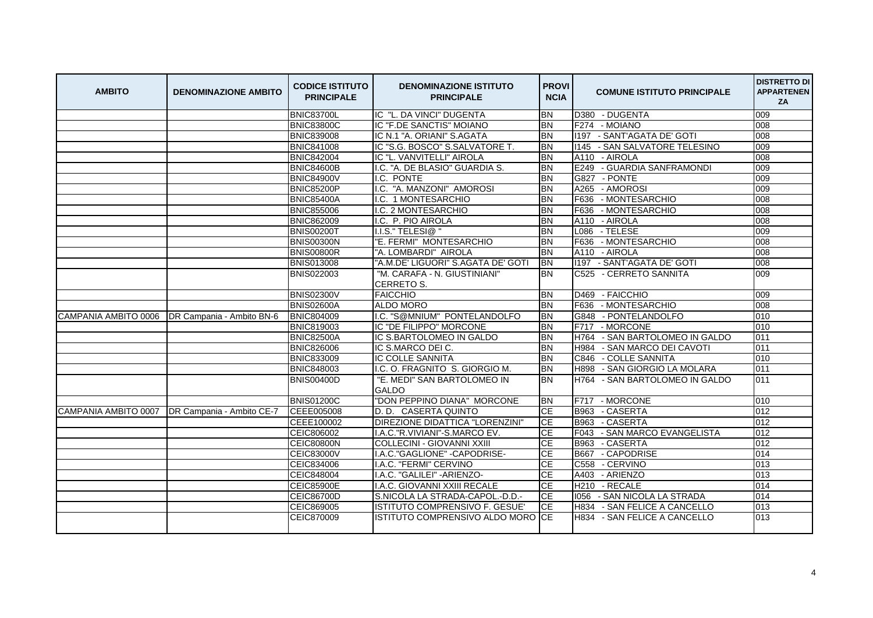| <b>AMBITO</b>        | <b>DENOMINAZIONE AMBITO</b>                    | <b>CODICE ISTITUTO</b><br><b>PRINCIPALE</b> | <b>DENOMINAZIONE ISTITUTO</b><br><b>PRINCIPALE</b> | <b>PROVI</b><br><b>NCIA</b> | <b>COMUNE ISTITUTO PRINCIPALE</b> | <b>DISTRETTO DI</b><br><b>APPARTENEN</b><br>ZA |
|----------------------|------------------------------------------------|---------------------------------------------|----------------------------------------------------|-----------------------------|-----------------------------------|------------------------------------------------|
|                      |                                                | <b>BNIC83700L</b>                           | IC "L. DA VINCI" DUGENTA                           | <b>BN</b>                   | D380 - DUGENTA                    | 009                                            |
|                      |                                                | <b>BNIC83800C</b>                           | IC "F.DE SANCTIS" MOIANO                           | <b>BN</b>                   | F274 - MOIANO                     | 008                                            |
|                      |                                                | <b>BNIC839008</b>                           | IC N.1 "A. ORIANI" S.AGATA                         | <b>BN</b>                   | 1197 - SANT'AGATA DE' GOTI        | 008                                            |
|                      |                                                | <b>BNIC841008</b>                           | IC "S.G. BOSCO" S.SALVATORE T.                     | <b>I</b> BN                 | 1145 - SAN SALVATORE TELESINO     | 009                                            |
|                      |                                                | <b>BNIC842004</b>                           | IC "L. VANVITELLI" AIROLA                          | <b>BN</b>                   | A110 - AIROLA                     | 008                                            |
|                      |                                                | <b>BNIC84600B</b>                           | I.C. "A. DE BLASIO" GUARDIA S.                     | <b>BN</b>                   | - GUARDIA SANFRAMONDI<br>E249     | 009                                            |
|                      |                                                | <b>BNIC84900V</b>                           | I.C. PONTE                                         | <b>BN</b>                   | G827 - PONTE                      | 009                                            |
|                      |                                                | <b>BNIC85200P</b>                           | I.C. "A. MANZONI" AMOROSI                          | <b>BN</b>                   | A265 - AMOROSI                    | 009                                            |
|                      |                                                | <b>BNIC85400A</b>                           | I.C. 1 MONTESARCHIO                                | <b>BN</b>                   | - MONTESARCHIO<br>F636            | 008                                            |
|                      |                                                | <b>BNIC855006</b>                           | I.C. 2 MONTESARCHIO                                | <b>BN</b>                   | F636<br>- MONTESARCHIO            | 008                                            |
|                      |                                                | <b>BNIC862009</b>                           | I.C. P. PIO AIROLA                                 | <b>BN</b>                   | A110 - AIROLA                     | 008                                            |
|                      |                                                | <b>BNIS00200T</b>                           | I.I.S." TELESI@"                                   | <b>BN</b>                   | L086 - TELESE                     | 009                                            |
|                      |                                                | <b>BNIS00300N</b>                           | "E. FERMI" MONTESARCHIO                            | <b>BN</b>                   | F636 - MONTESARCHIO               | 008                                            |
|                      |                                                | <b>BNIS00800R</b>                           | "A. LOMBARDI" AIROLA                               | <b>BN</b>                   | A110 - AIROLA                     | 008                                            |
|                      |                                                | <b>BNIS013008</b>                           | "A.M.DE' LIGUORI" S.AGATA DE' GOTI                 | <b>BN</b>                   | 1197 - SANT'AGATA DE' GOTI        | 008                                            |
|                      |                                                | <b>BNIS022003</b>                           | "M. CARAFA - N. GIUSTINIANI"<br><b>CERRETO S.</b>  | <b>BN</b>                   | C525 - CERRETO SANNITA            | 009                                            |
|                      |                                                | <b>BNIS02300V</b>                           | <b>FAICCHIO</b>                                    | <b>BN</b>                   | D469 - FAICCHIO                   | 009                                            |
|                      |                                                | <b>BNIS02600A</b>                           | <b>ALDO MORO</b>                                   | <b>BN</b>                   | F636 - MONTESARCHIO               | 008                                            |
|                      | CAMPANIA AMBITO 0006 DR Campania - Ambito BN-6 | <b>BNIC804009</b>                           | I.C. "S@MNIUM" PONTELANDOLFO                       | <b>BN</b>                   | G848 - PONTELANDOLFO              | 010                                            |
|                      |                                                | <b>BNIC819003</b>                           | IC "DE FILIPPO" MORCONE                            | <b>BN</b>                   | F717 - MORCONE                    | 010                                            |
|                      |                                                | <b>BNIC82500A</b>                           | IC S.BARTOLOMEO IN GALDO                           | <b>BN</b>                   | H764 - SAN BARTOLOMEO IN GALDO    | 011                                            |
|                      |                                                | <b>BNIC826006</b>                           | IC S.MARCO DEI C.                                  | <b>BN</b>                   | H984 - SAN MARCO DEI CAVOTI       | 011                                            |
|                      |                                                | <b>BNIC833009</b>                           | <b>IC COLLE SANNITA</b>                            | <b>BN</b>                   | C846<br>- COLLE SANNITA           | 010                                            |
|                      |                                                | <b>BNIC848003</b>                           | I.C. O. FRAGNITO S. GIORGIO M.                     | <b>BN</b>                   | H898<br>- SAN GIORGIO LA MOLARA   | 011                                            |
|                      |                                                | <b>BNIS00400D</b>                           | "E. MEDI" SAN BARTOLOMEO IN<br><b>GALDO</b>        | <b>BN</b>                   | - SAN BARTOLOMEO IN GALDO<br>H764 | 011                                            |
|                      |                                                | <b>BNIS01200C</b>                           | "DON PEPPINO DIANA" MORCONE                        | <b>BN</b>                   | F717 - MORCONE                    | 010                                            |
| CAMPANIA AMBITO 0007 | <b>IDR Campania - Ambito CE-7</b>              | CEEE005008                                  | D. D. CASERTA QUINTO                               | <b>CE</b>                   | B963 - CASERTA                    | 012                                            |
|                      |                                                | CEEE100002                                  | DIREZIONE DIDATTICA "LORENZINI"                    | <b>CE</b>                   | B963 - CASERTA                    | 012                                            |
|                      |                                                | CEIC806002                                  | I.A.C."R.VIVIANI"-S.MARCO EV.                      | <b>CE</b>                   | - SAN MARCO EVANGELISTA<br>F043   | 012                                            |
|                      |                                                | <b>CEIC80800N</b>                           | COLLECINI - GIOVANNI XXIII                         | <b>CE</b>                   | B963<br>- CASERTA                 | 012                                            |
|                      |                                                | <b>CEIC83000V</b>                           | I.A.C."GAGLIONE" - CAPODRISE-                      | CE                          | B667 - CAPODRISE                  | 014                                            |
|                      |                                                | CEIC834006                                  | I.A.C. "FERMI" CERVINO                             | <b>CE</b>                   | C558 - CERVINO                    | 013                                            |
|                      |                                                | CEIC848004                                  | I.A.C. "GALILEI" - ARIENZO-                        | <b>CE</b>                   | A403 - ARIENZO                    | 013                                            |
|                      |                                                | <b>CEIC85900E</b>                           | I.A.C. GIOVANNI XXIII RECALE                       | <b>CE</b>                   | H210 - RECALE                     | 014                                            |
|                      |                                                | <b>CEIC86700D</b>                           | S.NICOLA LA STRADA-CAPOL.-D.D.-                    | CE                          | 1056 - SAN NICOLA LA STRADA       | 014                                            |
|                      |                                                | CEIC869005                                  | ISTITUTO COMPRENSIVO F. GESUE'                     | <b>CE</b>                   | H834 - SAN FELICE A CANCELLO      | 013                                            |
|                      |                                                | CEIC870009                                  | <b>ISTITUTO COMPRENSIVO ALDO MORO ICE</b>          |                             | H834 - SAN FELICE A CANCELLO      | 013                                            |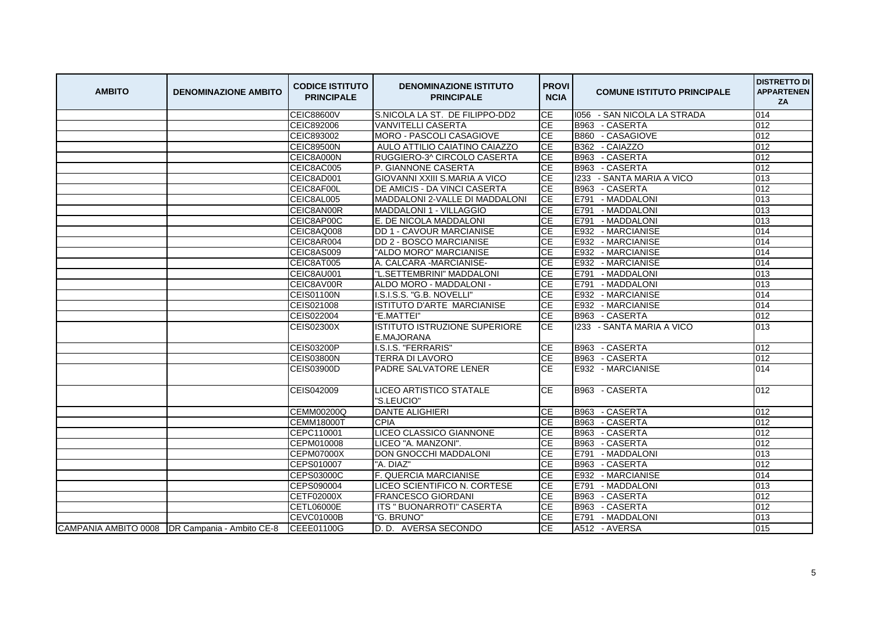| <b>AMBITO</b> | <b>DENOMINAZIONE AMBITO</b>                      | <b>CODICE ISTITUTO</b><br><b>PRINCIPALE</b> | <b>DENOMINAZIONE ISTITUTO</b><br><b>PRINCIPALE</b> | <b>PROVI</b><br><b>NCIA</b> | <b>COMUNE ISTITUTO PRINCIPALE</b> | <b>DISTRETTO DI</b><br><b>APPARTENEN</b><br><b>ZA</b> |
|---------------|--------------------------------------------------|---------------------------------------------|----------------------------------------------------|-----------------------------|-----------------------------------|-------------------------------------------------------|
|               |                                                  | <b>CEIC88600V</b>                           | S.NICOLA LA ST. DE FILIPPO-DD2                     | CE                          | 1056 - SAN NICOLA LA STRADA       | 014                                                   |
|               |                                                  | CEIC892006                                  | <b>VANVITELLI CASERTA</b>                          | CE                          | B963 - CASERTA                    | 012                                                   |
|               |                                                  | CEIC893002                                  | <b>MORO - PASCOLI CASAGIOVE</b>                    | CE                          | <b>B860</b><br>- CASAGIOVE        | 012                                                   |
|               |                                                  | <b>CEIC89500N</b>                           | AULO ATTILIO CAIATINO CAIAZZO                      | CE                          | B362 - CAIAZZO                    | 012                                                   |
|               |                                                  | CEIC8A000N                                  | RUGGIERO-3^ CIRCOLO CASERTA                        | CE                          | B963 - CASERTA                    | 012                                                   |
|               |                                                  | CEIC8AC005                                  | P. GIANNONE CASERTA                                | CE                          | B963<br>- CASERTA                 | 012                                                   |
|               |                                                  | CEIC8AD001                                  | GIOVANNI XXIII S.MARIA A VICO                      | <b>CE</b>                   | 1233 - SANTA MARIA A VICO         | 013                                                   |
|               |                                                  | CEIC8AF00L                                  | DE AMICIS - DA VINCI CASERTA                       | <b>CE</b>                   | B963 - CASERTA                    | 012                                                   |
|               |                                                  | CEIC8AL005                                  | MADDALONI 2-VALLE DI MADDALONI                     | CE                          | E791 - MADDALONI                  | 013                                                   |
|               |                                                  | CEIC8AN00R                                  | MADDALONI 1 - VILLAGGIO                            | <b>CE</b>                   | E791<br>- MADDALONI               | 013                                                   |
|               |                                                  | CEIC8AP00C                                  | E. DE NICOLA MADDALONI                             | CE                          | E791 - MADDALONI                  | 013                                                   |
|               |                                                  | CEIC8AQ008                                  | DD 1 - CAVOUR MARCIANISE                           | <b>CE</b>                   | E932 - MARCIANISE                 | 014                                                   |
|               |                                                  | CEIC8AR004                                  | DD 2 - BOSCO MARCIANISE                            | <b>CE</b>                   | E932 - MARCIANISE                 | 014                                                   |
|               |                                                  | CEIC8AS009                                  | "ALDO MORO" MARCIANISE                             | CE                          | E932 - MARCIANISE                 | 014                                                   |
|               |                                                  | CEIC8AT005                                  | A. CALCARA - MARCIANISE-                           | <b>CE</b>                   | E932 - MARCIANISE                 | 014                                                   |
|               |                                                  | CEIC8AU001                                  | "L.SETTEMBRINI" MADDALONI                          | <b>CE</b>                   | E791 - MADDALONI                  | 013                                                   |
|               |                                                  | CEIC8AV00R                                  | ALDO MORO - MADDALONI -                            | CE                          | E791<br>- MADDALONI               | 013                                                   |
|               |                                                  | <b>CEIS01100N</b>                           | I.S.I.S.S. "G.B. NOVELLI"                          | CE                          | E932 - MARCIANISE                 | 014                                                   |
|               |                                                  | CEIS021008                                  | ISTITUTO D'ARTE MARCIANISE                         | <b>CE</b>                   | E932 - MARCIANISE                 | 014                                                   |
|               |                                                  | CEIS022004                                  | "E.MATTEI"                                         | <b>CE</b>                   | B963 - CASERTA                    | 012                                                   |
|               |                                                  | <b>CEIS02300X</b>                           | ISTITUTO ISTRUZIONE SUPERIORE<br><b>E.MAJORANA</b> | СE                          | 1233 - SANTA MARIA A VICO         | 013                                                   |
|               |                                                  | <b>CEIS03200P</b>                           | I.S.I.S. "FERRARIS"                                | CE                          | B963 - CASERTA                    | 012                                                   |
|               |                                                  | <b>CEIS03800N</b>                           | <b>TERRA DI LAVORO</b>                             | <b>CE</b>                   | B963 - CASERTA                    | 012                                                   |
|               |                                                  | CEIS03900D                                  | <b>PADRE SALVATORE LENER</b>                       | <b>CE</b>                   | E932 - MARCIANISE                 | 014                                                   |
|               |                                                  | CEIS042009                                  | <b>LICEO ARTISTICO STATALE</b><br>"S.LEUCIO"       | СE                          | B963 - CASERTA                    | 012                                                   |
|               |                                                  | CEMM00200Q                                  | <b>DANTE ALIGHIERI</b>                             | CE                          | B963 - CASERTA                    | 012                                                   |
|               |                                                  | <b>CEMM18000T</b>                           | <b>CPIA</b>                                        | CE                          | B963 - CASERTA                    | 012                                                   |
|               |                                                  | CEPC110001                                  | LICEO CLASSICO GIANNONE                            | CE                          | B963 - CASERTA                    | 012                                                   |
|               |                                                  | CEPM010008                                  | LICEO "A. MANZONI".                                | CE                          | B963 - CASERTA                    | 012                                                   |
|               |                                                  | <b>CEPM07000X</b>                           | <b>DON GNOCCHI MADDALONI</b>                       | <b>CE</b>                   | E791 - MADDALONI                  | 013                                                   |
|               |                                                  | CEPS010007                                  | "A. DIAZ"                                          | CE                          | B963 - CASERTA                    | 012                                                   |
|               |                                                  | <b>CEPS03000C</b>                           | <b>F. QUERCIA MARCIANISE</b>                       | CE                          | E932 - MARCIANISE                 | 014                                                   |
|               |                                                  | CEPS090004                                  | LICEO SCIENTIFICO N. CORTESE                       | <b>CE</b>                   | E791 - MADDALONI                  | 013                                                   |
|               |                                                  | CETF02000X                                  | <b>FRANCESCO GIORDANI</b>                          | CE                          | B963<br>- CASERTA                 | 012                                                   |
|               |                                                  | <b>CETL06000E</b>                           | <b>ITS " BUONARROTI" CASERTA</b>                   | <b>CE</b>                   | B963 - CASERTA                    | 012                                                   |
|               |                                                  | <b>CEVC01000B</b>                           | "G. BRUNO"                                         | СE                          | E791 - MADDALONI                  | 013                                                   |
|               | CAMPANIA AMBITO 0008   DR Campania - Ambito CE-8 | CEEE01100G                                  | D. D. AVERSA SECONDO                               | <b>CE</b>                   | A512 - AVERSA                     | 015                                                   |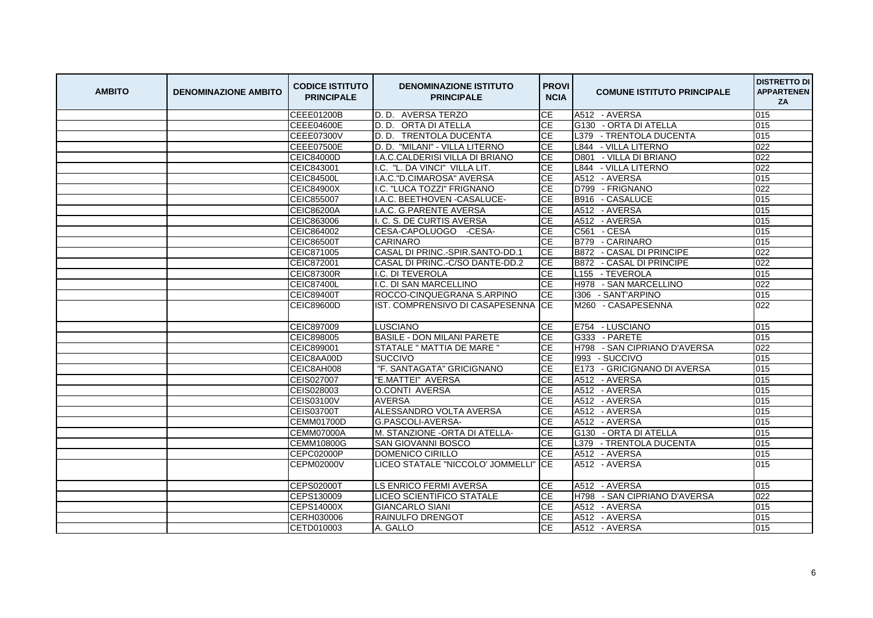| <b>AMBITO</b> | <b>DENOMINAZIONE AMBITO</b> | <b>CODICE ISTITUTO</b><br><b>PRINCIPALE</b> | <b>DENOMINAZIONE ISTITUTO</b><br><b>PRINCIPALE</b> | <b>PROVI</b><br><b>NCIA</b> | <b>COMUNE ISTITUTO PRINCIPALE</b> | <b>DISTRETTO DI</b><br><b>APPARTENEN</b><br><b>ZA</b> |
|---------------|-----------------------------|---------------------------------------------|----------------------------------------------------|-----------------------------|-----------------------------------|-------------------------------------------------------|
|               |                             | CEEE01200B                                  | D.D. AVERSA TERZO                                  | CE                          | A512 - AVERSA                     | 015                                                   |
|               |                             | <b>CEEE04600E</b>                           | D. D. ORTA DI ATELLA                               | СE                          | G130 - ORTA DI ATELLA             | 015                                                   |
|               |                             | <b>CEEE07300V</b>                           | D. D. TRENTOLA DUCENTA                             | CE                          | L379 - TRENTOLA DUCENTA           | 015                                                   |
|               |                             | <b>CEEE07500E</b>                           | D. D. "MILANI" - VILLA LITERNO                     | <b>CE</b>                   | L844 - VILLA LITERNO              | 022                                                   |
|               |                             | CEIC84000D                                  | I.A.C.CALDERISI VILLA DI BRIANO                    | <b>CE</b>                   | D801<br>- VILLA DI BRIANO         | 022                                                   |
|               |                             | CEIC843001                                  | I.C. "L. DA VINCI" VILLA LIT.                      | <b>CE</b>                   | L844<br>- VILLA LITERNO           | 022                                                   |
|               |                             | <b>CEIC84500L</b>                           | I.A.C."D.CIMAROSA" AVERSA                          | <b>CE</b>                   | A512 - AVERSA                     | 015                                                   |
|               |                             | <b>CEIC84900X</b>                           | I.C. "LUCA TOZZI" FRIGNANO                         | <b>CE</b>                   | D799 - FRIGNANO                   | 022                                                   |
|               |                             | CEIC855007                                  | I.A.C. BEETHOVEN - CASALUCE-                       | CE                          | B916 - CASALUCE                   | 015                                                   |
|               |                             | <b>CEIC86200A</b>                           | I.A.C. G.PARENTE AVERSA                            | CE                          | A512 - AVERSA                     | 015                                                   |
|               |                             | CEIC863006                                  | I. C. S. DE CURTIS AVERSA                          | <b>CE</b>                   | A512 - AVERSA                     | 015                                                   |
|               |                             | CEIC864002                                  | CESA-CAPOLUOGO -CESA-                              | CE                          | C561 - CESA                       | 015                                                   |
|               |                             | <b>CEIC86500T</b>                           | <b>CARINARO</b>                                    | <b>CE</b>                   | <b>B779</b><br>- CARINARO         | 015                                                   |
|               |                             | CEIC871005                                  | CASAL DI PRINC.-SPIR.SANTO-DD.1                    | <b>CE</b>                   | B872 - CASAL DI PRINCIPE          | 022                                                   |
|               |                             | CEIC872001                                  | CASAL DI PRINC.-C/SO DANTE-DD.2                    | CE                          | B872 - CASAL DI PRINCIPE          | 022                                                   |
|               |                             | <b>CEIC87300R</b>                           | <b>I.C. DI TEVEROLA</b>                            | <b>CE</b>                   | L155 - TEVEROLA                   | 015                                                   |
|               |                             | <b>CEIC87400L</b>                           | I.C. DI SAN MARCELLINO                             | <b>CE</b>                   | H978<br>- SAN MARCELLINO          | 022                                                   |
|               |                             | <b>CEIC89400T</b>                           | ROCCO-CINQUEGRANA S.ARPINO                         | CE                          | I306 - SANT'ARPINO                | 015                                                   |
|               |                             | <b>CEIC89600D</b>                           | IST. COMPRENSIVO DI CASAPESENNA                    | <b>ICE</b>                  | M260 - CASAPESENNA                | 022                                                   |
|               |                             | CEIC897009                                  | <b>LUSCIANO</b>                                    | <b>CE</b>                   | E754 - LUSCIANO                   | 015                                                   |
|               |                             | CEIC898005                                  | <b>BASILE - DON MILANI PARETE</b>                  | <b>CE</b>                   | G333 - PARETE                     | 015                                                   |
|               |                             | CEIC899001                                  | STATALE " MATTIA DE MARE "                         | <b>CE</b>                   | H798 - SAN CIPRIANO D'AVERSA      | 022                                                   |
|               |                             | CEIC8AA00D                                  | <b>SUCCIVO</b>                                     | <b>CE</b>                   | 1993<br>- SUCCIVO                 | 015                                                   |
|               |                             | CEIC8AH008                                  | "F. SANTAGATA" GRICIGNANO                          | CE                          | E173 - GRICIGNANO DI AVERSA       | 015                                                   |
|               |                             | CEIS027007                                  | "E.MATTEI" AVERSA                                  | <b>CE</b>                   | A512 - AVERSA                     | 015                                                   |
|               |                             | CEIS028003                                  | O.CONTI AVERSA                                     | CE                          | A512 - AVERSA                     | 015                                                   |
|               |                             | CEIS03100V                                  | <b>AVERSA</b>                                      | <b>CE</b>                   | A512 - AVERSA                     | 015                                                   |
|               |                             | <b>CEIS03700T</b>                           | ALESSANDRO VOLTA AVERSA                            | <b>CE</b>                   | A512 - AVERSA                     | 015                                                   |
|               |                             | <b>CEMM01700D</b>                           | G.PASCOLI-AVERSA-                                  | <b>CE</b>                   | A512 - AVERSA                     | 015                                                   |
|               |                             | <b>CEMM07000A</b>                           | M. STANZIONE -ORTA DI ATELLA-                      | СE                          | G130 - ORTA DI ATELLA             | 015                                                   |
|               |                             | <b>CEMM10800G</b>                           | <b>SAN GIOVANNI BOSCO</b>                          | <b>CE</b>                   | L379 - TRENTOLA DUCENTA           | 015                                                   |
|               |                             | <b>CEPC02000P</b>                           | DOMENICO CIRILLO                                   | СE                          | A512 - AVERSA                     | 015                                                   |
|               |                             | <b>CEPM02000V</b>                           | LICEO STATALE "NICCOLO' JOMMELLI"                  | <b>ICE</b>                  | A512 - AVERSA                     | 015                                                   |
|               |                             | <b>CEPS02000T</b>                           | <b>LS ENRICO FERMI AVERSA</b>                      | <b>CE</b>                   | A512 - AVERSA                     | 015                                                   |
|               |                             | CEPS130009                                  | LICEO SCIENTIFICO STATALE                          | <b>CE</b>                   | H798 - SAN CIPRIANO D'AVERSA      | 022                                                   |
|               |                             | <b>CEPS14000X</b>                           | <b>GIANCARLO SIANI</b>                             | СE                          | A512 - AVERSA                     | 015                                                   |
|               |                             | CERH030006                                  | IRAINULFO DRENGOT                                  | СE                          | A512 - AVERSA                     | 015                                                   |
|               |                             | CETD010003                                  | A. GALLO                                           | <b>CE</b>                   | A512 - AVERSA                     | 015                                                   |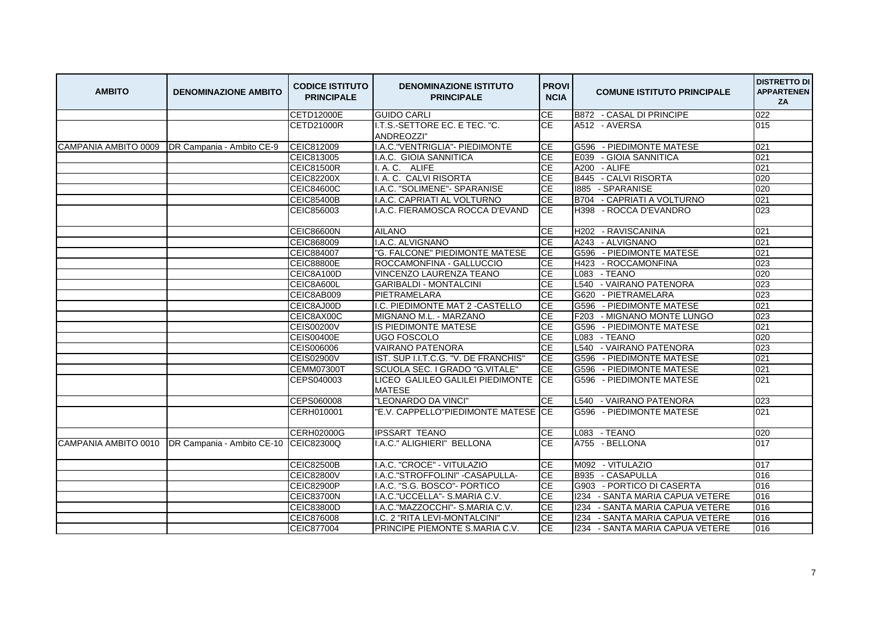| <b>AMBITO</b>        | <b>DENOMINAZIONE AMBITO</b>                      | <b>CODICE ISTITUTO</b><br><b>PRINCIPALE</b> | <b>DENOMINAZIONE ISTITUTO</b><br><b>PRINCIPALE</b> | <b>PROVI</b><br><b>NCIA</b> | <b>COMUNE ISTITUTO PRINCIPALE</b>  | <b>DISTRETTO DI</b><br><b>APPARTENEN</b><br>ZA |
|----------------------|--------------------------------------------------|---------------------------------------------|----------------------------------------------------|-----------------------------|------------------------------------|------------------------------------------------|
|                      |                                                  | CETD12000E                                  | <b>GUIDO CARLI</b>                                 | CE                          | B872 - CASAL DI PRINCIPE           | 022                                            |
|                      |                                                  | <b>CETD21000R</b>                           | I.T.S.-SETTORE EC. E TEC. "C.                      | CE                          | A512 - AVERSA                      | 015                                            |
|                      |                                                  |                                             | ANDREOZZI"                                         |                             |                                    |                                                |
|                      | CAMPANIA AMBITO 0009   DR Campania - Ambito CE-9 | CEIC812009                                  | I.A.C. "VENTRIGLIA" - PIEDIMONTE                   | СE                          | G596 - PIEDIMONTE MATESE           | 021                                            |
|                      |                                                  | CEIC813005                                  | I.A.C. GIOIA SANNITICA                             | <b>CE</b>                   | - GIOIA SANNITICA<br>E039          | 021                                            |
|                      |                                                  | <b>CEIC81500R</b>                           | I.A.C. ALIFE                                       | <b>CE</b>                   | A200<br>- ALIFE                    | 021                                            |
|                      |                                                  | <b>CEIC82200X</b>                           | I. A. C. CALVI RISORTA                             | <b>CE</b>                   | B445 - CALVI RISORTA               | 020                                            |
|                      |                                                  | <b>CEIC84600C</b>                           | I.A.C. "SOLIMENE"- SPARANISE                       | <b>CE</b>                   | 1885 - SPARANISE                   | 020                                            |
|                      |                                                  | <b>CEIC85400B</b>                           | I.A.C. CAPRIATI AL VOLTURNO                        | <b>CE</b>                   | B704 - CAPRIATI A VOLTURNO         | 021                                            |
|                      |                                                  | CEIC856003                                  | I.A.C. FIERAMOSCA ROCCA D'EVAND                    | <b>CE</b>                   | H398 - ROCCA D'EVANDRO             | 023                                            |
|                      |                                                  | <b>CEIC86600N</b>                           | <b>AILANO</b>                                      | <b>CE</b>                   | H202 - RAVISCANINA                 | 021                                            |
|                      |                                                  | CEIC868009                                  | I.A.C. ALVIGNANO                                   | CE                          | A243 - ALVIGNANO                   | 021                                            |
|                      |                                                  | CEIC884007                                  | "G. FALCONE" PIEDIMONTE MATESE                     | CE                          | G596 - PIEDIMONTE MATESE           | 021                                            |
|                      |                                                  | <b>CEIC88800E</b>                           | ROCCAMONFINA - GALLUCCIO                           | CE                          | H423 - ROCCAMONFINA                | 023                                            |
|                      |                                                  | CEIC8A100D                                  | VINCENZO LAURENZA TEANO                            | <b>CE</b>                   | L083 - TEANO                       | 020                                            |
|                      |                                                  | CEIC8A600L                                  | <b>GARIBALDI - MONTALCINI</b>                      | <b>CE</b>                   | - VAIRANO PATENORA<br>L540         | 023                                            |
|                      |                                                  | CEIC8AB009                                  | PIETRAMELARA                                       | <b>CE</b>                   | G620 - PIETRAMELARA                | 023                                            |
|                      |                                                  | CEIC8AJ00D                                  | I.C. PIEDIMONTE MAT 2 - CASTELLO                   | <b>CE</b>                   | G596 - PIEDIMONTE MATESE           | 021                                            |
|                      |                                                  | CEIC8AX00C                                  | MIGNANO M.L. - MARZANO                             | <b>CE</b>                   | F203 - MIGNANO MONTE LUNGO         | 023                                            |
|                      |                                                  | <b>CEIS00200V</b>                           | IS PIEDIMONTE MATESE                               | <b>CE</b>                   | G596 - PIEDIMONTE MATESE           | 021                                            |
|                      |                                                  | <b>CEIS00400E</b>                           | <b>UGO FOSCOLO</b>                                 | <b>CE</b>                   | L083 - TEANO                       | 020                                            |
|                      |                                                  | CEIS006006                                  | <b>VAIRANO PATENORA</b>                            | <b>CE</b>                   | L540 - VAIRANO PATENORA            | 023                                            |
|                      |                                                  | <b>CEIS02900V</b>                           | IST. SUP I.I.T.C.G. "V. DE FRANCHIS"               | <b>CE</b>                   | - PIEDIMONTE MATESE<br>G596        | 021                                            |
|                      |                                                  | <b>CEMM07300T</b>                           | SCUOLA SEC. I GRADO "G.VITALE"                     | <b>CE</b>                   | G596 - PIEDIMONTE MATESE           | 021                                            |
|                      |                                                  | CEPS040003                                  | LICEO GALILEO GALILEI PIEDIMONTE<br><b>MATESE</b>  | <b>CE</b>                   | G596 - PIEDIMONTE MATESE           | 021                                            |
|                      |                                                  | CEPS060008                                  | "LEONARDO DA VINCI"                                | <b>CE</b>                   | L540 - VAIRANO PATENORA            | 023                                            |
|                      |                                                  | CERH010001                                  | "E.V. CAPPELLO"PIEDIMONTE MATESE CE                |                             | G596 - PIEDIMONTE MATESE           | 021                                            |
|                      |                                                  | <b>CERH02000G</b>                           | <b>IPSSART TEANO</b>                               | <b>CE</b>                   | L083 - TEANO                       | 020                                            |
| CAMPANIA AMBITO 0010 | DR Campania - Ambito CE-10                       | CEIC82300Q                                  | I.A.C." ALIGHIERI" BELLONA                         | <b>CE</b>                   | A755 - BELLONA                     | 017                                            |
|                      |                                                  | <b>CEIC82500B</b>                           | I.A.C. "CROCE" - VITULAZIO                         | СE                          | M092 - VITULAZIO                   | 017                                            |
|                      |                                                  | <b>CEIC82800V</b>                           | I.A.C."STROFFOLINI" - CASAPULLA-                   | <b>CE</b>                   | - CASAPULLA<br><b>B935</b>         | 016                                            |
|                      |                                                  | <b>CEIC82900P</b>                           | I.A.C. "S.G. BOSCO"- PORTICO                       | CE                          | G903 - PORTICO DI CASERTA          | 016                                            |
|                      |                                                  | <b>CEIC83700N</b>                           | I.A.C. "UCCELLA" - S.MARIA C.V.                    | <b>CE</b>                   | 1234 - SANTA MARIA CAPUA VETERE    | 016                                            |
|                      |                                                  | <b>CEIC83800D</b>                           | I.A.C. "MAZZOCCHI" - S.MARIA C.V.                  | <b>CE</b>                   | - SANTA MARIA CAPUA VETERE<br>1234 | 016                                            |
|                      |                                                  | CEIC876008                                  | I.C. 2 "RITA LEVI-MONTALCINI"                      | CE                          | 1234<br>- SANTA MARIA CAPUA VETERE | 016                                            |
|                      |                                                  | CEIC877004                                  | PRINCIPE PIEMONTE S.MARIA C.V.                     | <b>CE</b>                   | 1234 - SANTA MARIA CAPUA VETERE    | 016                                            |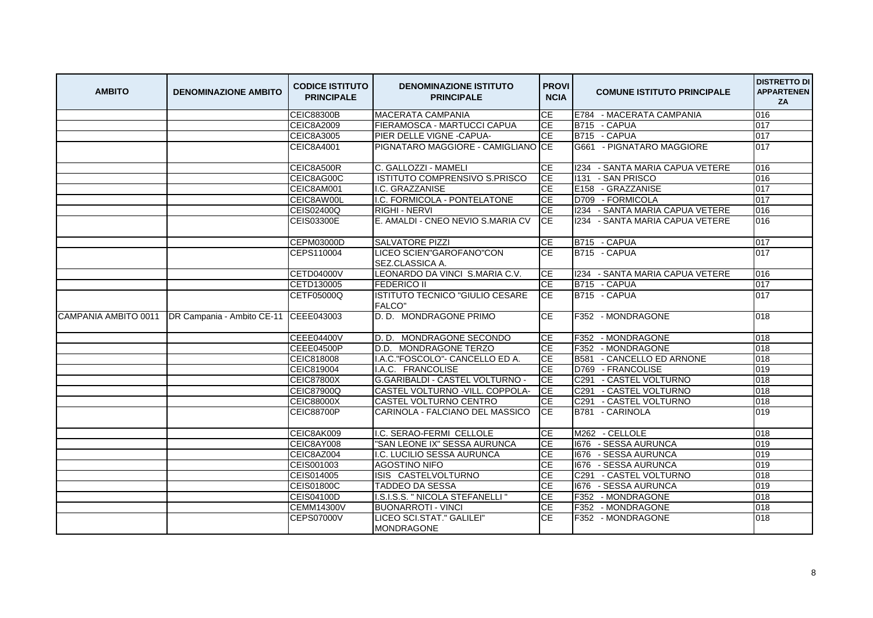| <b>AMBITO</b> | <b>DENOMINAZIONE AMBITO</b>                                    | <b>CODICE ISTITUTO</b><br><b>PRINCIPALE</b> | <b>DENOMINAZIONE ISTITUTO</b><br><b>PRINCIPALE</b> | <b>PROVI</b><br><b>NCIA</b> | <b>COMUNE ISTITUTO PRINCIPALE</b>     | <b>DISTRETTO DI</b><br><b>APPARTENEN</b><br>ZA |
|---------------|----------------------------------------------------------------|---------------------------------------------|----------------------------------------------------|-----------------------------|---------------------------------------|------------------------------------------------|
|               |                                                                | <b>CEIC88300B</b>                           | <b>MACERATA CAMPANIA</b>                           | <b>CE</b>                   | E784 - MACERATA CAMPANIA              | 016                                            |
|               |                                                                | <b>CEIC8A2009</b>                           | <b>FIERAMOSCA - MARTUCCI CAPUA</b>                 | CE                          | B715 - CAPUA                          | 017                                            |
|               |                                                                | <b>CEIC8A3005</b>                           | PIER DELLE VIGNE - CAPUA-                          | CE                          | B715 - CAPUA                          | 017                                            |
|               |                                                                | <b>CEIC8A4001</b>                           | PIGNATARO MAGGIORE - CAMIGLIANO CE                 |                             | G661 - PIGNATARO MAGGIORE             | 017                                            |
|               |                                                                | CEIC8A500R                                  | C. GALLOZZI - MAMELI                               | <b>CE</b>                   | 1234 - SANTA MARIA CAPUA VETERE       | 016                                            |
|               |                                                                | CEIC8AG00C                                  | ISTITUTO COMPRENSIVO S.PRISCO                      | <b>CE</b>                   | 1131 - SAN PRISCO                     | 016                                            |
|               |                                                                | CEIC8AM001                                  | I.C. GRAZZANISE                                    | <b>CE</b>                   | E158 - GRAZZANISE                     | 017                                            |
|               |                                                                | CEIC8AW00L                                  | I.C. FORMICOLA - PONTELATONE                       | <b>CE</b>                   | D709 - FORMICOLA                      | 017                                            |
|               |                                                                | CEIS02400Q                                  | <b>RIGHI - NERVI</b>                               | CE                          | 1234 - SANTA MARIA CAPUA VETERE       | 016                                            |
|               |                                                                | CEIS03300E                                  | E. AMALDI - CNEO NEVIO S.MARIA CV                  | <b>ICE</b>                  | 1234 - SANTA MARIA CAPUA VETERE       | 016                                            |
|               |                                                                | CEPM03000D                                  | <b>SALVATORE PIZZI</b>                             | СE                          | B715 - CAPUA                          | 017                                            |
|               |                                                                | CEPS110004                                  | LICEO SCIEN"GAROFANO"CON<br>SEZ.CLASSICA A.        | <b>CE</b>                   | B715 - CAPUA                          | 017                                            |
|               |                                                                | <b>CETD04000V</b>                           | LEONARDO DA VINCI S.MARIA C.V.                     | СE                          | 1234 - SANTA MARIA CAPUA VETERE       | 016                                            |
|               |                                                                | CETD130005                                  | <b>FEDERICO II</b>                                 | СE                          | B715 - CAPUA                          | 017                                            |
|               |                                                                | CETF05000Q                                  | ISTITUTO TECNICO "GIULIO CESARE<br><b>FALCO"</b>   | CE                          | B715 - CAPUA                          | 017                                            |
|               | CAMPANIA AMBITO 0011   DR Campania - Ambito CE-11   CEEE043003 |                                             | D. D. MONDRAGONE PRIMO                             | <b>CE</b>                   | F352 - MONDRAGONE                     | 018                                            |
|               |                                                                | <b>CEEE04400V</b>                           | D. D. MONDRAGONE SECONDO                           | <b>CE</b>                   | F352 - MONDRAGONE                     | 018                                            |
|               |                                                                | <b>CEEE04500P</b>                           | D.D. MONDRAGONE TERZO                              | <b>CE</b>                   | F352 - MONDRAGONE                     | 018                                            |
|               |                                                                | CEIC818008                                  | I.A.C."FOSCOLO"- CANCELLO ED A.                    | СE                          | B581 - CANCELLO ED ARNONE             | 018                                            |
|               |                                                                | CEIC819004                                  | I.A.C. FRANCOLISE                                  | <b>CE</b>                   | - FRANCOLISE<br>D769                  | 019                                            |
|               |                                                                | <b>CEIC87800X</b>                           | G.GARIBALDI - CASTEL VOLTURNO -                    | <b>CE</b>                   | C <sub>291</sub><br>- CASTEL VOLTURNO | 018                                            |
|               |                                                                | <b>CEIC87900Q</b>                           | CASTEL VOLTURNO - VILL. COPPOLA-                   | <b>CE</b>                   | - CASTEL VOLTURNO<br>C <sub>291</sub> | 018                                            |
|               |                                                                | <b>CEIC88000X</b>                           | CASTEL VOLTURNO CENTRO                             | <b>CE</b>                   | C291<br>- CASTEL VOLTURNO             | 018                                            |
|               |                                                                | <b>CEIC88700P</b>                           | CARINOLA - FALCIANO DEL MASSICO                    | ICE.                        | B781 - CARINOLA                       | 019                                            |
|               |                                                                | CEIC8AK009                                  | I.C. SERAO-FERMI CELLOLE                           | CE                          | M262 - CELLOLE                        | 018                                            |
|               |                                                                | CEIC8AY008                                  | "SAN LEONE IX" SESSA AURUNCA                       | <b>CE</b>                   | 1676 - SESSA AURUNCA                  | 019                                            |
|               |                                                                | CEIC8AZ004                                  | I.C. LUCILIO SESSA AURUNCA                         | CE                          | 1676 - SESSA AURUNCA                  | 019                                            |
|               |                                                                | CEIS001003                                  | <b>AGOSTINO NIFO</b>                               | CE                          | 1676 - SESSA AURUNCA                  | 019                                            |
|               |                                                                | CEIS014005                                  | ISIS CASTELVOLTURNO                                | <b>CE</b>                   | C291<br>- CASTEL VOLTURNO             | 018                                            |
|               |                                                                | <b>CEIS01800C</b>                           | TADDEO DA SESSA                                    | <b>CE</b>                   | 1676 - SESSA AURUNCA                  | 019                                            |
|               |                                                                | CEIS04100D                                  | I.S.I.S.S. " NICOLA STEFANELLI "                   | CE                          | F352 - MONDRAGONE                     | 018                                            |
|               |                                                                | <b>CEMM14300V</b>                           | <b>BUONARROTI - VINCI</b>                          | <b>CE</b>                   | F352 - MONDRAGONE                     | 018                                            |
|               |                                                                | <b>CEPS07000V</b>                           | LICEO SCI.STAT." GALILEI"<br><b>MONDRAGONE</b>     | CE                          | F352 - MONDRAGONE                     | 018                                            |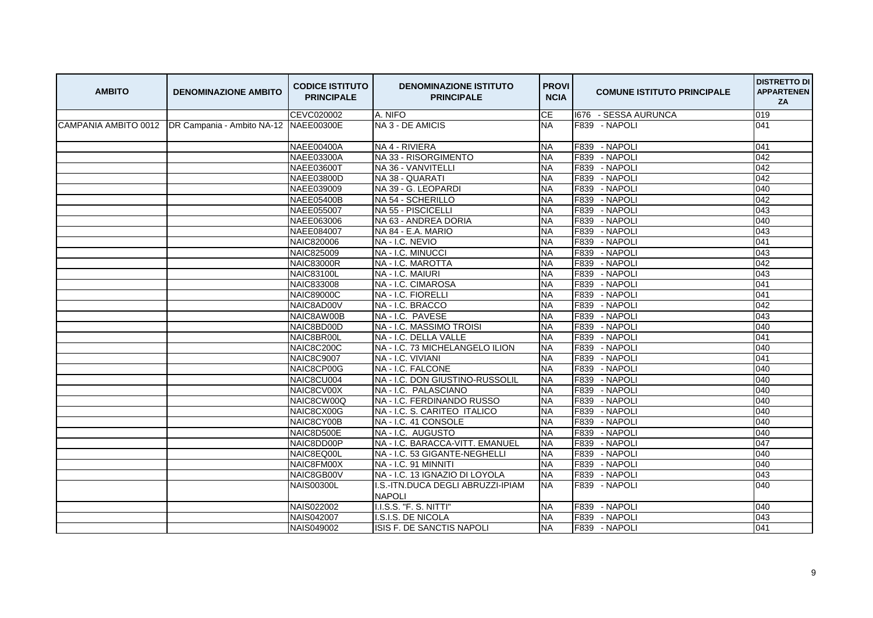| 019<br><b>CEVC020002</b><br>A. NIFO<br><b>CE</b><br>1676 - SESSA AURUNCA<br>CAMPANIA AMBITO 0012   DR Campania - Ambito NA-12   NAEE00300E<br>NA 3 - DE AMICIS<br><b>NA</b><br>F839 - NAPOLI<br>041<br><b>NAEE00400A</b><br>NA 4 - RIVIERA<br>F839 - NAPOLI<br>041<br><b>NA</b><br>F839 - NAPOLI<br><b>NAEE03300A</b><br>NA 33 - RISORGIMENTO<br>042<br><b>NA</b><br>042<br><b>NAEE03600T</b><br>NA 36 - VANVITELLI<br><b>NA</b><br>F839<br>- NAPOLI |
|------------------------------------------------------------------------------------------------------------------------------------------------------------------------------------------------------------------------------------------------------------------------------------------------------------------------------------------------------------------------------------------------------------------------------------------------------|
|                                                                                                                                                                                                                                                                                                                                                                                                                                                      |
|                                                                                                                                                                                                                                                                                                                                                                                                                                                      |
|                                                                                                                                                                                                                                                                                                                                                                                                                                                      |
|                                                                                                                                                                                                                                                                                                                                                                                                                                                      |
|                                                                                                                                                                                                                                                                                                                                                                                                                                                      |
| 042<br>F839 - NAPOLI<br>NAEE03800D<br>NA 38 - QUARATI<br><b>NA</b>                                                                                                                                                                                                                                                                                                                                                                                   |
| NA 39 - G. LEOPARDI<br>F839 - NAPOLI<br>040<br>NAEE039009<br><b>NA</b>                                                                                                                                                                                                                                                                                                                                                                               |
| 042<br>NA 54 - SCHERILLO<br><b>NA</b><br>F839<br>- NAPOLI<br><b>NAEE05400B</b>                                                                                                                                                                                                                                                                                                                                                                       |
| - NAPOLI<br>043<br><b>NAEE055007</b><br>NA 55 - PISCICELLI<br><b>NA</b><br>F839                                                                                                                                                                                                                                                                                                                                                                      |
| F839<br>- NAPOLI<br>040<br>NAEE063006<br>NA 63 - ANDREA DORIA<br><b>NA</b>                                                                                                                                                                                                                                                                                                                                                                           |
| - NAPOLI<br>043<br>NAEE084007<br>NA 84 - E.A. MARIO<br><b>NA</b><br>F839                                                                                                                                                                                                                                                                                                                                                                             |
| F839<br>- NAPOLI<br>041<br><b>NAIC820006</b><br>NA - I.C. NEVIO<br><b>NA</b>                                                                                                                                                                                                                                                                                                                                                                         |
| F839 - NAPOLI<br>043<br><b>NA</b><br>NAIC825009<br>NA - I.C. MINUCCI                                                                                                                                                                                                                                                                                                                                                                                 |
| 042<br>F839<br>- NAPOLI<br><b>NAIC83000R</b><br>NA - I.C. MAROTTA<br><b>NA</b>                                                                                                                                                                                                                                                                                                                                                                       |
| NA - I.C. MAIURI<br><b>NA</b><br>F839<br>- NAPOLI<br>043<br><b>NAIC83100L</b>                                                                                                                                                                                                                                                                                                                                                                        |
| - NAPOLI<br>041<br>NA - I.C. CIMAROSA<br><b>NA</b><br>F839<br>NAIC833008                                                                                                                                                                                                                                                                                                                                                                             |
| F839<br>- NAPOLI<br>041<br>NA - I.C. FIORELLI<br><b>NA</b><br><b>NAIC89000C</b>                                                                                                                                                                                                                                                                                                                                                                      |
| - NAPOLI<br>042<br>NA - I.C. BRACCO<br>F839<br>NAIC8AD00V<br><b>NA</b>                                                                                                                                                                                                                                                                                                                                                                               |
| NA-I.C. PAVESE<br><b>NA</b><br>F839<br>- NAPOLI<br>043<br>NAIC8AW00B                                                                                                                                                                                                                                                                                                                                                                                 |
| 040<br>- NAPOLI<br>NA - I.C. MASSIMO TROISI<br><b>NA</b><br>F839<br>NAIC8BD00D                                                                                                                                                                                                                                                                                                                                                                       |
| NA - I.C. DELLA VALLE<br>F839<br>- NAPOLI<br>041<br>NAIC8BR00L<br><b>NA</b>                                                                                                                                                                                                                                                                                                                                                                          |
| <b>NA</b><br>F839<br>- NAPOLI<br>040<br>NAIC8C200C<br>NA - I.C. 73 MICHELANGELO ILION                                                                                                                                                                                                                                                                                                                                                                |
| <b>NA</b><br>- NAPOLI<br>041<br>NA - I.C. VIVIANI<br>F839<br><b>NAIC8C9007</b>                                                                                                                                                                                                                                                                                                                                                                       |
| <b>NA</b><br>F839<br>- NAPOLI<br>040<br>NAIC8CP00G<br>NA - I.C. FALCONE                                                                                                                                                                                                                                                                                                                                                                              |
| NA - I.C. DON GIUSTINO-RUSSOLIL<br>- NAPOLI<br>040<br>NAIC8CU004<br><b>NA</b><br>F839                                                                                                                                                                                                                                                                                                                                                                |
| NA - I.C. PALASCIANO<br><b>NA</b><br>F839<br>- NAPOLI<br>040<br>NAIC8CV00X                                                                                                                                                                                                                                                                                                                                                                           |
| 040<br>- NAPOLI<br>NAIC8CW00Q<br>NA - I.C. FERDINANDO RUSSO<br><b>NA</b><br>F839                                                                                                                                                                                                                                                                                                                                                                     |
| F839<br>- NAPOLI<br>040<br>NAIC8CX00G<br>NA - I.C. S. CARITEO ITALICO<br><b>NA</b>                                                                                                                                                                                                                                                                                                                                                                   |
| F839<br>- NAPOLI<br>040<br>NAIC8CY00B<br>NA - I.C. 41 CONSOLE<br><b>NA</b>                                                                                                                                                                                                                                                                                                                                                                           |
| F839<br>- NAPOLI<br>040<br>NAIC8D500E<br>NA-I.C. AUGUSTO<br><b>NA</b>                                                                                                                                                                                                                                                                                                                                                                                |
| <b>NA</b><br>F839<br>- NAPOLI<br>047<br>NAIC8DD00P<br>NA - I.C. BARACCA-VITT. EMANUEL                                                                                                                                                                                                                                                                                                                                                                |
| - NAPOLI<br>NA - I.C. 53 GIGANTE-NEGHELLI<br><b>NA</b><br>F839<br>040<br>NAIC8EQ00L                                                                                                                                                                                                                                                                                                                                                                  |
| NAIC8FM00X<br>NA - I.C. 91 MINNITI<br><b>NA</b><br>F839<br>- NAPOLI<br>040                                                                                                                                                                                                                                                                                                                                                                           |
| 043<br>- NAPOLI<br>NA - I.C. 13 IGNAZIO DI LOYOLA<br><b>NA</b><br>F839<br>NAIC8GB00V                                                                                                                                                                                                                                                                                                                                                                 |
| 040<br>I.S.-ITN.DUCA DEGLI ABRUZZI-IPIAM<br><b>NA</b><br>F839 - NAPOLI<br><b>NAIS00300L</b><br><b>NAPOLI</b>                                                                                                                                                                                                                                                                                                                                         |
| I.I.S.S. "F. S. NITTI"<br>F839 - NAPOLI<br>040<br>NAIS022002<br><b>NA</b>                                                                                                                                                                                                                                                                                                                                                                            |
| 043<br><b>NA</b><br>F839 - NAPOLI<br><b>NAIS042007</b><br>I.S.I.S. DE NICOLA                                                                                                                                                                                                                                                                                                                                                                         |
| <b>NA</b><br>F839 - NAPOLI<br>041<br><b>NAIS049002</b><br>ISIS F. DE SANCTIS NAPOLI                                                                                                                                                                                                                                                                                                                                                                  |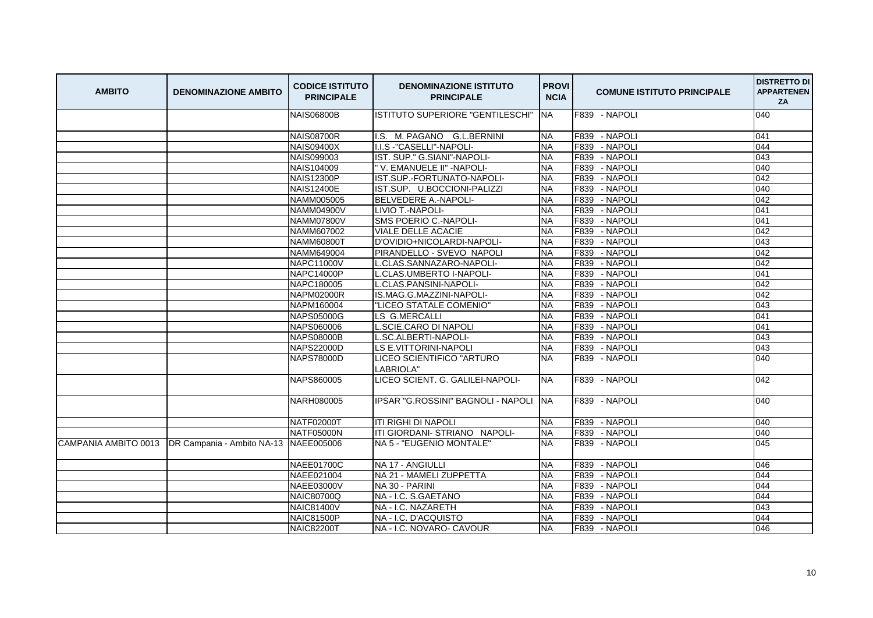| <b>AMBITO</b>        | <b>DENOMINAZIONE AMBITO</b>           | <b>CODICE ISTITUTO</b><br><b>PRINCIPALE</b> | <b>DENOMINAZIONE ISTITUTO</b><br><b>PRINCIPALE</b> | <b>PROVI</b><br><b>NCIA</b> | <b>COMUNE ISTITUTO PRINCIPALE</b> | <b>DISTRETTO DI</b><br><b>APPARTENEN</b><br>ZA |
|----------------------|---------------------------------------|---------------------------------------------|----------------------------------------------------|-----------------------------|-----------------------------------|------------------------------------------------|
|                      |                                       | <b>NAIS06800B</b>                           | ISTITUTO SUPERIORE "GENTILESCHI"                   | <b>INA</b>                  | F839 - NAPOLI                     | 040                                            |
|                      |                                       | <b>NAIS08700R</b>                           | I.S. M. PAGANO G.L.BERNINI                         | <b>NA</b>                   | F839 - NAPOLI                     | 041                                            |
|                      |                                       | <b>NAIS09400X</b>                           | I.I.S -"CASELLI"-NAPOLI-                           | <b>NA</b>                   | F839 - NAPOLI                     | 044                                            |
|                      |                                       | NAIS099003                                  | IST. SUP." G.SIANI"-NAPOLI-                        | <b>NA</b>                   | - NAPOLI<br>F839                  | 043                                            |
|                      |                                       | NAIS104009                                  | " V. EMANUELE II" - NAPOLI-                        | <b>NA</b>                   | - NAPOLI<br>F839                  | 040                                            |
|                      |                                       | <b>NAIS12300P</b>                           | IST.SUP.-FORTUNATO-NAPOLI-                         | <b>NA</b>                   | - NAPOLI<br>F839                  | 042                                            |
|                      |                                       | <b>NAIS12400E</b>                           | IST.SUP. U.BOCCIONI-PALIZZI                        | <b>NA</b>                   | F839<br>- NAPOLI                  | 040                                            |
|                      |                                       | NAMM005005                                  | <b>BELVEDERE A.-NAPOLI-</b>                        | <b>NA</b>                   | F839<br>- NAPOLI                  | 042                                            |
|                      |                                       | <b>NAMM04900V</b>                           | LIVIO T.-NAPOLI-                                   | <b>NA</b>                   | - NAPOLI<br>F839                  | 041                                            |
|                      |                                       | <b>NAMM07800V</b>                           | SMS POERIO C.-NAPOLI-                              | <b>NA</b>                   | F839<br>- NAPOLI                  | 041                                            |
|                      |                                       | <b>NAMM607002</b>                           | <b>VIALE DELLE ACACIE</b>                          | <b>NA</b>                   | - NAPOLI<br>F839                  | 042                                            |
|                      |                                       | <b>NAMM60800T</b>                           | D'OVIDIO+NICOLARDI-NAPOLI-                         | <b>NA</b>                   | F839<br>- NAPOLI                  | 043                                            |
|                      |                                       | NAMM649004                                  | PIRANDELLO - SVEVO NAPOLI                          | <b>NA</b>                   | - NAPOLI<br>F839                  | 042                                            |
|                      |                                       | <b>NAPC11000V</b>                           | L.CLAS.SANNAZARO-NAPOLI-                           | <b>NA</b>                   | F839<br>- NAPOLI                  | 042                                            |
|                      |                                       | NAPC14000P                                  | L.CLAS.UMBERTO I-NAPOLI-                           | <b>NA</b>                   | - NAPOLI<br>F839                  | 041                                            |
|                      |                                       | NAPC180005                                  | L.CLAS.PANSINI-NAPOLI-                             | <b>NA</b>                   | F839<br>- NAPOLI                  | 042                                            |
|                      |                                       | <b>NAPM02000R</b>                           | IS.MAG.G.MAZZINI-NAPOLI-                           | <b>NA</b>                   | F839<br>- NAPOLI                  | 042                                            |
|                      |                                       | NAPM160004                                  | "LICEO STATALE COMENIO"                            | <b>NA</b>                   | F839<br>- NAPOLI                  | 043                                            |
|                      |                                       | NAPS05000G                                  | LS G.MERCALLI                                      | <b>NA</b>                   | F839<br>- NAPOLI                  | 041                                            |
|                      |                                       | <b>NAPS060006</b>                           | L.SCIE.CARO DI NAPOLI                              | <b>NA</b>                   | - NAPOLI<br>F839                  | 041                                            |
|                      |                                       | <b>NAPS08000B</b>                           | L.SC.ALBERTI-NAPOLI-                               | <b>NA</b>                   | F839<br>- NAPOLI                  | 043                                            |
|                      |                                       | <b>NAPS22000D</b>                           | <b>LS E.VITTORINI-NAPOLI</b>                       | <b>NA</b>                   | F839 - NAPOLI                     | 043                                            |
|                      |                                       | <b>NAPS78000D</b>                           | LICEO SCIENTIFICO "ARTURO<br>LABRIOLA"             | NA                          | F839 - NAPOLI                     | 040                                            |
|                      |                                       | NAPS860005                                  | LICEO SCIENT. G. GALILEI-NAPOLI-                   | <b>NA</b>                   | F839 - NAPOLI                     | 042                                            |
|                      |                                       | NARH080005                                  | IPSAR "G.ROSSINI" BAGNOLI - NAPOLI                 | <b>NA</b>                   | F839 - NAPOLI                     | 040                                            |
|                      |                                       | <b>NATF02000T</b>                           | <b>ITI RIGHI DI NAPOLI</b>                         | <b>NA</b>                   | F839 - NAPOLI                     | 040                                            |
|                      |                                       | <b>NATF05000N</b>                           | ITI GIORDANI- STRIANO NAPOLI-                      | <b>NA</b>                   | F839<br>- NAPOLI                  | 040                                            |
| CAMPANIA AMBITO 0013 | DR Campania - Ambito NA-13 NAEE005006 |                                             | NA 5 - "EUGENIO MONTALE"                           | <b>NA</b>                   | F839 - NAPOLI                     | 045                                            |
|                      |                                       | <b>NAEE01700C</b>                           | NA 17 - ANGIULLI                                   | <b>NA</b>                   | F839 - NAPOLI                     | 046                                            |
|                      |                                       | NAEE021004                                  | NA 21 - MAMELI ZUPPETTA                            | <b>NA</b>                   | F839<br>- NAPOLI                  | 044                                            |
|                      |                                       | <b>NAEE03000V</b>                           | NA 30 - PARINI                                     | <b>NA</b>                   | - NAPOLI<br>F839                  | 044                                            |
|                      |                                       | <b>NAIC80700Q</b>                           | NA - I.C. S.GAETANO                                | <b>NA</b>                   | F839<br>- NAPOLI                  | 044                                            |
|                      |                                       | <b>NAIC81400V</b>                           | NA - I.C. NAZARETH                                 | <b>NA</b>                   | F839<br>- NAPOLI                  | 043                                            |
|                      |                                       | <b>NAIC81500P</b>                           | NA - I.C. D'ACQUISTO                               | <b>NA</b>                   | F839<br>- NAPOLI                  | 044                                            |
|                      |                                       | <b>NAIC82200T</b>                           | NA - I.C. NOVARO- CAVOUR                           | <b>NA</b>                   | F839 - NAPOLI                     | 046                                            |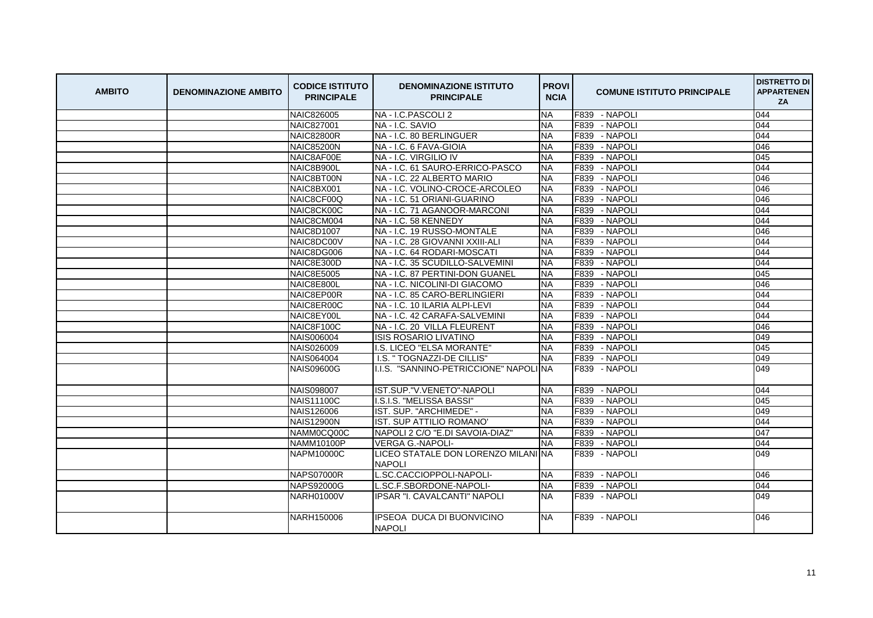| <b>AMBITO</b> | <b>DENOMINAZIONE AMBITO</b> | <b>CODICE ISTITUTO</b><br><b>PRINCIPALE</b> | <b>DENOMINAZIONE ISTITUTO</b><br><b>PRINCIPALE</b>   | <b>PROVI</b><br><b>NCIA</b> | <b>COMUNE ISTITUTO PRINCIPALE</b> | <b>DISTRETTO DI</b><br><b>APPARTENEN</b><br>ZA |
|---------------|-----------------------------|---------------------------------------------|------------------------------------------------------|-----------------------------|-----------------------------------|------------------------------------------------|
|               |                             | <b>NAIC826005</b>                           | NA - I.C.PASCOLI 2                                   | <b>NA</b>                   | F839 - NAPOLI                     | 044                                            |
|               |                             | <b>NAIC827001</b>                           | NA - I.C. SAVIO                                      | <b>NA</b>                   | - NAPOLI<br>F839                  | 044                                            |
|               |                             | <b>NAIC82800R</b>                           | NA - I.C. 80 BERLINGUER                              | <b>NA</b>                   | F839<br>- NAPOLI                  | 044                                            |
|               |                             | <b>NAIC85200N</b>                           | NA - I.C. 6 FAVA-GIOIA                               | <b>NA</b>                   | - NAPOLI<br>F839                  | 046                                            |
|               |                             | NAIC8AF00E                                  | NA - I.C. VIRGILIO IV                                | <b>NA</b>                   | F839<br>- NAPOLI                  | 045                                            |
|               |                             | NAIC8B900L                                  | NA - I.C. 61 SAURO-ERRICO-PASCO                      | <b>NA</b>                   | - NAPOLI<br>F839                  | 044                                            |
|               |                             | NAIC8BT00N                                  | NA - I.C. 22 ALBERTO MARIO                           | <b>NA</b>                   | - NAPOLI<br>F839                  | 046                                            |
|               |                             | NAIC8BX001                                  | NA - I.C. VOLINO-CROCE-ARCOLEO                       | <b>NA</b>                   | F839<br>- NAPOLI                  | 046                                            |
|               |                             | NAIC8CF00Q                                  | NA - I.C. 51 ORIANI-GUARINO                          | <b>NA</b>                   | F839<br>- NAPOLI                  | 046                                            |
|               |                             | NAIC8CK00C                                  | NA - I.C. 71 AGANOOR-MARCONI                         | <b>NA</b>                   | F839<br>- NAPOLI                  | 044                                            |
|               |                             | NAIC8CM004                                  | NA - I.C. 58 KENNEDY                                 | <b>NA</b>                   | F839 - NAPOLI                     | 044                                            |
|               |                             | NAIC8D1007                                  | NA - I.C. 19 RUSSO-MONTALE                           | <b>NA</b>                   | F839<br>- NAPOLI                  | 046                                            |
|               |                             | NAIC8DC00V                                  | NA - I.C. 28 GIOVANNI XXIII-ALI                      | <b>NA</b>                   | F839<br>- NAPOLI                  | 044                                            |
|               |                             | NAIC8DG006                                  | NA - I.C. 64 RODARI-MOSCATI                          | <b>NA</b>                   | - NAPOLI<br>F839                  | 044                                            |
|               |                             | NAIC8E300D                                  | NA - I.C. 35 SCUDILLO-SALVEMINI                      | <b>NA</b>                   | F839<br>- NAPOLI                  | 044                                            |
|               |                             | <b>NAIC8E5005</b>                           | NA - I.C. 87 PERTINI-DON GUANEL                      | <b>NA</b>                   | F839<br>- NAPOLI                  | 045                                            |
|               |                             | NAIC8E800L                                  | NA - I.C. NICOLINI-DI GIACOMO                        | <b>NA</b>                   | F839<br>- NAPOLI                  | 046                                            |
|               |                             | NAIC8EP00R                                  | NA - I.C. 85 CARO-BERLINGIERI                        | <b>NA</b>                   | F839<br>- NAPOLI                  | 044                                            |
|               |                             | NAIC8ER00C                                  | NA - I.C. 10 ILARIA ALPI-LEVI                        | <b>NA</b>                   | F839<br>- NAPOLI                  | 044                                            |
|               |                             | NAIC8EY00L                                  | NA - I.C. 42 CARAFA-SALVEMINI                        | <b>NA</b>                   | F839<br>- NAPOLI                  | 044                                            |
|               |                             | NAIC8F100C                                  | NA - I.C. 20 VILLA FLEURENT                          | <b>NA</b>                   | - NAPOLI<br>F839                  | 046                                            |
|               |                             | <b>NAIS006004</b>                           | <b>ISIS ROSARIO LIVATINO</b>                         | <b>NA</b>                   | F839 - NAPOLI                     | 049                                            |
|               |                             | NAIS026009                                  | I.S. LICEO "ELSA MORANTE"                            | <b>NA</b>                   | F839<br>- NAPOLI                  | 045                                            |
|               |                             | NAIS064004                                  | I.S. " TOGNAZZI-DE CILLIS"                           | <b>NA</b>                   | F839<br>- NAPOLI                  | 049                                            |
|               |                             | <b>NAIS09600G</b>                           | I.I.S. "SANNINO-PETRICCIONE" NAPOLINA                |                             | F839 - NAPOLI                     | 049                                            |
|               |                             | <b>NAIS098007</b>                           | IST.SUP."V.VENETO"-NAPOLI                            | <b>NA</b>                   | F839 - NAPOLI                     | 044                                            |
|               |                             | <b>NAIS11100C</b>                           | I.S.I.S. "MELISSA BASSI"                             | <b>NA</b>                   | F839<br>- NAPOLI                  | 045                                            |
|               |                             | NAIS126006                                  | IST. SUP. "ARCHIMEDE" -                              | <b>NA</b>                   | F839 - NAPOLI                     | 049                                            |
|               |                             | <b>NAIS12900N</b>                           | IST. SUP ATTILIO ROMANO'                             | <b>NA</b>                   | F839 - NAPOLI                     | 044                                            |
|               |                             | NAMM0CQ00C                                  | NAPOLI 2 C/O "E.DI SAVOIA-DIAZ"                      | <b>NA</b>                   | - NAPOLI<br>F839                  | 047                                            |
|               |                             | NAMM10100P                                  | <b>VERGA G.-NAPOLI-</b>                              | <b>NA</b>                   | - NAPOLI<br>F839                  | 044                                            |
|               |                             | <b>NAPM10000C</b>                           | LICEO STATALE DON LORENZO MILANI NA<br><b>NAPOLI</b> |                             | F839 - NAPOLI                     | 049                                            |
|               |                             | <b>NAPS07000R</b>                           | L.SC.CACCIOPPOLI-NAPOLI-                             | <b>NA</b>                   | F839 - NAPOLI                     | 046                                            |
|               |                             | <b>NAPS92000G</b>                           | L.SC.F.SBORDONE-NAPOLI-                              | <b>NA</b>                   | F839 - NAPOLI                     | 044                                            |
|               |                             | <b>NARH01000V</b>                           | <b>IPSAR "I. CAVALCANTI" NAPOLI</b>                  | NA                          | F839 - NAPOLI                     | 049                                            |
|               |                             | NARH150006                                  | <b>IPSEOA DUCA DI BUONVICINO</b><br><b>NAPOLI</b>    | NA.                         | F839 - NAPOLI                     | 046                                            |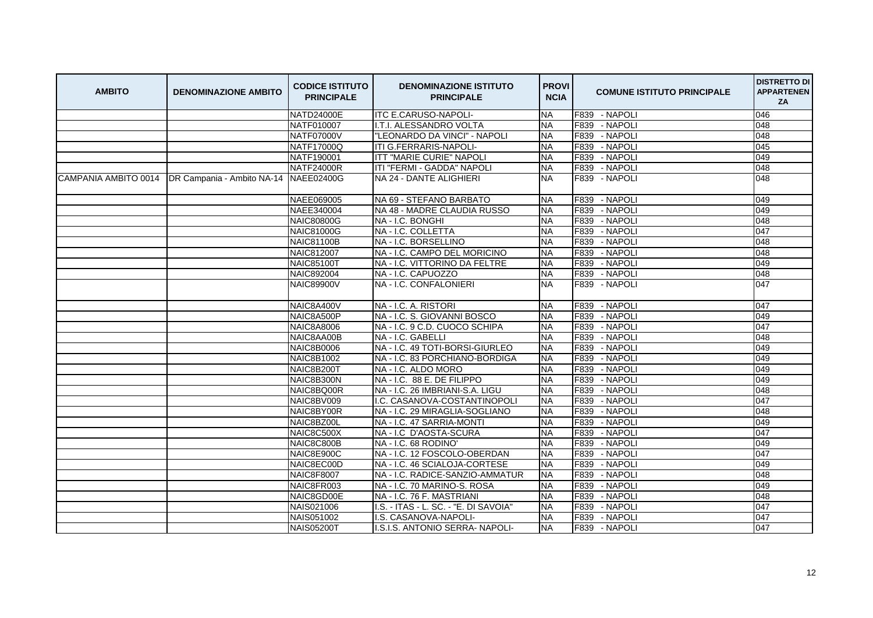| <b>AMBITO</b>        | <b>DENOMINAZIONE AMBITO</b>           | <b>CODICE ISTITUTO</b><br><b>PRINCIPALE</b> | <b>DENOMINAZIONE ISTITUTO</b><br><b>PRINCIPALE</b> | <b>PROVI</b><br><b>NCIA</b> | <b>COMUNE ISTITUTO PRINCIPALE</b> | <b>DISTRETTO DI</b><br><b>APPARTENEN</b><br>ZA |
|----------------------|---------------------------------------|---------------------------------------------|----------------------------------------------------|-----------------------------|-----------------------------------|------------------------------------------------|
|                      |                                       | NATD24000E                                  | <b>ITC E.CARUSO-NAPOLI-</b>                        | <b>NA</b>                   | F839 - NAPOLI                     | 046                                            |
|                      |                                       | NATF010007                                  | I.T.I. ALESSANDRO VOLTA                            | <b>NA</b>                   | F839 - NAPOLI                     | 048                                            |
|                      |                                       | <b>NATF07000V</b>                           | "LEONARDO DA VINCI" - NAPOLI                       | <b>NA</b>                   | F839<br>- NAPOLI                  | 048                                            |
|                      |                                       | <b>NATF17000Q</b>                           | ITI G.FERRARIS-NAPOLI-                             | <b>NA</b>                   | F839 - NAPOLI                     | 045                                            |
|                      |                                       | NATF190001                                  | <b>ITT "MARIE CURIE" NAPOLI</b>                    | <b>NA</b>                   | F839<br>- NAPOLI                  | 049                                            |
|                      |                                       | <b>NATF24000R</b>                           | ITI "FERMI - GADDA" NAPOLI                         | <b>NA</b>                   | F839<br>- NAPOLI                  | 048                                            |
| CAMPANIA AMBITO 0014 | DR Campania - Ambito NA-14 NAEE02400G |                                             | NA 24 - DANTE ALIGHIERI                            | <b>NA</b>                   | F839 - NAPOLI                     | 048                                            |
|                      |                                       | NAEE069005                                  | NA 69 - STEFANO BARBATO                            | <b>NA</b>                   | - NAPOLI<br>F839                  | 049                                            |
|                      |                                       | NAEE340004                                  | NA 48 - MADRE CLAUDIA RUSSO                        | <b>NA</b>                   | - NAPOLI<br>F839                  | 049                                            |
|                      |                                       | <b>NAIC80800G</b>                           | NA - I.C. BONGHI                                   | <b>NA</b>                   | F839 - NAPOLI                     | 048                                            |
|                      |                                       | <b>NAIC81000G</b>                           | NA - I.C. COLLETTA                                 | <b>NA</b>                   | F839<br>- NAPOLI                  | 047                                            |
|                      |                                       | <b>NAIC81100B</b>                           | NA - I.C. BORSELLINO                               | <b>NA</b>                   | F839<br>- NAPOLI                  | 048                                            |
|                      |                                       | <b>NAIC812007</b>                           | NA - I.C. CAMPO DEL MORICINO                       | <b>NA</b>                   | - NAPOLI<br>F839                  | 048                                            |
|                      |                                       | <b>NAIC85100T</b>                           | <b>INA - I.C. VITTORINO DA FELTRE</b>              | <b>NA</b>                   | F839<br>- NAPOLI                  | 049                                            |
|                      |                                       | <b>NAIC892004</b>                           | NA - I.C. CAPUOZZO                                 | <b>NA</b>                   | F839 - NAPOLI                     | 048                                            |
|                      |                                       | <b>NAIC89900V</b>                           | NA - I.C. CONFALONIERI                             | <b>NA</b>                   | F839 - NAPOLI                     | 047                                            |
|                      |                                       | NAIC8A400V                                  | NA - I.C. A. RISTORI                               | <b>NA</b>                   | F839 - NAPOLI                     | 047                                            |
|                      |                                       | NAIC8A500P                                  | <b>NA - I.C. S. GIOVANNI BOSCO</b>                 | <b>NA</b>                   | F839 - NAPOLI                     | 049                                            |
|                      |                                       | <b>NAIC8A8006</b>                           | NA - I.C. 9 C.D. CUOCO SCHIPA                      | <b>NA</b>                   | F839<br>- NAPOLI                  | 047                                            |
|                      |                                       | NAIC8AA00B                                  | NA - I.C. GABELLI                                  | <b>NA</b>                   | F839<br>- NAPOLI                  | 048                                            |
|                      |                                       | <b>NAIC8B0006</b>                           | NA - I.C. 49 TOTI-BORSI-GIURLEO                    | <b>NA</b>                   | - NAPOLI<br>F839                  | 049                                            |
|                      |                                       | <b>NAIC8B1002</b>                           | NA - I.C. 83 PORCHIANO-BORDIGA                     | <b>NA</b>                   | F839<br>- NAPOLI                  | 049                                            |
|                      |                                       | NAIC8B200T                                  | NA - I.C. ALDO MORO                                | <b>NA</b>                   | F839<br>- NAPOLI                  | 049                                            |
|                      |                                       | NAIC8B300N                                  | NA - I.C. 88 E. DE FILIPPO                         | <b>NA</b>                   | F839<br>- NAPOLI                  | 049                                            |
|                      |                                       | NAIC8BQ00R                                  | NA - I.C. 26 IMBRIANI-S.A. LIGU                    | <b>NA</b>                   | - NAPOLI<br>F839                  | 048                                            |
|                      |                                       | NAIC8BV009                                  | I.C. CASANOVA-COSTANTINOPOLI                       | <b>NA</b>                   | - NAPOLI<br>F839                  | 047                                            |
|                      |                                       | NAIC8BY00R                                  | NA - I.C. 29 MIRAGLIA-SOGLIANO                     | <b>NA</b>                   | F839 - NAPOLI                     | 048                                            |
|                      |                                       | NAIC8BZ00L                                  | NA - I.C. 47 SARRIA-MONTI                          | <b>NA</b>                   | F839<br>- NAPOLI                  | 049                                            |
|                      |                                       | NAIC8C500X                                  | NA-I.C D'AOSTA-SCURA                               | <b>NA</b>                   | F839<br>- NAPOLI                  | 047                                            |
|                      |                                       | NAIC8C800B                                  | NA - I.C. 68 RODINO'                               | <b>NA</b>                   | - NAPOLI<br>F839                  | 049                                            |
|                      |                                       | NAIC8E900C                                  | INA - I.C. 12 FOSCOLO-OBERDAN                      | <b>NA</b>                   | F839<br>- NAPOLI                  | 047                                            |
|                      |                                       | NAIC8EC00D                                  | NA - I.C. 46 SCIALOJA-CORTESE                      | <b>NA</b>                   | - NAPOLI<br>F839                  | 049                                            |
|                      |                                       | <b>NAIC8F8007</b>                           | NA - I.C. RADICE-SANZIO-AMMATUR                    | <b>NA</b>                   | F839<br>- NAPOLI                  | 048                                            |
|                      |                                       | NAIC8FR003                                  | NA - I.C. 70 MARINO-S. ROSA                        | <b>NA</b>                   | F839<br>- NAPOLI                  | 049                                            |
|                      |                                       | NAIC8GD00E                                  | NA - I.C. 76 F. MASTRIANI                          | <b>NA</b>                   | F839<br>- NAPOLI                  | 048                                            |
|                      |                                       | NAIS021006                                  | I.S. - ITAS - L. SC. - "E. DI SAVOIA"              | <b>NA</b>                   | - NAPOLI<br>F839                  | 047                                            |
|                      |                                       | NAIS051002                                  | I.S. CASANOVA-NAPOLI-                              | <b>NA</b>                   | F839<br>- NAPOLI                  | 047                                            |
|                      |                                       | <b>NAIS05200T</b>                           | I.S.I.S. ANTONIO SERRA- NAPOLI-                    | <b>NA</b>                   | F839 - NAPOLI                     | 047                                            |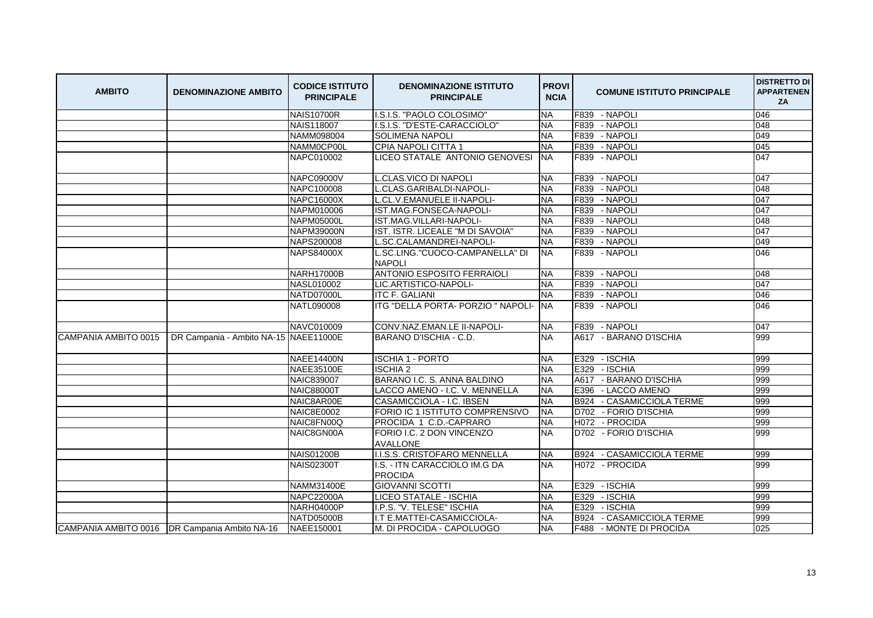| <b>AMBITO</b>        | <b>DENOMINAZIONE AMBITO</b>                     | <b>CODICE ISTITUTO</b><br><b>PRINCIPALE</b> | <b>DENOMINAZIONE ISTITUTO</b><br><b>PRINCIPALE</b> | <b>PROVI</b><br><b>NCIA</b> | <b>COMUNE ISTITUTO PRINCIPALE</b>   | <b>DISTRETTO DI</b><br><b>APPARTENEN</b><br>ZA |
|----------------------|-------------------------------------------------|---------------------------------------------|----------------------------------------------------|-----------------------------|-------------------------------------|------------------------------------------------|
|                      |                                                 | <b>NAIS10700R</b>                           | I.S.I.S. "PAOLO COLOSIMO"                          | <b>NA</b>                   | F839 - NAPOLI                       | 046                                            |
|                      |                                                 | <b>NAIS118007</b>                           | I.S.I.S. "D'ESTE-CARACCIOLO"                       | <b>NA</b>                   | F839 - NAPOLI                       | 048                                            |
|                      |                                                 | NAMM098004                                  | <b>SOLIMENA NAPOLI</b>                             | <b>NA</b>                   | F839 - NAPOLI                       | 049                                            |
|                      |                                                 | NAMM0CP00L                                  | CPIA NAPOLI CITTA 1                                | <b>NA</b>                   | F839 - NAPOLI                       | 045                                            |
|                      |                                                 | NAPC010002                                  | LICEO STATALE ANTONIO GENOVESI                     | <b>NA</b>                   | F839 - NAPOLI                       | 047                                            |
|                      |                                                 | NAPC09000V                                  | L.CLAS.VICO DI NAPOLI                              | <b>NA</b>                   | F839 - NAPOLI                       | 047                                            |
|                      |                                                 | NAPC100008                                  | L.CLAS.GARIBALDI-NAPOLI-                           | <b>NA</b>                   | F839 - NAPOLI                       | 048                                            |
|                      |                                                 | <b>NAPC16000X</b>                           | L.CL.V.EMANUELE II-NAPOLI-                         | <b>NA</b>                   | F839 - NAPOLI                       | 047                                            |
|                      |                                                 | NAPM010006                                  | IST.MAG.FONSECA-NAPOLI-                            | <b>NA</b>                   | F839<br>- NAPOLI                    | 047                                            |
|                      |                                                 | <b>NAPM05000L</b>                           | <b>IST.MAG.VILLARI-NAPOLI-</b>                     | <b>NA</b>                   | F839 - NAPOLI                       | 048                                            |
|                      |                                                 | <b>NAPM39000N</b>                           | IST. ISTR. LICEALE "M DI SAVOIA"                   | <b>NA</b>                   | F839 - NAPOLI                       | 047                                            |
|                      |                                                 | NAPS200008                                  | L.SC.CALAMANDREI-NAPOLI-                           | <b>NA</b>                   | F839 - NAPOLI                       | 049                                            |
|                      |                                                 | <b>NAPS84000X</b>                           | SC.LING."CUOCO-CAMPANELLA" DI<br><b>NAPOLI</b>     | <b>NA</b>                   | F839 - NAPOLI                       | 046                                            |
|                      |                                                 | <b>NARH17000B</b>                           | <b>ANTONIO ESPOSITO FERRAIOLI</b>                  | <b>NA</b>                   | F839 - NAPOLI                       | 048                                            |
|                      |                                                 | <b>NASL010002</b>                           | LIC.ARTISTICO-NAPOLI-                              | <b>NA</b>                   | F839 - NAPOLI                       | 047                                            |
|                      |                                                 | NATD07000L                                  | <b>ITC F. GALIANI</b>                              | NΑ                          | F839 - NAPOLI                       | 046                                            |
|                      |                                                 | NATL090008                                  | ITG "DELLA PORTA- PORZIO " NAPOLI-                 | <b>NA</b>                   | F839 - NAPOLI                       | 046                                            |
|                      |                                                 | NAVC010009                                  | CONV.NAZ.EMAN.LE II-NAPOLI-                        | <b>NA</b>                   | F839 - NAPOLI                       | 047                                            |
| CAMPANIA AMBITO 0015 | DR Campania - Ambito NA-15 NAEE11000E           |                                             | BARANO D'ISCHIA - C.D.                             | <b>NA</b>                   | A617 - BARANO D'ISCHIA              | 999                                            |
|                      |                                                 | <b>NAEE14400N</b>                           | <b>ISCHIA 1 - PORTO</b>                            | <b>NA</b>                   | - ISCHIA<br>E329                    | 999                                            |
|                      |                                                 | NAEE35100E                                  | <b>ISCHIA 2</b>                                    | <b>NA</b>                   | E329 - ISCHIA                       | 999                                            |
|                      |                                                 | <b>NAIC839007</b>                           | BARANO I.C. S. ANNA BALDINO                        | <b>NA</b>                   | A617 - BARANO D'ISCHIA              | 999                                            |
|                      |                                                 | <b>NAIC88000T</b>                           | LACCO AMENO - I.C. V. MENNELLA                     | <b>NA</b>                   | E396 - LACCO AMENO                  | 999                                            |
|                      |                                                 | NAIC8AR00E                                  | CASAMICCIOLA - I.C. IBSEN                          | <b>NA</b>                   | <b>B924</b><br>- CASAMICCIOLA TERME | 999                                            |
|                      |                                                 | <b>NAIC8E0002</b>                           | FORIO IC 1 ISTITUTO COMPRENSIVO                    | <b>NA</b>                   | D702 - FORIO D'ISCHIA               | 999                                            |
|                      |                                                 | NAIC8FN00Q                                  | PROCIDA 1 C.D.-CAPRARO                             | <b>NA</b>                   | H072 - PROCIDA                      | 999                                            |
|                      |                                                 | NAIC8GN00A                                  | FORIO I.C. 2 DON VINCENZO<br><b>AVALLONE</b>       | <b>NA</b>                   | D702 - FORIO D'ISCHIA               | 999                                            |
|                      |                                                 | <b>NAIS01200B</b>                           | I.I.S.S. CRISTOFARO MENNELLA                       | <b>NA</b>                   | B924 - CASAMICCIOLA TERME           | 999                                            |
|                      |                                                 | <b>NAIS02300T</b>                           | I.S. - ITN CARACCIOLO IM.G DA<br>PROCIDA           | <b>NA</b>                   | H072 - PROCIDA                      | 999                                            |
|                      |                                                 | <b>NAMM31400E</b>                           | <b>GIOVANNI SCOTTI</b>                             | <b>NA</b>                   | E329 - ISCHIA                       | 999                                            |
|                      |                                                 | <b>NAPC22000A</b>                           | LICEO STATALE - ISCHIA                             | <b>NA</b>                   | E329<br>- ISCHIA                    | 999                                            |
|                      |                                                 | NARH04000P                                  | I.P.S. "V. TELESE" ISCHIA                          | <b>NA</b>                   | - ISCHIA<br>E329                    | 999                                            |
|                      |                                                 | NATD05000B                                  | I.T E.MATTEI-CASAMICCIOLA-                         | <b>NA</b>                   | B924<br>- CASAMICCIOLA TERME        | 999                                            |
|                      | CAMPANIA AMBITO 0016   DR Campania Ambito NA-16 | NAEE150001                                  | M. DI PROCIDA - CAPOLUOGO                          | <b>NA</b>                   | F488 - MONTE DI PROCIDA             | 025                                            |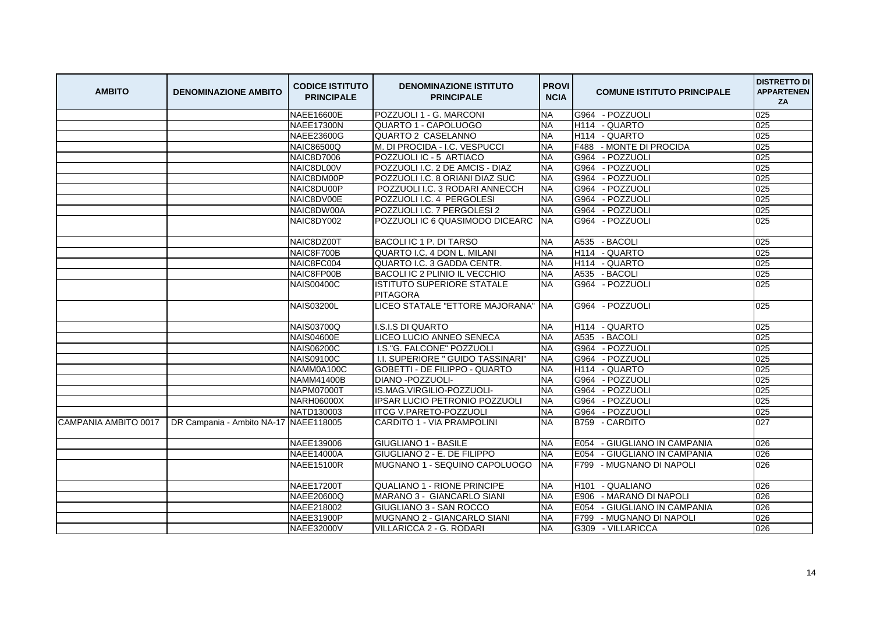| <b>AMBITO</b>        | <b>DENOMINAZIONE AMBITO</b>           | <b>CODICE ISTITUTO</b><br><b>PRINCIPALE</b> | <b>DENOMINAZIONE ISTITUTO</b><br><b>PRINCIPALE</b> | <b>PROVI</b><br><b>NCIA</b> | <b>COMUNE ISTITUTO PRINCIPALE</b> | <b>DISTRETTO DI</b><br><b>APPARTENEN</b><br>ZA |
|----------------------|---------------------------------------|---------------------------------------------|----------------------------------------------------|-----------------------------|-----------------------------------|------------------------------------------------|
|                      |                                       | <b>NAEE16600E</b>                           | POZZUOLI 1 - G. MARCONI                            | <b>NA</b>                   | G964 - POZZUOLI                   | 025                                            |
|                      |                                       | <b>NAEE17300N</b>                           | QUARTO 1 - CAPOLUOGO                               | <b>NA</b>                   | H114 - QUARTO                     | 025                                            |
|                      |                                       | NAEE23600G                                  | QUARTO 2 CASELANNO                                 | <b>NA</b>                   | H114 - QUARTO                     | 025                                            |
|                      |                                       | <b>NAIC86500Q</b>                           | M. DI PROCIDA - I.C. VESPUCCI                      | <b>NA</b>                   | F488 - MONTE DI PROCIDA           | 025                                            |
|                      |                                       | <b>NAIC8D7006</b>                           | POZZUOLI IC - 5 ARTIACO                            | <b>NA</b>                   | G964 - POZZUOLI                   | 025                                            |
|                      |                                       | NAIC8DL00V                                  | POZZUOLI I.C. 2 DE AMCIS - DIAZ                    | <b>NA</b>                   | G964<br>- POZZUOLI                | 025                                            |
|                      |                                       | NAIC8DM00P                                  | POZZUOLI I.C. 8 ORIANI DIAZ SUC                    | <b>NA</b>                   | G964 - POZZUOLI                   | 025                                            |
|                      |                                       | NAIC8DU00P                                  | POZZUOLI I.C. 3 RODARI ANNECCH                     | <b>NA</b>                   | - POZZUOLI<br>G964                | 025                                            |
|                      |                                       | NAIC8DV00E                                  | POZZUOLI I.C. 4 PERGOLESI                          | <b>NA</b>                   | G964 - POZZUOLI                   | 025                                            |
|                      |                                       | NAIC8DW00A                                  | POZZUOLI I.C. 7 PERGOLESI 2                        | <b>NA</b>                   | - POZZUOLI<br>G964                | 025                                            |
|                      |                                       | NAIC8DY002                                  | POZZUOLI IC 6 QUASIMODO DICEARC                    | <b>NA</b>                   | G964 - POZZUOLI                   | 025                                            |
|                      |                                       | NAIC8DZ00T                                  | BACOLI IC 1 P. DI TARSO                            | <b>NA</b>                   | A535 - BACOLI                     | 025                                            |
|                      |                                       | NAIC8F700B                                  | <b>QUARTO I.C. 4 DON L. MILANI</b>                 | <b>NA</b>                   | H114 - QUARTO                     | 025                                            |
|                      |                                       | NAIC8FC004                                  | QUARTO I.C. 3 GADDA CENTR.                         | <b>NA</b>                   | H114 - QUARTO                     | 025                                            |
|                      |                                       | NAIC8FP00B                                  | BACOLI IC 2 PLINIO IL VECCHIO                      | <b>NA</b>                   | A535 - BACOLI                     | 025                                            |
|                      |                                       | <b>NAIS00400C</b>                           | IISTITUTO SUPERIORE STATALE<br><b>PITAGORA</b>     | NA.                         | G964 - POZZUOLI                   | 025                                            |
|                      |                                       | <b>NAIS03200L</b>                           | LICEO STATALE "ETTORE MAJORANA"                    | <b>NA</b>                   | G964 - POZZUOLI                   | 025                                            |
|                      |                                       | <b>NAIS03700Q</b>                           | <b>I.S.I.S DI QUARTO</b>                           | <b>NA</b>                   | H114 - QUARTO                     | 025                                            |
|                      |                                       | <b>NAIS04600E</b>                           | LICEO LUCIO ANNEO SENECA                           | NΑ                          | A535 - BACOLI                     | 025                                            |
|                      |                                       | <b>NAIS06200C</b>                           | I.S."G. FALCONE" POZZUOLI                          | <b>NA</b>                   | G964 - POZZUOLI                   | 025                                            |
|                      |                                       | <b>NAIS09100C</b>                           | I.I. SUPERIORE " GUIDO TASSINARI"                  | <b>NA</b>                   | - POZZUOLI<br>G964                | 025                                            |
|                      |                                       | NAMM0A100C                                  | <b>GOBETTI - DE FILIPPO - QUARTO</b>               | <b>NA</b>                   | - QUARTO<br>H114                  | 025                                            |
|                      |                                       | <b>NAMM41400B</b>                           | DIANO - POZZUOLI-                                  | <b>NA</b>                   | G964<br>- POZZUOLI                | 025                                            |
|                      |                                       | <b>NAPM07000T</b>                           | IS.MAG.VIRGILIO-POZZUOLI-                          | <b>NA</b>                   | G964 - POZZUOLI                   | 025                                            |
|                      |                                       | <b>NARH06000X</b>                           | <b>IPSAR LUCIO PETRONIO POZZUOLI</b>               | <b>NA</b>                   | - POZZUOLI<br>G964                | 025                                            |
|                      |                                       | NATD130003                                  | <b>ITCG V.PARETO-POZZUOLI</b>                      | <b>NA</b>                   | G964 - POZZUOLI                   | 025                                            |
| CAMPANIA AMBITO 0017 | DR Campania - Ambito NA-17 NAEE118005 |                                             | <b>CARDITO 1 - VIA PRAMPOLINI</b>                  | <b>NA</b>                   | B759 - CARDITO                    | 027                                            |
|                      |                                       | NAEE139006                                  | <b>GIUGLIANO 1 - BASILE</b>                        | <b>NA</b>                   | E054 - GIUGLIANO IN CAMPANIA      | 026                                            |
|                      |                                       | <b>NAEE14000A</b>                           | <b>GIUGLIANO 2 - E. DE FILIPPO</b>                 | <b>NA</b>                   | E054 - GIUGLIANO IN CAMPANIA      | 026                                            |
|                      |                                       | <b>NAEE15100R</b>                           | IMUGNANO 1 - SEQUINO CAPOLUOGO                     | <b>NA</b>                   | F799 - MUGNANO DI NAPOLI          | 026                                            |
|                      |                                       | <b>NAEE17200T</b>                           | <b>QUALIANO 1 - RIONE PRINCIPE</b>                 | <b>NA</b>                   | - QUALIANO<br>H <sub>101</sub>    | 026                                            |
|                      |                                       | NAEE20600Q                                  | MARANO 3 - GIANCARLO SIANI                         | <b>NA</b>                   | E906<br>- MARANO DI NAPOLI        | 026                                            |
|                      |                                       | NAEE218002                                  | <b>GIUGLIANO 3 - SAN ROCCO</b>                     | NΑ                          | E054 - GIUGLIANO IN CAMPANIA      | 026                                            |
|                      |                                       | <b>NAEE31900P</b>                           | MUGNANO 2 - GIANCARLO SIANI                        | <b>NA</b>                   | F799<br>- MUGNANO DI NAPOLI       | 026                                            |
|                      |                                       | <b>NAEE32000V</b>                           | VILLARICCA 2 - G. RODARI                           | <b>NA</b>                   | G309 - VILLARICCA                 | 026                                            |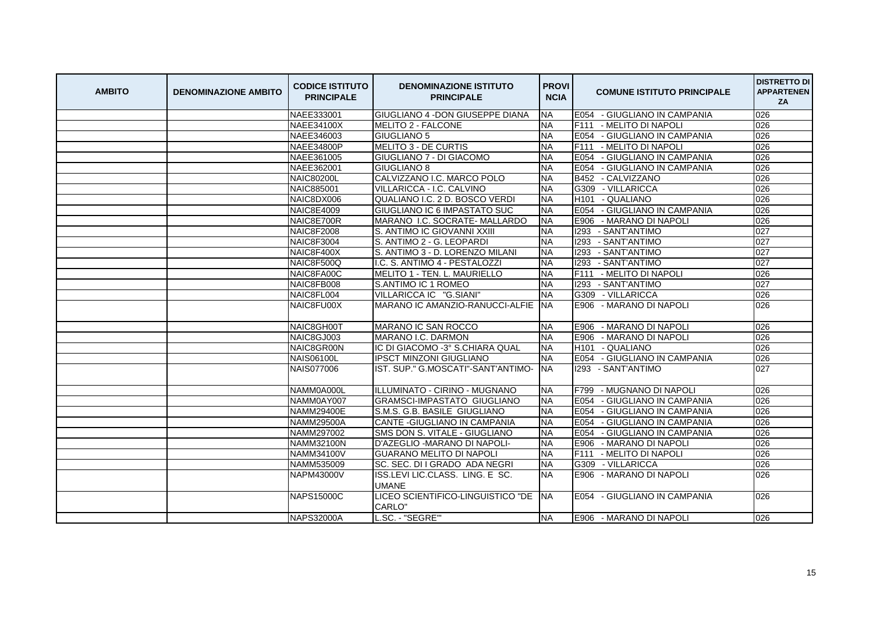| <b>AMBITO</b> | <b>DENOMINAZIONE AMBITO</b> | <b>CODICE ISTITUTO</b><br><b>PRINCIPALE</b> | <b>DENOMINAZIONE ISTITUTO</b><br><b>PRINCIPALE</b> | <b>PROVI</b><br><b>NCIA</b> | <b>COMUNE ISTITUTO PRINCIPALE</b>      | <b>DISTRETTO DI</b><br><b>APPARTENEN</b><br>ZA |
|---------------|-----------------------------|---------------------------------------------|----------------------------------------------------|-----------------------------|----------------------------------------|------------------------------------------------|
|               |                             | NAEE333001                                  | <b>GIUGLIANO 4 - DON GIUSEPPE DIANA</b>            | <b>NA</b>                   | E054 - GIUGLIANO IN CAMPANIA           | 026                                            |
|               |                             | <b>NAEE34100X</b>                           | <b>MELITO 2 - FALCONE</b>                          | <b>NA</b>                   | F111<br>- MELITO DI NAPOLI             | 026                                            |
|               |                             | NAEE346003                                  | <b>GIUGLIANO 5</b>                                 | <b>NA</b>                   | E054<br>- GIUGLIANO IN CAMPANIA        | 026                                            |
|               |                             | <b>NAEE34800P</b>                           | <b>MELITO 3 - DE CURTIS</b>                        | <b>NA</b>                   | F111<br>- MELITO DI NAPOLI             | 026                                            |
|               |                             | NAEE361005                                  | <b>GIUGLIANO 7 - DI GIACOMO</b>                    | <b>NA</b>                   | E054<br>- GIUGLIANO IN CAMPANIA        | 026                                            |
|               |                             | NAEE362001                                  | <b>GIUGLIANO 8</b>                                 | <b>NA</b>                   | E054<br>- GIUGLIANO IN CAMPANIA        | 026                                            |
|               |                             | <b>NAIC80200L</b>                           | CALVIZZANO I.C. MARCO POLO                         | <b>NA</b>                   | - CALVIZZANO<br>B452                   | 026                                            |
|               |                             | NAIC885001                                  | VILLARICCA - I.C. CALVINO                          | <b>NA</b>                   | G309<br>- VILLARICCA                   | 026                                            |
|               |                             | NAIC8DX006                                  | QUALIANO I.C. 2 D. BOSCO VERDI                     | <b>NA</b>                   | H <sub>101</sub><br>- QUALIANO         | 026                                            |
|               |                             | <b>NAIC8E4009</b>                           | <b>GIUGLIANO IC 6 IMPASTATO SUC</b>                | <b>NA</b>                   | E054 - GIUGLIANO IN CAMPANIA           | 026                                            |
|               |                             | NAIC8E700R                                  | MARANO I.C. SOCRATE- MALLARDO                      | <b>NA</b>                   | E906 - MARANO DI NAPOLI                | 026                                            |
|               |                             | <b>NAIC8F2008</b>                           | S. ANTIMO IC GIOVANNI XXIII                        | <b>NA</b>                   | 1293<br>- SANT'ANTIMO                  | 027                                            |
|               |                             | <b>NAIC8F3004</b>                           | S. ANTIMO 2 - G. LEOPARDI                          | <b>NA</b>                   | 1293 - SANT'ANTIMO                     | 027                                            |
|               |                             | NAIC8F400X                                  | S. ANTIMO 3 - D. LORENZO MILANI                    | <b>NA</b>                   | 1293 - SANT'ANTIMO                     | 027                                            |
|               |                             | NAIC8F500Q                                  | I.C. S. ANTIMO 4 - PESTALOZZI                      | <b>NA</b>                   | 1293 - SANT'ANTIMO                     | 027                                            |
|               |                             | NAIC8FA00C                                  | MELITO 1 - TEN. L. MAURIELLO                       | <b>NA</b>                   | F <sub>111</sub><br>- MELITO DI NAPOLI | 026                                            |
|               |                             | NAIC8FB008                                  | S.ANTIMO IC 1 ROMEO                                | <b>NA</b>                   | 1293 - SANT'ANTIMO                     | 027                                            |
|               |                             | NAIC8FL004                                  | VILLARICCA IC "G.SIANI"                            | <b>NA</b>                   | G309 - VILLARICCA                      | 026                                            |
|               |                             | NAIC8FU00X                                  | MARANO IC AMANZIO-RANUCCI-ALFIE                    | <b>INA</b>                  | E906 - MARANO DI NAPOLI                | 026                                            |
|               |                             | NAIC8GH00T                                  | <b>MARANO IC SAN ROCCO</b>                         | <b>NA</b>                   | E906 - MARANO DI NAPOLI                | 026                                            |
|               |                             | NAIC8GJ003                                  | MARANO I.C. DARMON                                 | <b>NA</b>                   | E906 - MARANO DI NAPOLI                | 026                                            |
|               |                             | NAIC8GR00N                                  | IC DI GIACOMO -3° S.CHIARA QUAL                    | <b>NA</b>                   | H <sub>101</sub> - QUALIANO            | 026                                            |
|               |                             | <b>NAIS06100L</b>                           | <b>IPSCT MINZONI GIUGLIANO</b>                     | <b>NA</b>                   | E054 - GIUGLIANO IN CAMPANIA           | 026                                            |
|               |                             | <b>NAIS077006</b>                           | IST. SUP." G.MOSCATI"-SANT'ANTIMO-                 | <b>NA</b>                   | 1293 - SANT'ANTIMO                     | 027                                            |
|               |                             | NAMM0A000L                                  | ILLLUMINATO - CIRINO - MUGNANO                     | <b>NA</b>                   | - MUGNANO DI NAPOLI<br>F799            | 026                                            |
|               |                             | NAMM0AY007                                  | <b>GRAMSCI-IMPASTATO GIUGLIANO</b>                 | <b>NA</b>                   | E054<br>- GIUGLIANO IN CAMPANIA        | 026                                            |
|               |                             | <b>NAMM29400E</b>                           | S.M.S. G.B. BASILE GIUGLIANO                       | <b>NA</b>                   | E054<br>- GIUGLIANO IN CAMPANIA        | 026                                            |
|               |                             | <b>NAMM29500A</b>                           | CANTE - GIUGLIANO IN CAMPANIA                      | <b>NA</b>                   | E054<br>- GIUGLIANO IN CAMPANIA        | 026                                            |
|               |                             | NAMM297002                                  | SMS DON S. VITALE - GIUGLIANO                      | <b>NA</b>                   | E054<br>- GIUGLIANO IN CAMPANIA        | 026                                            |
|               |                             | <b>NAMM32100N</b>                           | D'AZEGLIO - MARANO DI NAPOLI-                      | <b>NA</b>                   | E906<br>- MARANO DI NAPOLI             | 026                                            |
|               |                             | <b>NAMM34100V</b>                           | <b>GUARANO MELITO DI NAPOLI</b>                    | <b>NA</b>                   | F111<br>- MELITO DI NAPOLI             | 026                                            |
|               |                             | NAMM535009                                  | SC. SEC. DI I GRADO ADA NEGRI                      | <b>NA</b>                   | G309 - VILLARICCA                      | 026                                            |
|               |                             | NAPM43000V                                  | ISS.LEVI LIC.CLASS. LING. E SC.<br><b>UMANE</b>    | <b>NA</b>                   | E906 - MARANO DI NAPOLI                | 026                                            |
|               |                             | <b>NAPS15000C</b>                           | LICEO SCIENTIFICO-LINGUISTICO "DE<br>CARLO"        | <b>NA</b>                   | E054 - GIUGLIANO IN CAMPANIA           | 026                                            |
|               |                             | <b>NAPS32000A</b>                           | L.SC. - "SEGRE"                                    | <b>NA</b>                   | E906 - MARANO DI NAPOLI                | 026                                            |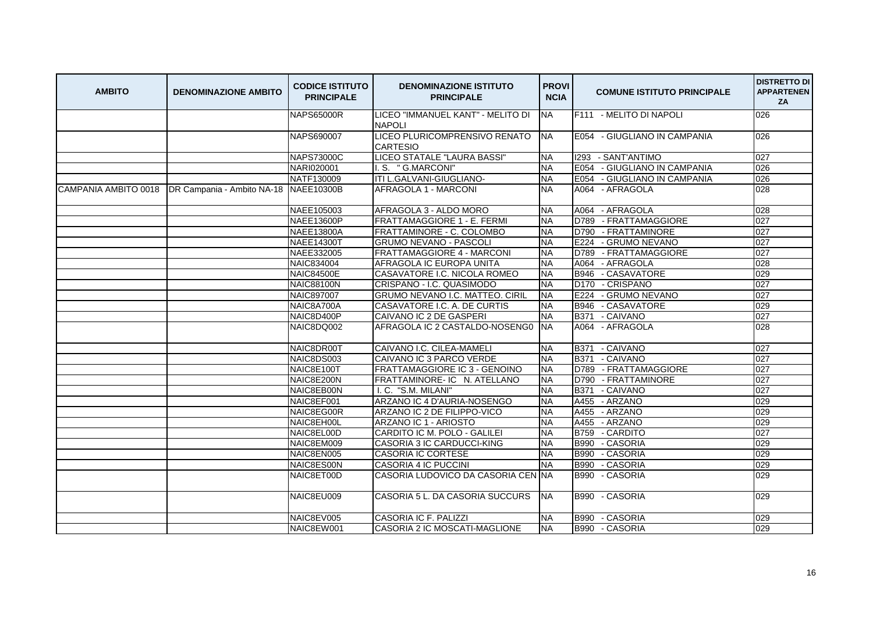| <b>AMBITO</b> | <b>DENOMINAZIONE AMBITO</b>                                    | <b>CODICE ISTITUTO</b><br><b>PRINCIPALE</b> | <b>DENOMINAZIONE ISTITUTO</b><br><b>PRINCIPALE</b> | <b>PROVI</b><br><b>NCIA</b> | <b>COMUNE ISTITUTO PRINCIPALE</b> | <b>DISTRETTO DI</b><br><b>APPARTENEN</b><br>ZA |
|---------------|----------------------------------------------------------------|---------------------------------------------|----------------------------------------------------|-----------------------------|-----------------------------------|------------------------------------------------|
|               |                                                                | <b>NAPS65000R</b>                           | LICEO "IMMANUEL KANT" - MELITO DI<br><b>NAPOLI</b> | <b>NA</b>                   | F111 - MELITO DI NAPOLI           | 026                                            |
|               |                                                                | NAPS690007                                  | LICEO PLURICOMPRENSIVO RENATO<br><b>CARTESIO</b>   | <b>INA</b>                  | E054 - GIUGLIANO IN CAMPANIA      | 026                                            |
|               |                                                                | <b>NAPS73000C</b>                           | LICEO STATALE "LAURA BASSI"                        | <b>NA</b>                   | 1293 - SANT'ANTIMO                | 027                                            |
|               |                                                                | NARI020001                                  | I.S. "G.MARCONI"                                   | <b>NA</b>                   | E054 - GIUGLIANO IN CAMPANIA      | 026                                            |
|               |                                                                | NATF130009                                  | ITI L.GALVANI-GIUGLIANO-                           | <b>NA</b>                   | E054 - GIUGLIANO IN CAMPANIA      | 026                                            |
|               | CAMPANIA AMBITO 0018   DR Campania - Ambito NA-18   NAEE10300B |                                             | <b>AFRAGOLA 1 - MARCONI</b>                        | <b>NA</b>                   | A064 - AFRAGOLA                   | 028                                            |
|               |                                                                | NAEE105003                                  | AFRAGOLA 3 - ALDO MORO                             | <b>NA</b>                   | A064 - AFRAGOLA                   | 028                                            |
|               |                                                                | <b>NAEE13600P</b>                           | FRATTAMAGGIORE 1 - E. FERMI                        | <b>NA</b>                   | D789 - FRATTAMAGGIORE             | 027                                            |
|               |                                                                | <b>NAEE13800A</b>                           | FRATTAMINORE - C. COLOMBO                          | <b>NA</b>                   | D790 - FRATTAMINORE               | 027                                            |
|               |                                                                | <b>NAEE14300T</b>                           | <b>GRUMO NEVANO - PASCOLI</b>                      | <b>NA</b>                   | E224 - GRUMO NEVANO               | 027                                            |
|               |                                                                | NAEE332005                                  | FRATTAMAGGIORE 4 - MARCONI                         | <b>NA</b>                   | D789 - FRATTAMAGGIORE             | 027                                            |
|               |                                                                | NAIC834004                                  | AFRAGOLA IC EUROPA UNITA                           | <b>NA</b>                   | A064 - AFRAGOLA                   | 028                                            |
|               |                                                                | <b>NAIC84500E</b>                           | CASAVATORE I.C. NICOLA ROMEO                       | <b>NA</b>                   | B946 - CASAVATORE                 | 029                                            |
|               |                                                                | <b>NAIC88100N</b>                           | CRISPANO - I.C. QUASIMODO                          | <b>NA</b>                   | - CRISPANO<br>D <sub>170</sub>    | 027                                            |
|               |                                                                | <b>NAIC897007</b>                           | GRUMO NEVANO I.C. MATTEO. CIRIL                    | <b>NA</b>                   | E224 - GRUMO NEVANO               | 027                                            |
|               |                                                                | NAIC8A700A                                  | CASAVATORE I.C. A. DE CURTIS                       | <b>NA</b>                   | B946 - CASAVATORE                 | 029                                            |
|               |                                                                | NAIC8D400P                                  | CAIVANO IC 2 DE GASPERI                            | <b>NA</b>                   | B371 - CAIVANO                    | 027                                            |
|               |                                                                | NAIC8DQ002                                  | AFRAGOLA IC 2 CASTALDO-NOSENG0                     | <b>INA</b>                  | A064 - AFRAGOLA                   | 028                                            |
|               |                                                                | NAIC8DR00T                                  | CAIVANO I.C. CILEA-MAMELI                          | <b>NA</b>                   | B371 - CAIVANO                    | 027                                            |
|               |                                                                | NAIC8DS003                                  | CAIVANO IC 3 PARCO VERDE                           | <b>NA</b>                   | - CAIVANO<br><b>B371</b>          | 027                                            |
|               |                                                                | NAIC8E100T                                  | FRATTAMAGGIORE IC 3 - GENOINO                      | <b>NA</b>                   | D789 - FRATTAMAGGIORE             | 027                                            |
|               |                                                                | NAIC8E200N                                  | FRATTAMINORE-IC N. ATELLANO                        | <b>NA</b>                   | D790 - FRATTAMINORE               | 027                                            |
|               |                                                                | NAIC8EB00N                                  | I. C. "S.M. MILANI"                                | <b>NA</b>                   | - CAIVANO<br><b>B371</b>          | 027                                            |
|               |                                                                | NAIC8EF001                                  | ARZANO IC 4 D'AURIA-NOSENGO                        | <b>NA</b>                   | A455 - ARZANO                     | 029                                            |
|               |                                                                | NAIC8EG00R                                  | ARZANO IC 2 DE FILIPPO-VICO                        | <b>NA</b>                   | A455 - ARZANO                     | 029                                            |
|               |                                                                | NAIC8EH00L                                  | ARZANO IC 1 - ARIOSTO                              | <b>NA</b>                   | A455 - ARZANO                     | 029                                            |
|               |                                                                | NAIC8EL00D                                  | CARDITO IC M. POLO - GALILEI                       | <b>NA</b>                   | B759 - CARDITO                    | 027                                            |
|               |                                                                | NAIC8EM009                                  | CASORIA 3 IC CARDUCCI-KING                         | <b>NA</b>                   | - CASORIA<br><b>B990</b>          | 029                                            |
|               |                                                                | NAIC8EN005                                  | <b>CASORIA IC CORTESE</b>                          | <b>NA</b>                   | B990 - CASORIA                    | 029                                            |
|               |                                                                | NAIC8ES00N                                  | <b>CASORIA 4 IC PUCCINI</b>                        | <b>NA</b>                   | B990 - CASORIA                    | 029                                            |
|               |                                                                | NAIC8ET00D                                  | CASORIA LUDOVICO DA CASORIA CEN NA                 |                             | B990 - CASORIA                    | 029                                            |
|               |                                                                | NAIC8EU009                                  | CASORIA 5 L. DA CASORIA SUCCURS                    | <b>INA</b>                  | B990 - CASORIA                    | 029                                            |
|               |                                                                | NAIC8EV005                                  | CASORIA IC F. PALIZZI                              | <b>NA</b>                   | B990 - CASORIA                    | 029                                            |
|               |                                                                | NAIC8EW001                                  | CASORIA 2 IC MOSCATI-MAGLIONE                      | <b>NA</b>                   | B990 - CASORIA                    | 029                                            |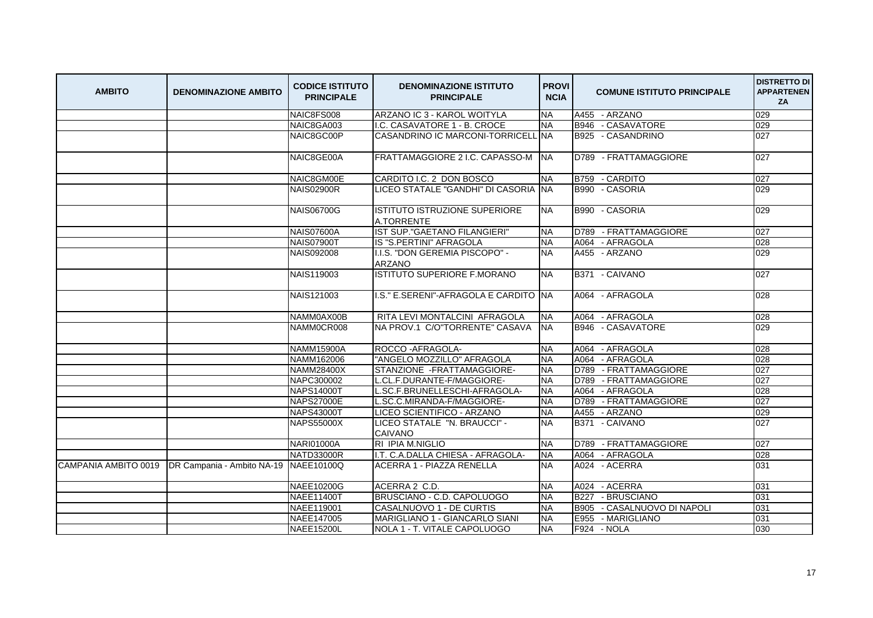| <b>AMBITO</b> | <b>DENOMINAZIONE AMBITO</b>                                    | <b>CODICE ISTITUTO</b><br><b>PRINCIPALE</b> | <b>DENOMINAZIONE ISTITUTO</b><br><b>PRINCIPALE</b> | <b>PROVI</b><br><b>NCIA</b> | <b>COMUNE ISTITUTO PRINCIPALE</b>      | <b>DISTRETTO DI</b><br><b>APPARTENEN</b><br>ZA |
|---------------|----------------------------------------------------------------|---------------------------------------------|----------------------------------------------------|-----------------------------|----------------------------------------|------------------------------------------------|
|               |                                                                | NAIC8FS008                                  | ARZANO IC 3 - KAROL WOITYLA                        | <b>NA</b>                   | A455 - ARZANO                          | 029                                            |
|               |                                                                | NAIC8GA003                                  | I.C. CASAVATORE 1 - B. CROCE                       | <b>NA</b>                   | B946 - CASAVATORE                      | 029                                            |
|               |                                                                | NAIC8GC00P                                  | CASANDRINO IC MARCONI-TORRICELL                    | .INA                        | B925 - CASANDRINO                      | 027                                            |
|               |                                                                | NAIC8GE00A                                  | FRATTAMAGGIORE 2 I.C. CAPASSO-M NA                 |                             | D789 - FRATTAMAGGIORE                  | 027                                            |
|               |                                                                | NAIC8GM00E                                  | CARDITO I.C. 2 DON BOSCO                           | <b>NA</b>                   | B759 - CARDITO                         | 027                                            |
|               |                                                                | <b>NAIS02900R</b>                           | LICEO STATALE "GANDHI" DI CASORIA NA               |                             | B990 - CASORIA                         | 029                                            |
|               |                                                                | <b>NAIS06700G</b>                           | IISTITUTO ISTRUZIONE SUPERIORE<br>A.TORRENTE       | NA.                         | B990 - CASORIA                         | 029                                            |
|               |                                                                | <b>NAIS07600A</b>                           | IST SUP."GAETANO FILANGIERI"                       | <b>NA</b>                   | D789 - FRATTAMAGGIORE                  | 027                                            |
|               |                                                                | <b>NAIS07900T</b>                           | IS "S.PERTINI" AFRAGOLA                            | <b>NA</b>                   | A064 - AFRAGOLA                        | 028                                            |
|               |                                                                | <b>NAIS092008</b>                           | I.I.S. "DON GEREMIA PISCOPO" -<br><b>ARZANO</b>    | <b>NA</b>                   | A455 - ARZANO                          | 029                                            |
|               |                                                                | <b>NAIS119003</b>                           | ISTITUTO SUPERIORE F.MORANO                        | <b>NA</b>                   | B371 - CAIVANO                         | 027                                            |
|               |                                                                | NAIS121003                                  | I.S." E.SERENI"-AFRAGOLA E CARDITO NA              |                             | A064 - AFRAGOLA                        | 028                                            |
|               |                                                                | NAMM0AX00B                                  | RITA LEVI MONTALCINI AFRAGOLA                      | <b>NA</b>                   | A064 - AFRAGOLA                        | 028                                            |
|               |                                                                | NAMM0CR008                                  | <b>INA PROV.1 C/O"TORRENTE" CASAVA</b>             | <b>NA</b>                   | B946 - CASAVATORE                      | 029                                            |
|               |                                                                | <b>NAMM15900A</b>                           | ROCCO-AFRAGOLA-                                    | <b>NA</b>                   | A064 - AFRAGOLA                        | 028                                            |
|               |                                                                | NAMM162006                                  | "ANGELO MOZZILLO" AFRAGOLA                         | <b>NA</b>                   | A064 - AFRAGOLA                        | 028                                            |
|               |                                                                | <b>NAMM28400X</b>                           | STANZIONE - FRATTAMAGGIORE-                        | <b>NA</b>                   | D789 - FRATTAMAGGIORE                  | 027                                            |
|               |                                                                | NAPC300002                                  | L.CL.F.DURANTE-F/MAGGIORE-                         | <b>NA</b>                   | D789 - FRATTAMAGGIORE                  | 027                                            |
|               |                                                                | <b>NAPS14000T</b>                           | L.SC.F.BRUNELLESCHI-AFRAGOLA-                      | <b>NA</b>                   | A064 - AFRAGOLA                        | 028                                            |
|               |                                                                | <b>NAPS27000E</b>                           | L.SC.C.MIRANDA-F/MAGGIORE-                         | <b>NA</b>                   | D789 - FRATTAMAGGIORE                  | 027                                            |
|               |                                                                | <b>NAPS43000T</b>                           | LICEO SCIENTIFICO - ARZANO                         | <b>NA</b>                   | A455 - ARZANO                          | 029                                            |
|               |                                                                | <b>NAPS55000X</b>                           | LICEO STATALE "N. BRAUCCI" -<br><b>CAIVANO</b>     | <b>NA</b>                   | B371 - CAIVANO                         | 027                                            |
|               |                                                                | <b>NARI01000A</b>                           | RI IPIA M.NIGLIO                                   | <b>NA</b>                   | D789 - FRATTAMAGGIORE                  | 027                                            |
|               |                                                                | <b>NATD33000R</b>                           | I.T. C.A.DALLA CHIESA - AFRAGOLA-                  | <b>NA</b>                   | A064 - AFRAGOLA                        | 028                                            |
|               | CAMPANIA AMBITO 0019   DR Campania - Ambito NA-19   NAEE10100Q |                                             | <b>ACERRA 1 - PIAZZA RENELLA</b>                   | <b>NA</b>                   | A024 - ACERRA                          | 031                                            |
|               |                                                                | NAEE10200G                                  | ACERRA 2 C.D.                                      | <b>NA</b>                   | A024 - ACERRA                          | 031                                            |
|               |                                                                | <b>NAEE11400T</b>                           | BRUSCIANO - C.D. CAPOLUOGO                         | <b>NA</b>                   | B227 - BRUSCIANO                       | 031                                            |
|               |                                                                | NAEE119001                                  | CASALNUOVO 1 - DE CURTIS                           | <b>NA</b>                   | <b>B</b> 905<br>- CASALNUOVO DI NAPOLI | 031                                            |
|               |                                                                | NAEE147005                                  | MARIGLIANO 1 - GIANCARLO SIANI                     | <b>NA</b>                   | E955<br>- MARIGLIANO                   | 031                                            |
|               |                                                                | <b>NAEE15200L</b>                           | NOLA 1 - T. VITALE CAPOLUOGO                       | <b>NA</b>                   | F924 - NOLA                            | 030                                            |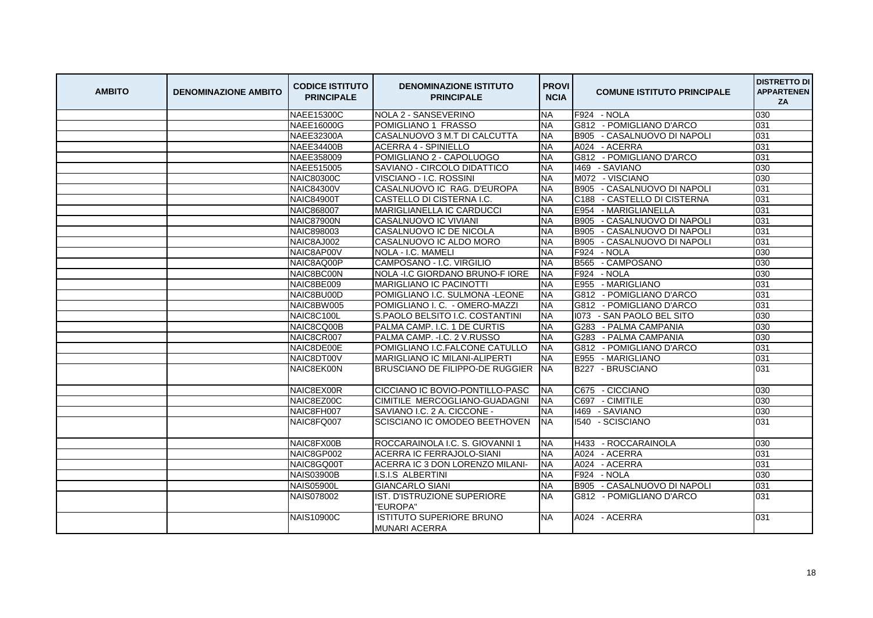| <b>AMBITO</b> | <b>DENOMINAZIONE AMBITO</b> | <b>CODICE ISTITUTO</b><br><b>PRINCIPALE</b> | <b>DENOMINAZIONE ISTITUTO</b><br><b>PRINCIPALE</b>      | <b>PROVI</b><br><b>NCIA</b> | <b>COMUNE ISTITUTO PRINCIPALE</b>      | <b>DISTRETTO DI</b><br><b>APPARTENEN</b><br>ZA |
|---------------|-----------------------------|---------------------------------------------|---------------------------------------------------------|-----------------------------|----------------------------------------|------------------------------------------------|
|               |                             | <b>NAEE15300C</b>                           | <b>NOLA 2 - SANSEVERINO</b>                             | <b>NA</b>                   | F924 - NOLA                            | 030                                            |
|               |                             | <b>NAEE16000G</b>                           | POMIGLIANO 1 FRASSO                                     | <b>NA</b>                   | G812 - POMIGLIANO D'ARCO               | 031                                            |
|               |                             | NAEE32300A                                  | CASALNUOVO 3 M.T DI CALCUTTA                            | <b>NA</b>                   | <b>B905</b><br>- CASALNUOVO DI NAPOLI  | 031                                            |
|               |                             | <b>NAEE34400B</b>                           | <b>ACERRA 4 - SPINIELLO</b>                             | <b>NA</b>                   | A024 - ACERRA                          | 031                                            |
|               |                             | NAEE358009                                  | POMIGLIANO 2 - CAPOLUOGO                                | <b>NA</b>                   | G812 - POMIGLIANO D'ARCO               | 031                                            |
|               |                             | NAEE515005                                  | SAVIANO - CIRCOLO DIDATTICO                             | <b>NA</b>                   | 1469 - SAVIANO                         | 030                                            |
|               |                             | <b>NAIC80300C</b>                           | VISCIANO - I.C. ROSSINI                                 | <b>NA</b>                   | M072 - VISCIANO                        | 030                                            |
|               |                             | <b>NAIC84300V</b>                           | CASALNUOVO IC RAG. D'EUROPA                             | <b>NA</b>                   | B905 - CASALNUOVO DI NAPOLI            | 031                                            |
|               |                             | <b>NAIC84900T</b>                           | CASTELLO DI CISTERNA I.C.                               | <b>NA</b>                   | C188 - CASTELLO DI CISTERNA            | 031                                            |
|               |                             | NAIC868007                                  | MARIGLIANELLA IC CARDUCCI                               | <b>NA</b>                   | E954<br>- MARIGLIANELLA                | 031                                            |
|               |                             | <b>NAIC87900N</b>                           | <b>CASALNUOVO IC VIVIANI</b>                            | <b>NA</b>                   | <b>B</b> 905<br>- CASALNUOVO DI NAPOLI | 031                                            |
|               |                             | NAIC898003                                  | CASALNUOVO IC DE NICOLA                                 | <b>NA</b>                   | - CASALNUOVO DI NAPOLI<br><b>B905</b>  | 031                                            |
|               |                             | NAIC8AJ002                                  | CASALNUOVO IC ALDO MORO                                 | <b>NA</b>                   | <b>B905</b><br>- CASALNUOVO DI NAPOLI  | 031                                            |
|               |                             | NAIC8AP00V                                  | NOLA - I.C. MAMELI                                      | <b>NA</b>                   | F924<br>- NOLA                         | 030                                            |
|               |                             | NAIC8AQ00P                                  | CAMPOSANO - I.C. VIRGILIO                               | <b>NA</b>                   | B565 - CAMPOSANO                       | 030                                            |
|               |                             | NAIC8BC00N                                  | NOLA - I.C GIORDANO BRUNO-F IORE                        | <b>NA</b>                   | F924 - NOLA                            | 030                                            |
|               |                             | NAIC8BE009                                  | <b>MARIGLIANO IC PACINOTTI</b>                          | <b>NA</b>                   | E955<br>- MARIGLIANO                   | 031                                            |
|               |                             | NAIC8BU00D                                  | POMIGLIANO I.C. SULMONA - LEONE                         | <b>NA</b>                   | G812 - POMIGLIANO D'ARCO               | 031                                            |
|               |                             | NAIC8BW005                                  | POMIGLIANO I. C. - OMERO-MAZZI                          | <b>NA</b>                   | G812 - POMIGLIANO D'ARCO               | 031                                            |
|               |                             | NAIC8C100L                                  | S.PAOLO BELSITO I.C. COSTANTINI                         | <b>NA</b>                   | 1073 - SAN PAOLO BEL SITO              | 030                                            |
|               |                             | NAIC8CQ00B                                  | PALMA CAMP. I.C. 1 DE CURTIS                            | <b>NA</b>                   | G283 - PALMA CAMPANIA                  | 030                                            |
|               |                             | NAIC8CR007                                  | PALMA CAMP. - I.C. 2 V.RUSSO                            | <b>NA</b>                   | G283 - PALMA CAMPANIA                  | 030                                            |
|               |                             | NAIC8DE00E                                  | POMIGLIANO I.C.FALCONE CATULLO                          | <b>NA</b>                   | G812 - POMIGLIANO D'ARCO               | 031                                            |
|               |                             | NAIC8DT00V                                  | <b>MARIGLIANO IC MILANI-ALIPERTI</b>                    | <b>NA</b>                   | E955 - MARIGLIANO                      | 031                                            |
|               |                             | NAIC8EK00N                                  | <b>BRUSCIANO DE FILIPPO-DE RUGGIER</b>                  | <b>NA</b>                   | B227 - BRUSCIANO                       | 031                                            |
|               |                             | NAIC8EX00R                                  | CICCIANO IC BOVIO-PONTILLO-PASC                         | <b>NA</b>                   | C675 - CICCIANO                        | 030                                            |
|               |                             | NAIC8EZ00C                                  | CIMITILE MERCOGLIANO-GUADAGNI                           | <b>NA</b>                   | C697 - CIMITILE                        | 030                                            |
|               |                             | NAIC8FH007                                  | SAVIANO I.C. 2 A. CICCONE -                             | <b>NA</b>                   | 1469 - SAVIANO                         | 030                                            |
|               |                             | NAIC8FQ007                                  | SCISCIANO IC OMODEO BEETHOVEN                           | <b>NA</b>                   | 1540 - SCISCIANO                       | 031                                            |
|               |                             | NAIC8FX00B                                  | ROCCARAINOLA I.C. S. GIOVANNI 1                         | <b>NA</b>                   | H433 - ROCCARAINOLA                    | 030                                            |
|               |                             | NAIC8GP002                                  | ACERRA IC FERRAJOLO-SIANI                               | <b>NA</b>                   | A024 - ACERRA                          | 031                                            |
|               |                             | NAIC8GQ00T                                  | ACERRA IC 3 DON LORENZO MILANI-                         | <b>NA</b>                   | A024 - ACERRA                          | 031                                            |
|               |                             | <b>NAIS03900B</b>                           | I.S.I.S ALBERTINI                                       | <b>NA</b>                   | F924<br>- NOLA                         | 030                                            |
|               |                             | <b>NAIS05900L</b>                           | <b>GIANCARLO SIANI</b>                                  | <b>NA</b>                   | B905 - CASALNUOVO DI NAPOLI            | 031                                            |
|               |                             | <b>NAIS078002</b>                           | IST. D'ISTRUZIONE SUPERIORE<br>"EUROPA"                 | <b>NA</b>                   | G812 - POMIGLIANO D'ARCO               | 031                                            |
|               |                             | <b>NAIS10900C</b>                           | <b>ISTITUTO SUPERIORE BRUNO</b><br><b>MUNARI ACERRA</b> | NA.                         | A024 - ACERRA                          | 031                                            |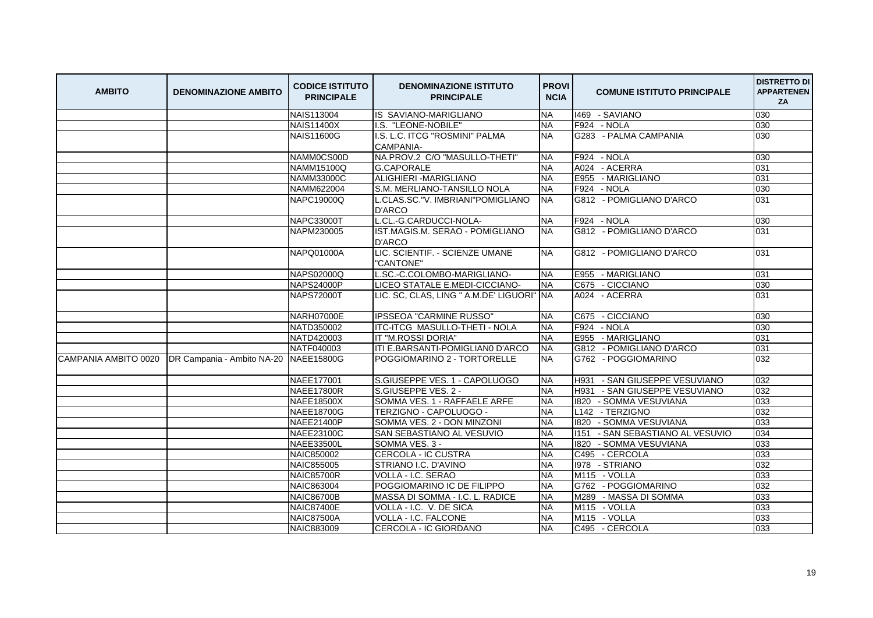| <b>AMBITO</b>        | <b>DENOMINAZIONE AMBITO</b>           | <b>CODICE ISTITUTO</b><br><b>PRINCIPALE</b> | <b>DENOMINAZIONE ISTITUTO</b><br><b>PRINCIPALE</b> | <b>PROVI</b><br><b>NCIA</b> | <b>COMUNE ISTITUTO PRINCIPALE</b>   | <b>DISTRETTO DI</b><br><b>APPARTENEN</b><br>ZA |
|----------------------|---------------------------------------|---------------------------------------------|----------------------------------------------------|-----------------------------|-------------------------------------|------------------------------------------------|
|                      |                                       | <b>NAIS113004</b>                           | IS SAVIANO-MARIGLIANO                              | <b>NA</b>                   | 1469 - SAVIANO                      | 030                                            |
|                      |                                       | <b>NAIS11400X</b>                           | I.S. "LEONE-NOBILE"                                | <b>NA</b>                   | F924 - NOLA                         | 030                                            |
|                      |                                       | <b>NAIS11600G</b>                           | I.S. L.C. ITCG "ROSMINI" PALMA<br><b>CAMPANIA-</b> | <b>NA</b>                   | G283 - PALMA CAMPANIA               | 030                                            |
|                      |                                       | NAMM0CS00D                                  | NA.PROV.2 C/O "MASULLO-THETI"                      | <b>NA</b>                   | F924 - NOLA                         | 030                                            |
|                      |                                       | NAMM15100Q                                  | <b>G.CAPORALE</b>                                  | <b>NA</b>                   | A024 - ACERRA                       | 031                                            |
|                      |                                       | <b>NAMM33000C</b>                           | <b>ALIGHIERI - MARIGLIANO</b>                      | <b>NA</b>                   | E955 - MARIGLIANO                   | 031                                            |
|                      |                                       | NAMM622004                                  | S.M. MERLIANO-TANSILLO NOLA                        | <b>NA</b>                   | F924 - NOLA                         | 030                                            |
|                      |                                       | NAPC19000Q                                  | L.CLAS.SC."V. IMBRIANI"POMIGLIANO<br><b>D'ARCO</b> | <b>NA</b>                   | G812 - POMIGLIANO D'ARCO            | 031                                            |
|                      |                                       | <b>NAPC33000T</b>                           | L.CL.-G.CARDUCCI-NOLA-                             | <b>NA</b>                   | F924 - NOLA                         | 030                                            |
|                      |                                       | NAPM230005                                  | IST.MAGIS.M. SERAO - POMIGLIANO<br><b>D'ARCO</b>   | <b>NA</b>                   | G812 - POMIGLIANO D'ARCO            | 031                                            |
|                      |                                       | <b>NAPQ01000A</b>                           | LIC. SCIENTIF. - SCIENZE UMANE<br>"CANTONE"        | <b>NA</b>                   | G812 - POMIGLIANO D'ARCO            | 031                                            |
|                      |                                       | <b>NAPS02000Q</b>                           | L.SC.-C.COLOMBO-MARIGLIANO-                        | <b>INA</b>                  | E955 - MARIGLIANO                   | 031                                            |
|                      |                                       | <b>NAPS24000P</b>                           | LICEO STATALE E.MEDI-CICCIANO-                     | <b>NA</b>                   | C675 - CICCIANO                     | 030                                            |
|                      |                                       | <b>NAPS72000T</b>                           | LIC. SC, CLAS, LING " A.M.DE' LIGUORI" NA          |                             | A024 - ACERRA                       | 031                                            |
|                      |                                       | NARH07000E                                  | <b>IPSSEOA "CARMINE RUSSO"</b>                     | <b>NA</b>                   | C675 - CICCIANO                     | 030                                            |
|                      |                                       | NATD350002                                  | ITC-ITCG MASULLO-THETI - NOLA                      | <b>NA</b>                   | F924 - NOLA                         | 030                                            |
|                      |                                       | NATD420003                                  | IT "M.ROSSI DORIA"                                 | <b>NA</b>                   | E955 - MARIGLIANO                   | 031                                            |
|                      |                                       | NATF040003                                  | ITI E.BARSANTI-POMIGLIAN0 D'ARCO                   | <b>NA</b>                   | G812 - POMIGLIANO D'ARCO            | 031                                            |
| CAMPANIA AMBITO 0020 | DR Campania - Ambito NA-20 NAEE15800G |                                             | POGGIOMARINO 2 - TORTORELLE                        | <b>NA</b>                   | G762 - POGGIOMARINO                 | 032                                            |
|                      |                                       | NAEE177001                                  | S.GIUSEPPE VES. 1 - CAPOLUOGO                      | <b>NA</b>                   | - SAN GIUSEPPE VESUVIANO<br>H931    | 032                                            |
|                      |                                       | <b>NAEE17800R</b>                           | S.GIUSEPPE VES. 2 -                                | <b>INA</b>                  | - SAN GIUSEPPE VESUVIANO<br>H931    | 032                                            |
|                      |                                       | <b>NAEE18500X</b>                           | SOMMA VES. 1 - RAFFAELE ARFE                       | <b>NA</b>                   | 1820<br>- SOMMA VESUVIANA           | 033                                            |
|                      |                                       | NAEE18700G                                  | TERZIGNO - CAPOLUOGO -                             | <b>NA</b>                   | L142 - TERZIGNO                     | 032                                            |
|                      |                                       | <b>NAEE21400P</b>                           | SOMMA VES. 2 - DON MINZONI                         | <b>NA</b>                   | 1820 - SOMMA VESUVIANA              | 033                                            |
|                      |                                       | <b>NAEE23100C</b>                           | SAN SEBASTIANO AL VESUVIO                          | <b>NA</b>                   | 1151<br>- SAN SEBASTIANO AL VESUVIO | 034                                            |
|                      |                                       | <b>NAEE33500L</b>                           | SOMMA VES. 3 -                                     | <b>NA</b>                   | 1820<br>- SOMMA VESUVIANA           | 033                                            |
|                      |                                       | <b>NAIC850002</b>                           | CERCOLA - IC CUSTRA                                | <b>NA</b>                   | C495 - CERCOLA                      | 033                                            |
|                      |                                       | <b>NAIC855005</b>                           | STRIANO I.C. D'AVINO                               | <b>NA</b>                   | 1978 - STRIANO                      | 032                                            |
|                      |                                       | <b>NAIC85700R</b>                           | VOLLA - I.C. SERAO                                 | <b>NA</b>                   | M115 - VOLLA                        | 033                                            |
|                      |                                       | <b>NAIC863004</b>                           | POGGIOMARINO IC DE FILIPPO                         | <b>NA</b>                   | G762 - POGGIOMARINO                 | 032                                            |
|                      |                                       | <b>NAIC86700B</b>                           | MASSA DI SOMMA - I.C. L. RADICE                    | <b>NA</b>                   | M289 - MASSA DI SOMMA               | 033                                            |
|                      |                                       | <b>NAIC87400E</b>                           | VOLLA - I.C. V. DE SICA                            | <b>NA</b>                   | M115 - VOLLA                        | 033                                            |
|                      |                                       | <b>NAIC87500A</b>                           | VOLLA - I.C. FALCONE                               | <b>NA</b>                   | M115 - VOLLA                        | 033                                            |
|                      |                                       | <b>NAIC883009</b>                           | <b>CERCOLA - IC GIORDANO</b>                       | <b>NA</b>                   | C495 - CERCOLA                      | 033                                            |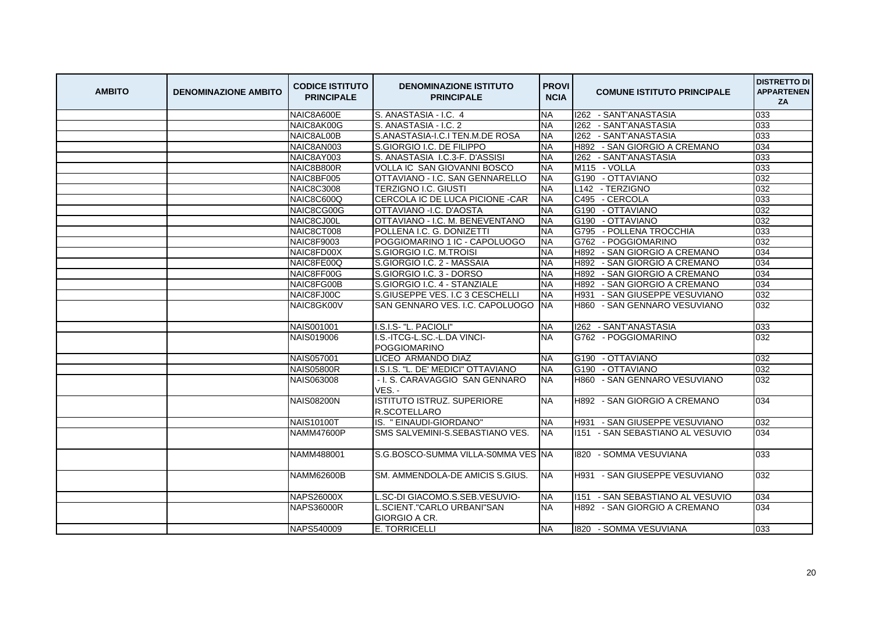| <b>AMBITO</b> | <b>DENOMINAZIONE AMBITO</b> | <b>CODICE ISTITUTO</b><br><b>PRINCIPALE</b> | <b>DENOMINAZIONE ISTITUTO</b><br><b>PRINCIPALE</b> | <b>PROVI</b><br><b>NCIA</b> | <b>COMUNE ISTITUTO PRINCIPALE</b>    | <b>DISTRETTO DI</b><br><b>APPARTENEN</b><br>ZA |
|---------------|-----------------------------|---------------------------------------------|----------------------------------------------------|-----------------------------|--------------------------------------|------------------------------------------------|
|               |                             | NAIC8A600E                                  | S. ANASTASIA - I.C. 4                              | <b>NA</b>                   | 1262 - SANT'ANASTASIA                | 033                                            |
|               |                             | NAIC8AK00G                                  | S. ANASTASIA - I.C. 2                              | <b>NA</b>                   | 1262 - SANT'ANASTASIA                | 033                                            |
|               |                             | NAIC8AL00B                                  | S.ANASTASIA-I.C.I TEN.M.DE ROSA                    | <b>NA</b>                   | 1262 - SANT'ANASTASIA                | 033                                            |
|               |                             | NAIC8AN003                                  | S.GIORGIO I.C. DE FILIPPO                          | <b>NA</b>                   | H892 - SAN GIORGIO A CREMANO         | 034                                            |
|               |                             | NAIC8AY003                                  | S. ANASTASIA I.C.3-F. D'ASSISI                     | <b>NA</b>                   | 1262 - SANT'ANASTASIA                | 033                                            |
|               |                             | NAIC8B800R                                  | VOLLA IC SAN GIOVANNI BOSCO                        | <b>NA</b>                   | M115 - VOLLA                         | 033                                            |
|               |                             | NAIC8BF005                                  | OTTAVIANO - I.C. SAN GENNARELLO                    | <b>NA</b>                   | G190 - OTTAVIANO                     | 032                                            |
|               |                             | <b>NAIC8C3008</b>                           | <b>TERZIGNO I.C. GIUSTI</b>                        | <b>NA</b>                   | L142 - TERZIGNO                      | 032                                            |
|               |                             | NAIC8C600Q                                  | CERCOLA IC DE LUCA PICIONE - CAR                   | <b>NA</b>                   | C495 - CERCOLA                       | 033                                            |
|               |                             | NAIC8CG00G                                  | OTTAVIANO - I.C. D'AOSTA                           | <b>NA</b>                   | G190 - OTTAVIANO                     | 032                                            |
|               |                             | NAIC8CJ00L                                  | OTTAVIANO - I.C. M. BENEVENTANO                    | <b>NA</b>                   | G190 - OTTAVIANO                     | 032                                            |
|               |                             | NAIC8CT008                                  | POLLENA I.C. G. DONIZETTI                          | <b>NA</b>                   | G795 - POLLENA TROCCHIA              | 033                                            |
|               |                             | NAIC8F9003                                  | POGGIOMARINO 1 IC - CAPOLUOGO                      | <b>NA</b>                   | G762 - POGGIOMARINO                  | 032                                            |
|               |                             | NAIC8FD00X                                  | S.GIORGIO I.C. M.TROISI                            | <b>NA</b>                   | - SAN GIORGIO A CREMANO<br>H892      | 034                                            |
|               |                             | NAIC8FE00Q                                  | S.GIORGIO I.C. 2 - MASSAIA                         | <b>NA</b>                   | H892<br>- SAN GIORGIO A CREMANO      | 034                                            |
|               |                             | NAIC8FF00G                                  | S.GIORGIO I.C. 3 - DORSO                           | <b>NA</b>                   | H892<br>- SAN GIORGIO A CREMANO      | 034                                            |
|               |                             | NAIC8FG00B                                  | S.GIORGIO I.C. 4 - STANZIALE                       | <b>NA</b>                   | H892<br>- SAN GIORGIO A CREMANO      | 034                                            |
|               |                             | NAIC8FJ00C                                  | S.GIUSEPPE VES. I.C 3 CESCHELLI                    | <b>NA</b>                   | - SAN GIUSEPPE VESUVIANO<br>H931     | 032                                            |
|               |                             | NAIC8GK00V                                  | SAN GENNARO VES. I.C. CAPOLUOGO                    | <b>INA</b>                  | H860 - SAN GENNARO VESUVIANO         | 032                                            |
|               |                             | NAIS001001                                  | I.S.I.S- "L. PACIOLI"                              | <b>NA</b>                   | 1262 - SANT'ANASTASIA                | 033                                            |
|               |                             | <b>NAIS019006</b>                           | I.S.-ITCG-L.SC.-L.DA VINCI-                        | <b>NA</b>                   | G762 - POGGIOMARINO                  | 032                                            |
|               |                             |                                             | POGGIOMARINO                                       |                             |                                      |                                                |
|               |                             | NAIS057001                                  | LICEO ARMANDO DIAZ                                 | <b>NA</b>                   | G190 - OTTAVIANO                     | 032                                            |
|               |                             | <b>NAIS05800R</b>                           | I.S.I.S. "L. DE' MEDICI" OTTAVIANO                 | <b>NA</b>                   | G190 - OTTAVIANO                     | 032                                            |
|               |                             | <b>NAIS063008</b>                           | - I. S. CARAVAGGIO SAN GENNARO<br>VES. -           | <b>NA</b>                   | H860 - SAN GENNARO VESUVIANO         | 032                                            |
|               |                             | <b>NAIS08200N</b>                           | <b>ISTITUTO ISTRUZ, SUPERIORE</b><br>R.SCOTELLARO  | <b>NA</b>                   | H892 - SAN GIORGIO A CREMANO         | 034                                            |
|               |                             | <b>NAIS10100T</b>                           | IS. "EINAUDI-GIORDANO"                             | <b>NA</b>                   | <b>H931 - SAN GIUSEPPE VESUVIANO</b> | 032                                            |
|               |                             | <b>NAMM47600P</b>                           | SMS SALVEMINI-S.SEBASTIANO VES.                    | <b>NA</b>                   | 1151 - SAN SEBASTIANO AL VESUVIO     | 034                                            |
|               |                             | NAMM488001                                  | S.G.BOSCO-SUMMA VILLA-S0MMA VES INA                |                             | 1820 - SOMMA VESUVIANA               | 033                                            |
|               |                             | <b>NAMM62600B</b>                           | SM. AMMENDOLA-DE AMICIS S.GIUS.                    | <b>NA</b>                   | H931 - SAN GIUSEPPE VESUVIANO        | 032                                            |
|               |                             | <b>NAPS26000X</b>                           | L.SC-DI GIACOMO.S.SEB.VESUVIO-                     | <b>NA</b>                   | 1151 - SAN SEBASTIANO AL VESUVIO     | 034                                            |
|               |                             | <b>NAPS36000R</b>                           | L.SCIENT."CARLO URBANI"SAN<br>GIORGIO A CR.        | <b>NA</b>                   | H892 - SAN GIORGIO A CREMANO         | 034                                            |
|               |                             | NAPS540009                                  | E. TORRICELLI                                      | <b>NA</b>                   | 1820 - SOMMA VESUVIANA               | 033                                            |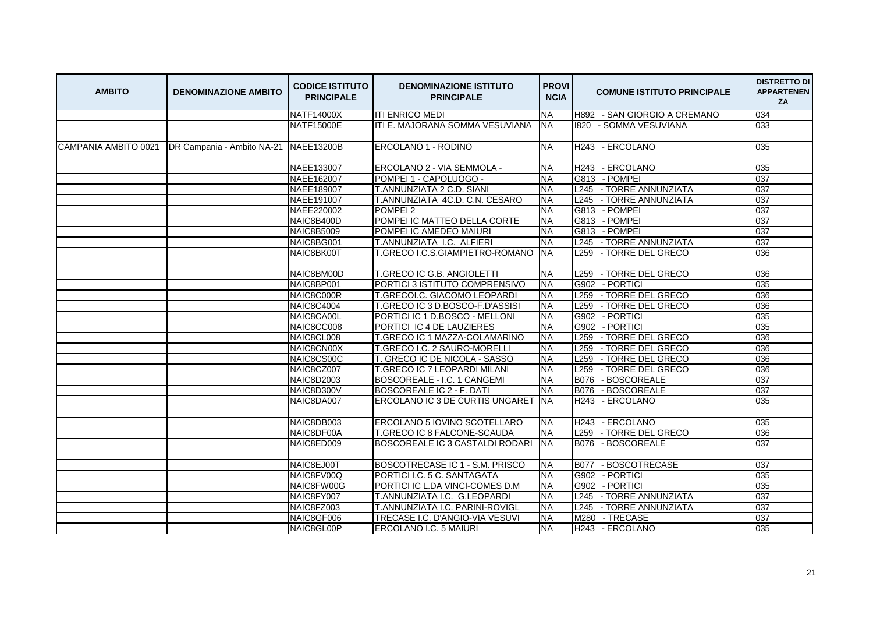| <b>AMBITO</b>        | <b>DENOMINAZIONE AMBITO</b> | <b>CODICE ISTITUTO</b><br><b>PRINCIPALE</b> | <b>DENOMINAZIONE ISTITUTO</b><br><b>PRINCIPALE</b> | <b>PROVI</b><br><b>NCIA</b> | <b>COMUNE ISTITUTO PRINCIPALE</b>     | <b>DISTRETTO DI</b><br><b>APPARTENEN</b><br>ZA |
|----------------------|-----------------------------|---------------------------------------------|----------------------------------------------------|-----------------------------|---------------------------------------|------------------------------------------------|
|                      |                             | NATF14000X                                  | <b>ITI ENRICO MEDI</b>                             | <b>NA</b>                   | H892 - SAN GIORGIO A CREMANO          | 034                                            |
|                      |                             | <b>NATF15000E</b>                           | ITI E. MAJORANA SOMMA VESUVIANA                    | <b>NA</b>                   | 1820 - SOMMA VESUVIANA                | 033                                            |
| CAMPANIA AMBITO 0021 | DR Campania - Ambito NA-21  | <b>NAEE13200B</b>                           | ERCOLANO 1 - RODINO                                | <b>NA</b>                   | H243 - ERCOLANO                       | 035                                            |
|                      |                             | NAEE133007                                  | ERCOLANO 2 - VIA SEMMOLA -                         | <b>NA</b>                   | H243 - ERCOLANO                       | 035                                            |
|                      |                             | NAEE162007                                  | POMPEI 1 - CAPOLUOGO -                             | <b>NA</b>                   | G813 - POMPEI                         | 037                                            |
|                      |                             | NAEE189007                                  | T.ANNUNZIATA 2 C.D. SIANI                          | <b>NA</b>                   | L245 - TORRE ANNUNZIATA               | 037                                            |
|                      |                             | NAEE191007                                  | T.ANNUNZIATA 4C.D. C.N. CESARO                     | <b>NA</b>                   | L245 - TORRE ANNUNZIATA               | 037                                            |
|                      |                             | NAEE220002                                  | POMPEI <sub>2</sub>                                | <b>NA</b>                   | G813 - POMPEI                         | 037                                            |
|                      |                             | NAIC8B400D                                  | POMPEI IC MATTEO DELLA CORTE                       | <b>NA</b>                   | G813 - POMPEI                         | 037                                            |
|                      |                             | <b>NAIC8B5009</b>                           | POMPEI IC AMEDEO MAIURI                            | <b>NA</b>                   | G813 - POMPEI                         | 037                                            |
|                      |                             | NAIC8BG001                                  | T.ANNUNZIATA I.C. ALFIERI                          | <b>NA</b>                   | L245 - TORRE ANNUNZIATA               | 037                                            |
|                      |                             | NAIC8BK00T                                  | T.GRECO I.C.S.GIAMPIETRO-ROMANO                    | <b>INA</b>                  | L259 - TORRE DEL GRECO                | 036                                            |
|                      |                             | NAIC8BM00D                                  | T.GRECO IC G.B. ANGIOLETTI                         | <b>NA</b>                   | L259 - TORRE DEL GRECO                | 036                                            |
|                      |                             | NAIC8BP001                                  | PORTICI 3 ISTITUTO COMPRENSIVO                     | <b>NA</b>                   | G902 - PORTICI                        | 035                                            |
|                      |                             | NAIC8C000R                                  | T.GRECOI.C. GIACOMO LEOPARDI                       | <b>NA</b>                   | L259 - TORRE DEL GRECO                | 036                                            |
|                      |                             | <b>NAIC8C4004</b>                           | T.GRECO IC 3 D.BOSCO-F.D'ASSISI                    | <b>NA</b>                   | L259 - TORRE DEL GRECO                | 036                                            |
|                      |                             | NAIC8CA00L                                  | PORTICI IC 1 D.BOSCO - MELLONI                     | <b>NA</b>                   | G902 - PORTICI                        | 035                                            |
|                      |                             | NAIC8CC008                                  | PORTICI IC 4 DE LAUZIERES                          | <b>NA</b>                   | G902 - PORTICI                        | 035                                            |
|                      |                             | NAIC8CL008                                  | T.GRECO IC 1 MAZZA-COLAMARINO                      | <b>NA</b>                   | L259 - TORRE DEL GRECO                | 036                                            |
|                      |                             | NAIC8CN00X                                  | T.GRECO I.C. 2 SAURO-MORELLI                       | <b>NA</b>                   | L259 - TORRE DEL GRECO                | 036                                            |
|                      |                             | NAIC8CS00C                                  | T. GRECO IC DE NICOLA - SASSO                      | <b>NA</b>                   | L <sub>259</sub><br>- TORRE DEL GRECO | 036                                            |
|                      |                             | NAIC8CZ007                                  | T.GRECO IC 7 LEOPARDI MILANI                       | <b>NA</b>                   | L259 - TORRE DEL GRECO                | 036                                            |
|                      |                             | <b>NAIC8D2003</b>                           | BOSCOREALE - I.C. 1 CANGEMI                        | <b>NA</b>                   | B076 - BOSCOREALE                     | 037                                            |
|                      |                             | NAIC8D300V                                  | BOSCOREALE IC 2 - F. DATI                          | <b>NA</b>                   | B076 - BOSCOREALE                     | 037                                            |
|                      |                             | NAIC8DA007                                  | ERCOLANO IC 3 DE CURTIS UNGARET                    | <b>NA</b>                   | H243 - ERCOLANO                       | 035                                            |
|                      |                             | NAIC8DB003                                  | ERCOLANO 5 IOVINO SCOTELLARO                       | <b>INA</b>                  | H243 - ERCOLANO                       | 035                                            |
|                      |                             | NAIC8DF00A                                  | T.GRECO IC 8 FALCONE-SCAUDA                        | <b>NA</b>                   | L259 - TORRE DEL GRECO                | 036                                            |
|                      |                             | NAIC8ED009                                  | BOSCOREALE IC 3 CASTALDI RODARI                    | <b>NA</b>                   | B076 - BOSCOREALE                     | 037                                            |
|                      |                             | NAIC8EJ00T                                  | BOSCOTRECASE IC 1 - S.M. PRISCO                    | <b>INA</b>                  | B077 - BOSCOTRECASE                   | 037                                            |
|                      |                             | NAIC8FV00Q                                  | PORTICI I.C. 5 C. SANTAGATA                        | <b>NA</b>                   | G902 - PORTICI                        | 035                                            |
|                      |                             | NAIC8FW00G                                  | PORTICI IC L.DA VINCI-COMES D.M                    | <b>NA</b>                   | G902 - PORTICI                        | 035                                            |
|                      |                             | NAIC8FY007                                  | T.ANNUNZIATA I.C. G.LEOPARDI                       | <b>NA</b>                   | L245 - TORRE ANNUNZIATA               | 037                                            |
|                      |                             | NAIC8FZ003                                  | T.ANNUNZIATA I.C. PARINI-ROVIGL                    | <b>NA</b>                   | L245 - TORRE ANNUNZIATA               | 037                                            |
|                      |                             | NAIC8GF006                                  | TRECASE I.C. D'ANGIO-VIA VESUVI                    | <b>NA</b>                   | M280 - TRECASE                        | 037                                            |
|                      |                             | NAIC8GL00P                                  | ERCOLANO I.C. 5 MAIURI                             | <b>NA</b>                   | H243 - ERCOLANO                       | 035                                            |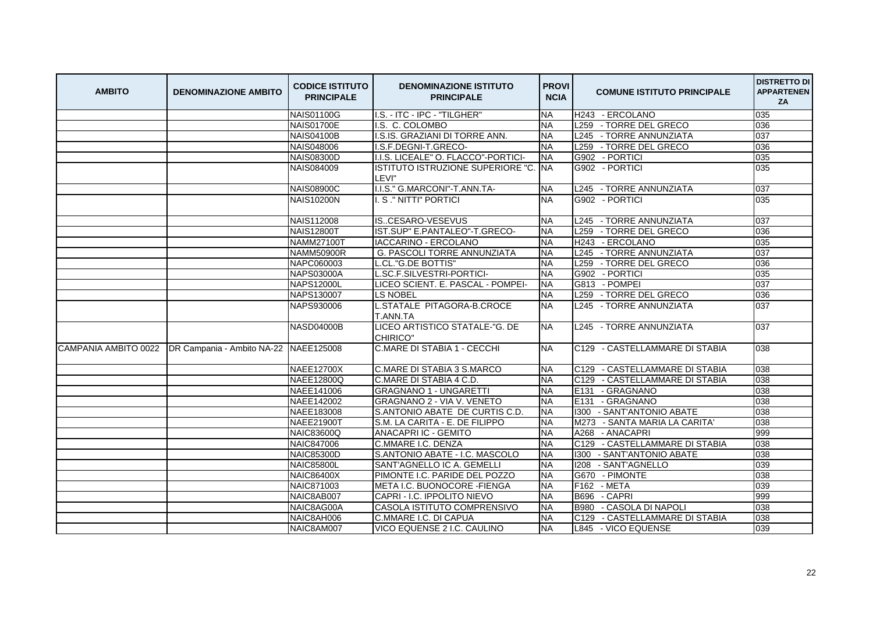| <b>AMBITO</b> | <b>DENOMINAZIONE AMBITO</b>                                    | <b>CODICE ISTITUTO</b><br><b>PRINCIPALE</b> | <b>DENOMINAZIONE ISTITUTO</b><br><b>PRINCIPALE</b> | <b>PROVI</b><br><b>NCIA</b> | <b>COMUNE ISTITUTO PRINCIPALE</b> | <b>DISTRETTO DI</b><br><b>APPARTENEN</b><br>ZA |
|---------------|----------------------------------------------------------------|---------------------------------------------|----------------------------------------------------|-----------------------------|-----------------------------------|------------------------------------------------|
|               |                                                                | <b>NAIS01100G</b>                           | I.S. - ITC - IPC - "TILGHER"                       | <b>NA</b>                   | H243 - ERCOLANO                   | 035                                            |
|               |                                                                | <b>NAIS01700E</b>                           | I.S. C. COLOMBO                                    | <b>NA</b>                   | L259 - TORRE DEL GRECO            | 036                                            |
|               |                                                                | <b>NAIS04100B</b>                           | I.S.IS. GRAZIANI DI TORRE ANN.                     | <b>NA</b>                   | L245 - TORRE ANNUNZIATA           | 037                                            |
|               |                                                                | NAIS048006                                  | I.S.F.DEGNI-T.GRECO-                               | <b>NA</b>                   | L259 - TORRE DEL GRECO            | 036                                            |
|               |                                                                | <b>NAIS08300D</b>                           | I.I.S. LICEALE" O. FLACCO"-PORTICI-                | <b>INA</b>                  | G902 - PORTICI                    | 035                                            |
|               |                                                                | <b>NAIS084009</b>                           | ISTITUTO ISTRUZIONE SUPERIORE "C.<br>LEVI"         | <b>NA</b>                   | G902 - PORTICI                    | 035                                            |
|               |                                                                | <b>NAIS08900C</b>                           | I.I.S." G.MARCONI"-T.ANN.TA-                       | <b>NA</b>                   | L245 - TORRE ANNUNZIATA           | 037                                            |
|               |                                                                | <b>NAIS10200N</b>                           | I. S ." NITTI" PORTICI                             | <b>NA</b>                   | G902 - PORTICI                    | 035                                            |
|               |                                                                | <b>NAIS112008</b>                           | ISCESARO-VESEVUS                                   | <b>NA</b>                   | L245 - TORRE ANNUNZIATA           | 037                                            |
|               |                                                                | <b>NAIS12800T</b>                           | IST.SUP" E.PANTALEO"-T.GRECO-                      | <b>NA</b>                   | L259 - TORRE DEL GRECO            | 036                                            |
|               |                                                                | <b>NAMM27100T</b>                           | IACCARINO - ERCOLANO                               | <b>NA</b>                   | H243 - ERCOLANO                   | 035                                            |
|               |                                                                | <b>NAMM50900R</b>                           | G. PASCOLI TORRE ANNUNZIATA                        | <b>NA</b>                   | L245 - TORRE ANNUNZIATA           | 037                                            |
|               |                                                                | NAPC060003                                  | L.CL."G.DE BOTTIS"                                 | <b>NA</b>                   | L259 - TORRE DEL GRECO            | 036                                            |
|               |                                                                | <b>NAPS03000A</b>                           | L.SC.F.SILVESTRI-PORTICI-                          | <b>NA</b>                   | G902 - PORTICI                    | 035                                            |
|               |                                                                | <b>NAPS12000L</b>                           | LICEO SCIENT. E. PASCAL - POMPEI-                  | <b>NA</b>                   | G813 - POMPEI                     | 037                                            |
|               |                                                                | NAPS130007                                  | <b>LS NOBEL</b>                                    | <b>NA</b>                   | L259 - TORRE DEL GRECO            | 036                                            |
|               |                                                                | NAPS930006                                  | L.STATALE PITAGORA-B.CROCE<br>T.ANN.TA             | <b>NA</b>                   | L245 - TORRE ANNUNZIATA           | 037                                            |
|               |                                                                | NASD04000B                                  | LICEO ARTISTICO STATALE-"G. DE<br>CHIRICO"         | NA.                         | L245 - TORRE ANNUNZIATA           | 037                                            |
|               | CAMPANIA AMBITO 0022   DR Campania - Ambito NA-22   NAEE125008 |                                             | C.MARE DI STABIA 1 - CECCHI                        | <b>NA</b>                   | C129 - CASTELLAMMARE DI STABIA    | 038                                            |
|               |                                                                | <b>NAEE12700X</b>                           | C.MARE DI STABIA 3 S.MARCO                         | <b>NA</b>                   | C129 - CASTELLAMMARE DI STABIA    | 038                                            |
|               |                                                                | <b>NAEE12800Q</b>                           | C.MARE DI STABIA 4 C.D.                            | <b>NA</b>                   | C129<br>- CASTELLAMMARE DI STABIA | 038                                            |
|               |                                                                | NAEE141006                                  | <b>GRAGNANO 1 - UNGARETTI</b>                      | <b>NA</b>                   | E131 - GRAGNANO                   | 038                                            |
|               |                                                                | NAEE142002                                  | GRAGNANO 2 - VIA V. VENETO                         | <b>NA</b>                   | E131 - GRAGNANO                   | 038                                            |
|               |                                                                | NAEE183008                                  | S.ANTONIO ABATE DE CURTIS C.D.                     | <b>NA</b>                   | 1300 - SANT'ANTONIO ABATE         | 038                                            |
|               |                                                                | <b>NAEE21900T</b>                           | S.M. LA CARITA - E. DE FILIPPO                     | <b>NA</b>                   | M273 - SANTA MARIA LA CARITA'     | 038                                            |
|               |                                                                | <b>NAIC83600Q</b>                           | <b>ANACAPRI IC - GEMITO</b>                        | <b>NA</b>                   | A268 - ANACAPRI                   | 999                                            |
|               |                                                                | <b>NAIC847006</b>                           | C.MMARE I.C. DENZA                                 | <b>NA</b>                   | C129 - CASTELLAMMARE DI STABIA    | 038                                            |
|               |                                                                | <b>NAIC85300D</b>                           | S.ANTONIO ABATE - I.C. MASCOLO                     | <b>NA</b>                   | 1300 - SANT'ANTONIO ABATE         | 038                                            |
|               |                                                                | <b>NAIC85800L</b>                           | SANT'AGNELLO IC A. GEMELLI                         | <b>NA</b>                   | I208 - SANT'AGNELLO               | 039                                            |
|               |                                                                | <b>NAIC86400X</b>                           | PIMONTE I.C. PARIDE DEL POZZO                      | <b>NA</b>                   | G670 - PIMONTE                    | 038                                            |
|               |                                                                | NAIC871003                                  | META I.C. BUONOCORE - FIENGA                       | <b>NA</b>                   | F162 - META                       | 039                                            |
|               |                                                                | NAIC8AB007                                  | CAPRI - I.C. IPPOLITO NIEVO                        | <b>NA</b>                   | B696 - CAPRI                      | 999                                            |
|               |                                                                | NAIC8AG00A                                  | CASOLA ISTITUTO COMPRENSIVO                        | <b>NA</b>                   | <b>B980</b><br>- CASOLA DI NAPOLI | 038                                            |
|               |                                                                | NAIC8AH006                                  | C.MMARE I.C. DI CAPUA                              | <b>NA</b>                   | - CASTELLAMMARE DI STABIA<br>C129 | 038                                            |
|               |                                                                | NAIC8AM007                                  | VICO EQUENSE 2 I.C. CAULINO                        | <b>NA</b>                   | L845 - VICO EQUENSE               | 039                                            |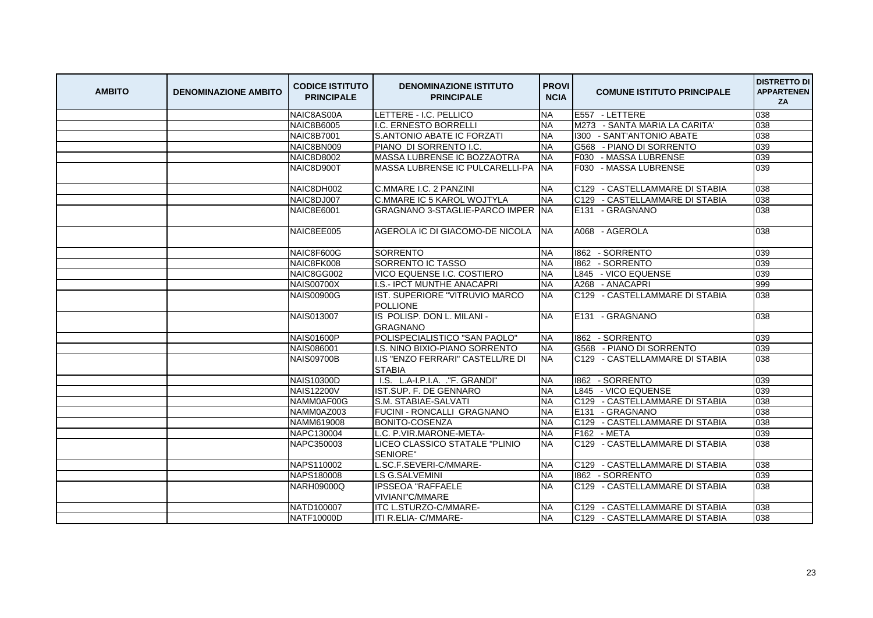| <b>AMBITO</b> | <b>DENOMINAZIONE AMBITO</b> | <b>CODICE ISTITUTO</b><br><b>PRINCIPALE</b> | <b>DENOMINAZIONE ISTITUTO</b><br><b>PRINCIPALE</b> | <b>PROVI</b><br><b>NCIA</b> | <b>COMUNE ISTITUTO PRINCIPALE</b> | <b>DISTRETTO DI</b><br><b>APPARTENEN</b><br>ZA |
|---------------|-----------------------------|---------------------------------------------|----------------------------------------------------|-----------------------------|-----------------------------------|------------------------------------------------|
|               |                             | NAIC8AS00A                                  | LETTERE - I.C. PELLICO                             | <b>NA</b>                   | E557 - LETTERE                    | 038                                            |
|               |                             | <b>NAIC8B6005</b>                           | I.C. ERNESTO BORRELLI                              | <b>NA</b>                   | M273 - SANTA MARIA LA CARITA'     | 038                                            |
|               |                             | <b>NAIC8B7001</b>                           | S.ANTONIO ABATE IC FORZATI                         | <b>NA</b>                   | 1300 - SANT'ANTONIO ABATE         | 038                                            |
|               |                             | NAIC8BN009                                  | PIANO DI SORRENTO I.C.                             | <b>NA</b>                   | G568 - PIANO DI SORRENTO          | 039                                            |
|               |                             | <b>NAIC8D8002</b>                           | MASSA LUBRENSE IC BOZZAOTRA                        | <b>NA</b>                   | F030 - MASSA LUBRENSE             | 039                                            |
|               |                             | NAIC8D900T                                  | MASSA LUBRENSE IC PULCARELLI-PA                    | <b>INA</b>                  | F030 - MASSA LUBRENSE             | 039                                            |
|               |                             | NAIC8DH002                                  | C.MMARE I.C. 2 PANZINI                             | <b>NA</b>                   | C129 - CASTELLAMMARE DI STABIA    | 038                                            |
|               |                             | NAIC8DJ007                                  | C.MMARE IC 5 KAROL WOJTYLA                         | <b>NA</b>                   | C129 - CASTELLAMMARE DI STABIA    | 038                                            |
|               |                             | <b>NAIC8E6001</b>                           | GRAGNANO 3-STAGLIE-PARCO IMPER NA                  |                             | E131 - GRAGNANO                   | 038                                            |
|               |                             | NAIC8EE005                                  | AGEROLA IC DI GIACOMO-DE NICOLA                    | INA.                        | A068 - AGEROLA                    | 038                                            |
|               |                             | NAIC8F600G                                  | <b>SORRENTO</b>                                    | <b>NA</b>                   | 1862 - SORRENTO                   | 039                                            |
|               |                             | NAIC8FK008                                  | SORRENTO IC TASSO                                  | <b>NA</b>                   | 1862 - SORRENTO                   | 039                                            |
|               |                             | NAIC8GG002                                  | VICO EQUENSE I.C. COSTIERO                         | <b>NA</b>                   | L845 - VICO EQUENSE               | 039                                            |
|               |                             | <b>NAIS00700X</b>                           | I.S.- IPCT MUNTHE ANACAPRI                         | <b>NA</b>                   | A268 - ANACAPRI                   | 999                                            |
|               |                             | <b>NAIS00900G</b>                           | IST. SUPERIORE "VITRUVIO MARCO<br><b>POLLIONE</b>  | <b>NA</b>                   | C129 - CASTELLAMMARE DI STABIA    | 038                                            |
|               |                             | <b>NAIS013007</b>                           | IS POLISP. DON L. MILANI -<br><b>GRAGNANO</b>      | <b>NA</b>                   | E131 - GRAGNANO                   | 038                                            |
|               |                             | <b>NAIS01600P</b>                           | POLISPECIALISTICO "SAN PAOLO"                      | <b>NA</b>                   | 1862 - SORRENTO                   | 039                                            |
|               |                             | NAIS086001                                  | I.S. NINO BIXIO-PIANO SORRENTO                     | <b>NA</b>                   | G568 - PIANO DI SORRENTO          | 039                                            |
|               |                             | NAIS09700B                                  | I.IS "ENZO FERRARI" CASTELL/RE DI<br><b>STABIA</b> | <b>NA</b>                   | C129 - CASTELLAMMARE DI STABIA    | 038                                            |
|               |                             | <b>NAIS10300D</b>                           | I.S. L.A-I.P.I.A. ."F. GRANDI"                     | <b>NA</b>                   | 1862 - SORRENTO                   | 039                                            |
|               |                             | <b>NAIS12200V</b>                           | IST.SUP. F. DE GENNARO                             | <b>NA</b>                   | L845 - VICO EQUENSE               | 039                                            |
|               |                             | NAMM0AF00G                                  | S.M. STABIAE-SALVATI                               | <b>NA</b>                   | C129 - CASTELLAMMARE DI STABIA    | 038                                            |
|               |                             | NAMM0AZ003                                  | FUCINI - RONCALLI GRAGNANO                         | <b>NA</b>                   | E131 - GRAGNANO                   | 038                                            |
|               |                             | NAMM619008                                  | BONITO-COSENZA                                     | <b>NA</b>                   | C129 - CASTELLAMMARE DI STABIA    | 038                                            |
|               |                             | NAPC130004                                  | L.C. P.VIR.MARONE-META-                            | <b>NA</b>                   | F162 - META                       | 039                                            |
|               |                             | NAPC350003                                  | LICEO CLASSICO STATALE "PLINIO                     | <b>NA</b>                   | C129 - CASTELLAMMARE DI STABIA    | 038                                            |
|               |                             | NAPS110002                                  | SENIORE"<br>L.SC.F.SEVERI-C/MMARE-                 | <b>NA</b>                   | C129 - CASTELLAMMARE DI STABIA    | 038                                            |
|               |                             | NAPS180008                                  | <b>LS G.SALVEMINI</b>                              | <b>NA</b>                   | 1862 - SORRENTO                   | 039                                            |
|               |                             | <b>NARH09000Q</b>                           | <b>IPSSEOA "RAFFAELE</b>                           | <b>NA</b>                   | C129 - CASTELLAMMARE DI STABIA    | 038                                            |
|               |                             |                                             | VIVIANI"C/MMARE                                    |                             |                                   |                                                |
|               |                             | NATD100007                                  | ITC L.STURZO-C/MMARE-                              | <b>NA</b>                   | - CASTELLAMMARE DI STABIA<br>C129 | 038                                            |
|               |                             | NATF10000D                                  | ITI R.ELIA- C/MMARE-                               | <b>NA</b>                   | C129 - CASTELLAMMARE DI STABIA    | 038                                            |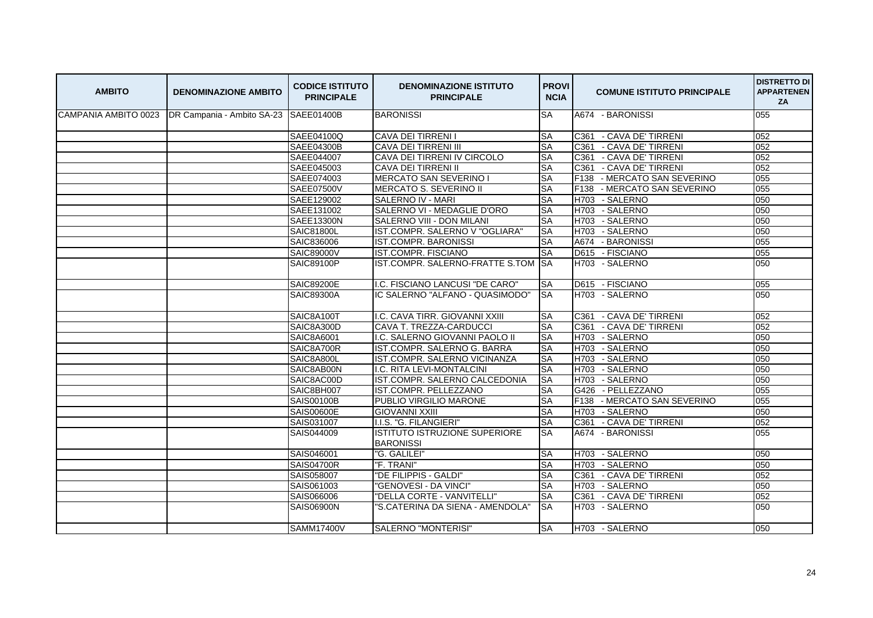| <b>AMBITO</b> | <b>DENOMINAZIONE AMBITO</b>                                    | <b>CODICE ISTITUTO</b><br><b>PRINCIPALE</b> | <b>DENOMINAZIONE ISTITUTO</b><br><b>PRINCIPALE</b> | <b>PROVI</b><br><b>NCIA</b> | <b>COMUNE ISTITUTO PRINCIPALE</b>          | <b>DISTRETTO DI</b><br><b>APPARTENEN</b><br>ZA |
|---------------|----------------------------------------------------------------|---------------------------------------------|----------------------------------------------------|-----------------------------|--------------------------------------------|------------------------------------------------|
|               | CAMPANIA AMBITO 0023   DR Campania - Ambito SA-23   SAEE01400B |                                             | <b>BARONISSI</b>                                   | <b>SA</b>                   | A674 - BARONISSI                           | 055                                            |
|               |                                                                | SAEE04100Q                                  | <b>CAVA DEI TIRRENI I</b>                          | <b>SA</b>                   | C361 - CAVA DE' TIRRENI                    | 052                                            |
|               |                                                                | SAEE04300B                                  | CAVA DEI TIRRENI III                               | <b>SA</b>                   | C361 - CAVA DE' TIRRENI                    | 052                                            |
|               |                                                                | SAEE044007                                  | CAVA DEI TIRRENI IV CIRCOLO                        | <b>SA</b>                   | C361 - CAVA DE' TIRRENI                    | 052                                            |
|               |                                                                | SAEE045003                                  | <b>CAVA DEI TIRRENI II</b>                         | <b>SA</b>                   | C361<br>- CAVA DE' TIRRENI                 | 052                                            |
|               |                                                                | SAEE074003                                  | <b>MERCATO SAN SEVERINO I</b>                      | <b>SA</b>                   | - MERCATO SAN SEVERINO<br>F138             | 055                                            |
|               |                                                                | <b>SAEE07500V</b>                           | MERCATO S. SEVERINO II                             | <b>SA</b>                   | F138<br>- MERCATO SAN SEVERINO             | 055                                            |
|               |                                                                | SAEE129002                                  | SALERNO IV - MARI                                  | <b>SA</b>                   | - SALERNO<br>H703                          | 050                                            |
|               |                                                                | SAEE131002                                  | SALERNO VI - MEDAGLIE D'ORO                        | <b>SA</b>                   | H703<br>- SALERNO                          | 050                                            |
|               |                                                                | SAEE13300N                                  | SALERNO VIII - DON MILANI                          | <b>SA</b>                   | H703 - SALERNO                             | 050                                            |
|               |                                                                | <b>SAIC81800L</b>                           | IST.COMPR. SALERNO V "OGLIARA"                     | <b>SA</b>                   | H703 - SALERNO                             | 050                                            |
|               |                                                                | SAIC836006                                  | <b>IST.COMPR. BARONISSI</b>                        | <b>SA</b>                   | A674 - BARONISSI                           | 055                                            |
|               |                                                                | SAIC89000V                                  | <b>IST.COMPR. FISCIANO</b>                         | <b>SA</b>                   | D615 - FISCIANO                            | 055                                            |
|               |                                                                | <b>SAIC89100P</b>                           | IST.COMPR. SALERNO-FRATTE S.TOM                    | <b>SA</b>                   | H703 - SALERNO                             | 050                                            |
|               |                                                                | <b>SAIC89200E</b>                           | I.C. FISCIANO LANCUSI "DE CARO"                    | <b>SA</b>                   | D615 - FISCIANO                            | 055                                            |
|               |                                                                | SAIC89300A                                  | IC SALERNO "ALFANO - QUASIMODO"                    | <b>SA</b>                   | H703 - SALERNO                             | 050                                            |
|               |                                                                | SAIC8A100T                                  | I.C. CAVA TIRR. GIOVANNI XXIII                     | <b>SA</b>                   | C361 - CAVA DE' TIRRENI                    | 052                                            |
|               |                                                                | SAIC8A300D                                  | CAVA T. TREZZA-CARDUCCI                            | <b>SA</b>                   | C361<br>- CAVA DE' TIRRENI                 | 052                                            |
|               |                                                                | SAIC8A6001                                  | I.C. SALERNO GIOVANNI PAOLO II                     | <b>SA</b>                   | H703 - SALERNO                             | 050                                            |
|               |                                                                | SAIC8A700R                                  | IST.COMPR. SALERNO G. BARRA                        | <b>SA</b>                   | H703 - SALERNO                             | 050                                            |
|               |                                                                | SAIC8A800L                                  | IST.COMPR. SALERNO VICINANZA                       | <b>SA</b>                   | - SALERNO<br>H703                          | 050                                            |
|               |                                                                | SAIC8AB00N                                  | I.C. RITA LEVI-MONTALCINI                          | SA                          | H703 - SALERNO                             | 050                                            |
|               |                                                                | SAIC8AC00D                                  | IST.COMPR. SALERNO CALCEDONIA                      | <b>SA</b>                   | H703<br>- SALERNO                          | 050                                            |
|               |                                                                | SAIC8BH007                                  | IST.COMPR. PELLEZZANO                              | <b>SA</b>                   | G426 - PELLEZZANO                          | 055                                            |
|               |                                                                | <b>SAIS00100B</b>                           | PUBLIO VIRGILIO MARONE                             | <b>SA</b>                   | - MERCATO SAN SEVERINO<br>F <sub>138</sub> | 055                                            |
|               |                                                                | <b>SAIS00600E</b>                           | <b>GIOVANNI XXIII</b>                              | <b>SA</b>                   | H703 - SALERNO                             | 050                                            |
|               |                                                                | SAIS031007                                  | I.I.S. "G. FILANGIERI"                             | <b>SA</b>                   | C361 - CAVA DE' TIRRENI                    | 052                                            |
|               |                                                                | SAIS044009                                  | ISTITUTO ISTRUZIONE SUPERIORE                      | <b>SA</b>                   | A674 - BARONISSI                           | 055                                            |
|               |                                                                |                                             | <b>BARONISSI</b>                                   |                             |                                            |                                                |
|               |                                                                | SAIS046001                                  | "G. GALILEI"                                       | SA                          | H703 - SALERNO                             | 050                                            |
|               |                                                                | <b>SAIS04700R</b>                           | "F. TRANI"                                         | <b>SA</b>                   | H703 - SALERNO                             | 050                                            |
|               |                                                                | SAIS058007                                  | "DE FILIPPIS - GALDI"                              | <b>SA</b>                   | C361<br>- CAVA DE' TIRRENI                 | 052                                            |
|               |                                                                | SAIS061003                                  | "GENOVESI - DA VINCI"                              | <b>SA</b>                   | H703 - SALERNO                             | 050                                            |
|               |                                                                | SAIS066006                                  | "DELLA CORTE - VANVITELLI"                         | SA                          | C361 - CAVA DE' TIRRENI                    | 052                                            |
|               |                                                                | <b>SAIS06900N</b>                           | "S.CATERINA DA SIENA - AMENDOLA"                   | <b>ISA</b>                  | H703 - SALERNO                             | 050                                            |
|               |                                                                | <b>SAMM17400V</b>                           | SALERNO "MONTERISI"                                | <b>SA</b>                   | H703 - SALERNO                             | 050                                            |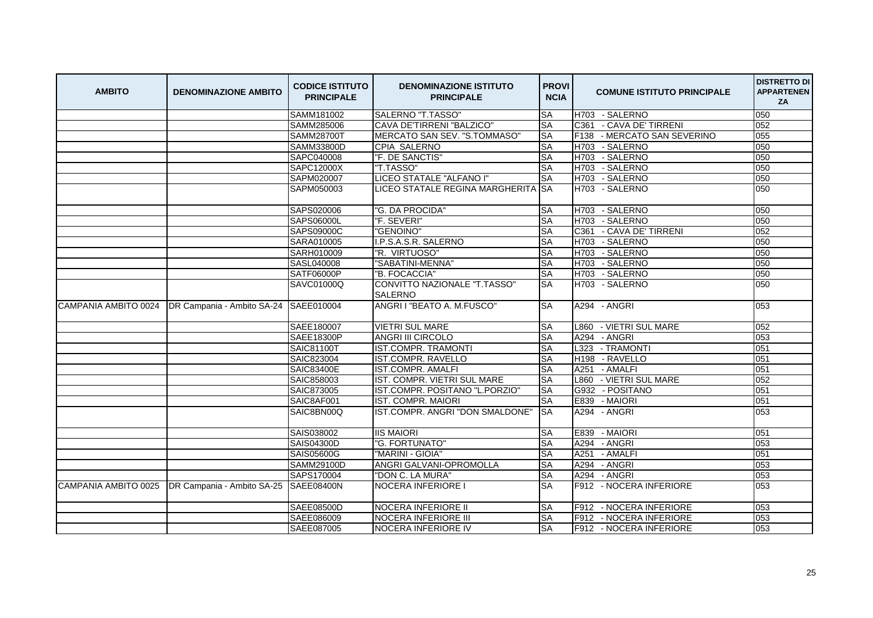| <b>AMBITO</b>        | <b>DENOMINAZIONE AMBITO</b>           | <b>CODICE ISTITUTO</b><br><b>PRINCIPALE</b> | <b>DENOMINAZIONE ISTITUTO</b><br><b>PRINCIPALE</b> | <b>PROVI</b><br><b>NCIA</b> | <b>COMUNE ISTITUTO PRINCIPALE</b>          | <b>DISTRETTO DI</b><br><b>APPARTENEN</b><br>ZA |
|----------------------|---------------------------------------|---------------------------------------------|----------------------------------------------------|-----------------------------|--------------------------------------------|------------------------------------------------|
|                      |                                       | SAMM181002                                  | SALERNO "T.TASSO"                                  | <b>SA</b>                   | H703 - SALERNO                             | 050                                            |
|                      |                                       | SAMM285006                                  | <b>CAVA DE'TIRRENI "BALZICO"</b>                   | <b>SA</b>                   | - CAVA DE' TIRRENI<br>C <sub>361</sub>     | 052                                            |
|                      |                                       | SAMM28700T                                  | MERCATO SAN SEV. "S.TOMMASO"                       | <b>SA</b>                   | F <sub>138</sub><br>- MERCATO SAN SEVERINO | 055                                            |
|                      |                                       | SAMM33800D                                  | CPIA SALERNO                                       | <b>SA</b>                   | H703 - SALERNO                             | 050                                            |
|                      |                                       | SAPC040008                                  | "F. DE SANCTIS"                                    | <b>SA</b>                   | H703 - SALERNO                             | 050                                            |
|                      |                                       | <b>SAPC12000X</b>                           | "T.TASSO"                                          | <b>SA</b>                   | - SALERNO<br>H703                          | 050                                            |
|                      |                                       | SAPM020007                                  | LICEO STATALE "ALFANO I"                           | <b>SA</b>                   | H703 - SALERNO                             | 050                                            |
|                      |                                       | SAPM050003                                  | LICEO STATALE REGINA MARGHERITA                    | <b>I</b> SA                 | H703 - SALERNO                             | 050                                            |
|                      |                                       | SAPS020006                                  | "G. DA PROCIDA"                                    | <b>SA</b>                   | - SALERNO<br>H703                          | 050                                            |
|                      |                                       | SAPS06000L                                  | "F. SEVERI"                                        | <b>SA</b>                   | H703 - SALERNO                             | 050                                            |
|                      |                                       | SAPS09000C                                  | "GENOINO"                                          | <b>SA</b>                   | C361 - CAVA DE' TIRRENI                    | 052                                            |
|                      |                                       | SARA010005                                  | I.P.S.A.S.R. SALERNO                               | <b>SA</b>                   | - SALERNO<br>H703                          | 050                                            |
|                      |                                       | SARH010009                                  | "R. VIRTUOSO"                                      | <b>SA</b>                   | H703 - SALERNO                             | 050                                            |
|                      |                                       | SASL040008                                  | "SABATINI-MENNA"                                   | <b>SA</b>                   | H703 - SALERNO                             | 050                                            |
|                      |                                       | <b>SATF06000P</b>                           | "B. FOCACCIA"                                      | <b>SA</b>                   | H703 - SALERNO                             | 050                                            |
|                      |                                       | SAVC01000Q                                  | CONVITTO NAZIONALE "T.TASSO"<br><b>SALERNO</b>     | <b>SA</b>                   | H703 - SALERNO                             | 050                                            |
|                      |                                       | SAEE010004                                  | ANGRI I "BEATO A. M.FUSCO"                         | <b>SA</b>                   | A294 - ANGRI                               | 053                                            |
|                      |                                       | SAEE180007                                  | <b>VIETRI SUL MARE</b>                             | <b>SA</b>                   | L860 - VIETRI SUL MARE                     | 052                                            |
|                      |                                       | <b>SAEE18300P</b>                           | <b>ANGRI III CIRCOLO</b>                           | SA                          | A294 - ANGRI                               | 053                                            |
|                      |                                       | SAIC81100T                                  | <b>IST.COMPR. TRAMONTI</b>                         | <b>SA</b>                   | L323 - TRAMONTI                            | 051                                            |
|                      |                                       | SAIC823004                                  | <b>IST.COMPR. RAVELLO</b>                          | <b>SA</b>                   | H <sub>198</sub><br>- RAVELLO              | 051                                            |
|                      |                                       | <b>SAIC83400E</b>                           | <b>IST.COMPR. AMALFI</b>                           | <b>SA</b>                   | A251 - AMALFI                              | 051                                            |
|                      |                                       | SAIC858003                                  | IST. COMPR. VIETRI SUL MARE                        | <b>SA</b>                   | L860 - VIETRI SUL MARE                     | 052                                            |
|                      |                                       | SAIC873005                                  | IST.COMPR. POSITANO "L.PORZIO"                     | <b>SA</b>                   | G932 - POSITANO                            | 051                                            |
|                      |                                       | SAIC8AF001                                  | IST. COMPR. MAIORI                                 | <b>SA</b>                   | E839 - MAIORI                              | 051                                            |
|                      |                                       | SAIC8BN00Q                                  | IST.COMPR. ANGRI "DON SMALDONE"                    | <b>SA</b>                   | A294 - ANGRI                               | 053                                            |
|                      |                                       | SAIS038002                                  | <b>IIS MAIORI</b>                                  | <b>SA</b>                   | - MAIORI<br>E839                           | 051                                            |
|                      |                                       | SAIS04300D                                  | "G. FORTUNATO"                                     | <b>SA</b>                   | A294 - ANGRI                               | 053                                            |
|                      |                                       | SAIS05600G                                  | "MARINI - GIOIA"                                   | <b>SA</b>                   | A251<br>- AMALFI                           | 051                                            |
|                      |                                       | SAMM29100D                                  | ANGRI GALVANI-OPROMOLLA                            | <b>SA</b>                   | A294<br>- ANGRI                            | 053                                            |
|                      |                                       | SAPS170004                                  | "DON C. LA MURA"                                   | <b>SA</b>                   | A294<br>- ANGRI                            | 053                                            |
| CAMPANIA AMBITO 0025 | DR Campania - Ambito SA-25 SAEE08400N |                                             | NOCERA INFERIORE I                                 | <b>SA</b>                   | F912 - NOCERA INFERIORE                    | 053                                            |
|                      |                                       | SAEE08500D                                  | <b>NOCERA INFERIORE II</b>                         | <b>SA</b>                   | F912 - NOCERA INFERIORE                    | 053                                            |
|                      |                                       | SAEE086009                                  | <b>NOCERA INFERIORE III</b>                        | <b>SA</b>                   | F912 - NOCERA INFERIORE                    | 053                                            |
|                      |                                       | SAEE087005                                  | <b>NOCERA INFERIORE IV</b>                         | <b>SA</b>                   | F912 - NOCERA INFERIORE                    | 053                                            |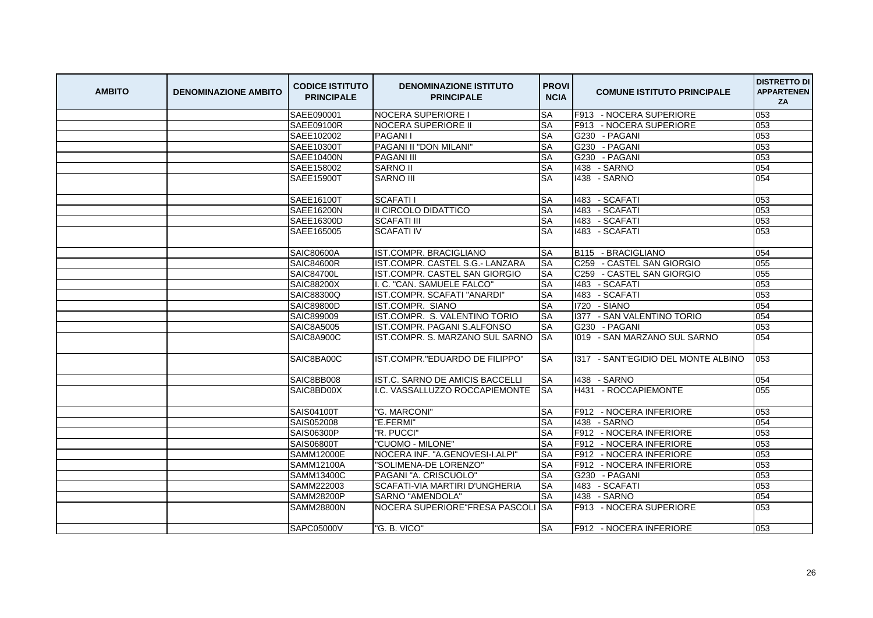| <b>AMBITO</b> | <b>DENOMINAZIONE AMBITO</b> | <b>CODICE ISTITUTO</b><br><b>PRINCIPALE</b> | <b>DENOMINAZIONE ISTITUTO</b><br><b>PRINCIPALE</b> | <b>PROVI</b><br><b>NCIA</b> | <b>COMUNE ISTITUTO PRINCIPALE</b>   | <b>DISTRETTO DI</b><br><b>APPARTENEN</b><br>ZA |
|---------------|-----------------------------|---------------------------------------------|----------------------------------------------------|-----------------------------|-------------------------------------|------------------------------------------------|
|               |                             | SAEE090001                                  | <b>NOCERA SUPERIORE I</b>                          | <b>SA</b>                   | F913 - NOCERA SUPERIORE             | 053                                            |
|               |                             | <b>SAEE09100R</b>                           | <b>NOCERA SUPERIORE II</b>                         | <b>SA</b>                   | F913 - NOCERA SUPERIORE             | 053                                            |
|               |                             | SAEE102002                                  | <b>PAGANII</b>                                     | <b>SA</b>                   | G230 - PAGANI                       | 053                                            |
|               |                             | SAEE10300T                                  | PAGANI II "DON MILANI"                             | <b>SA</b>                   | G230 - PAGANI                       | 053                                            |
|               |                             | <b>SAEE10400N</b>                           | <b>PAGANI III</b>                                  | <b>SA</b>                   | G230 - PAGANI                       | 053                                            |
|               |                             | SAEE158002                                  | <b>SARNO II</b>                                    | <b>SA</b>                   | 1438 - SARNO                        | 054                                            |
|               |                             | SAEE15900T                                  | <b>SARNO III</b>                                   | <b>SA</b>                   | 1438 - SARNO                        | 054                                            |
|               |                             | SAEE16100T                                  | <b>SCAFATI1</b>                                    | <b>SA</b>                   | 1483 - SCAFATI                      | 053                                            |
|               |                             | SAEE16200N                                  | II CIRCOLO DIDATTICO                               | <b>SA</b>                   | 1483 - SCAFATI                      | 053                                            |
|               |                             | SAEE16300D                                  | <b>SCAFATI III</b>                                 | <b>SA</b>                   | 1483 - SCAFATI                      | 053                                            |
|               |                             | SAEE165005                                  | <b>SCAFATI IV</b>                                  | <b>SA</b>                   | 1483 - SCAFATI                      | 053                                            |
|               |                             | <b>SAIC80600A</b>                           | IST.COMPR. BRACIGLIANO                             | <b>SA</b>                   | B <sub>115</sub> - BRACIGLIANO      | 054                                            |
|               |                             | <b>SAIC84600R</b>                           | IST.COMPR. CASTEL S.G.- LANZARA                    | <b>SA</b>                   | C259 - CASTEL SAN GIORGIO           | 055                                            |
|               |                             | <b>SAIC84700L</b>                           | IST.COMPR. CASTEL SAN GIORGIO                      | <b>SA</b>                   | C259 - CASTEL SAN GIORGIO           | 055                                            |
|               |                             | <b>SAIC88200X</b>                           | I. C. "CAN. SAMUELE FALCO"                         | <b>SA</b>                   | 1483 - SCAFATI                      | 053                                            |
|               |                             | SAIC88300Q                                  | IST.COMPR. SCAFATI "ANARDI"                        | <b>SA</b>                   | 1483 - SCAFATI                      | 053                                            |
|               |                             | SAIC89800D                                  | IST.COMPR. SIANO                                   | <b>SA</b>                   | 1720 - SIANO                        | 054                                            |
|               |                             | SAIC899009                                  | IST.COMPR. S. VALENTINO TORIO                      | <b>SA</b>                   | 1377 - SAN VALENTINO TORIO          | 054                                            |
|               |                             | <b>SAIC8A5005</b>                           | IST.COMPR. PAGANI S.ALFONSO                        | <b>SA</b>                   | G230 - PAGANI                       | 053                                            |
|               |                             | SAIC8A900C                                  | IST.COMPR. S. MARZANO SUL SARNO                    | <b>SA</b>                   | 1019 - SAN MARZANO SUL SARNO        | 054                                            |
|               |                             | SAIC8BA00C                                  | IST.COMPR."EDUARDO DE FILIPPO"                     | <b>SA</b>                   | 1317 - SANT'EGIDIO DEL MONTE ALBINO | 053                                            |
|               |                             | SAIC8BB008                                  | IST.C. SARNO DE AMICIS BACCELLI                    | <b>SA</b>                   | 1438 - SARNO                        | 054                                            |
|               |                             | SAIC8BD00X                                  | I.C. VASSALLUZZO ROCCAPIEMONTE                     | <b>SA</b>                   | H431 - ROCCAPIEMONTE                | 055                                            |
|               |                             | SAIS04100T                                  | "G. MARCONI"                                       | <b>SA</b>                   | F912 - NOCERA INFERIORE             | 053                                            |
|               |                             | SAIS052008                                  | "E.FERMI"                                          | <b>SA</b>                   | 1438 - SARNO                        | 054                                            |
|               |                             | SAIS06300P                                  | "R. PUCCI"                                         | <b>SA</b>                   | F912 - NOCERA INFERIORE             | 053                                            |
|               |                             | SAIS06800T                                  | "CUOMO - MILONE"                                   | <b>SA</b>                   | F912<br>- NOCERA INFERIORE          | 053                                            |
|               |                             | SAMM12000E                                  | NOCERA INF. "A.GENOVESI-I.ALPI"                    | <b>SA</b>                   | F912 - NOCERA INFERIORE             | 053                                            |
|               |                             | SAMM12100A                                  | "SOLIMENA-DE LORENZO"                              | <b>SA</b>                   | F912 - NOCERA INFERIORE             | 053                                            |
|               |                             | SAMM13400C                                  | PAGANI "A. CRISCUOLO"                              | <b>SA</b>                   | G230 - PAGANI                       | 053                                            |
|               |                             | SAMM222003                                  | SCAFATI-VIA MARTIRI D'UNGHERIA                     | <b>SA</b>                   | 1483 - SCAFATI                      | 053                                            |
|               |                             | <b>SAMM28200P</b>                           | <b>SARNO "AMENDOLA"</b>                            | <b>SA</b>                   | 1438 - SARNO                        | 054                                            |
|               |                             | <b>SAMM28800N</b>                           | NOCERA SUPERIORE FRESA PASCOLI ISA                 |                             | F913 - NOCERA SUPERIORE             | 053                                            |
|               |                             | SAPC05000V                                  | "G. B. VICO"                                       | <b>SA</b>                   | F912 - NOCERA INFERIORE             | 053                                            |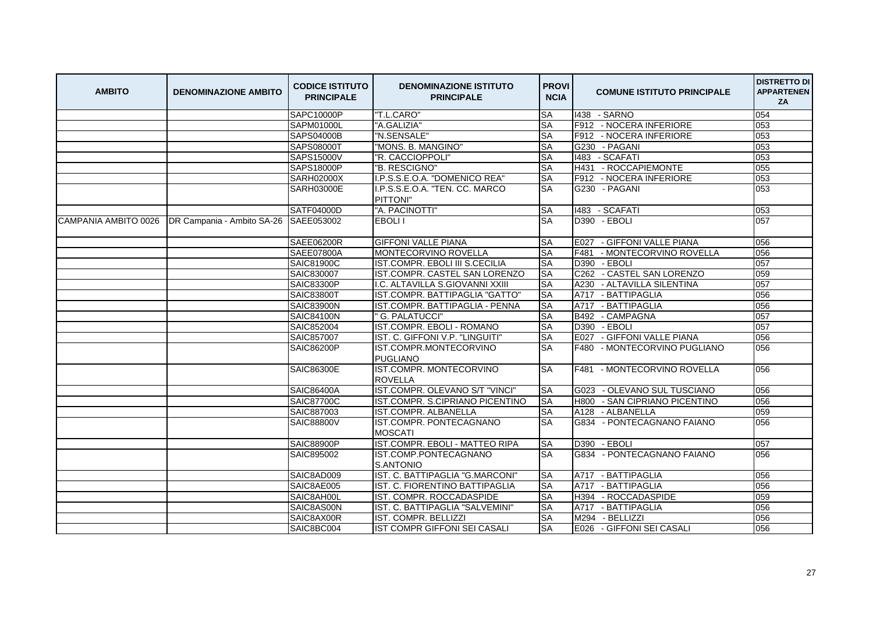| <b>AMBITO</b>        | <b>DENOMINAZIONE AMBITO</b> | <b>CODICE ISTITUTO</b><br><b>PRINCIPALE</b> | <b>DENOMINAZIONE ISTITUTO</b><br><b>PRINCIPALE</b> | <b>PROVI</b><br><b>NCIA</b> | <b>COMUNE ISTITUTO PRINCIPALE</b> | <b>DISTRETTO DI</b><br><b>APPARTENEN</b><br>ZA |
|----------------------|-----------------------------|---------------------------------------------|----------------------------------------------------|-----------------------------|-----------------------------------|------------------------------------------------|
|                      |                             | <b>SAPC10000P</b>                           | "T.L.CARO"                                         | <b>SA</b>                   | 1438 - SARNO                      | 054                                            |
|                      |                             | <b>SAPM01000L</b>                           | "A.GALIZIA"                                        | <b>SA</b>                   | F912 - NOCERA INFERIORE           | 053                                            |
|                      |                             | SAPS04000B                                  | "N.SENSALE"                                        | <b>SA</b>                   | - NOCERA INFERIORE<br>F912        | 053                                            |
|                      |                             | SAPS08000T                                  | "MONS. B. MANGINO"                                 | <b>SA</b>                   | G230 - PAGANI                     | 053                                            |
|                      |                             | SAPS15000V                                  | "R. CACCIOPPOLI"                                   | <b>SA</b>                   | 1483 - SCAFATI                    | 053                                            |
|                      |                             | <b>SAPS18000P</b>                           | "B. RESCIGNO"                                      | <b>SA</b>                   | H431 - ROCCAPIEMONTE              | 055                                            |
|                      |                             | <b>SARH02000X</b>                           | I.P.S.S.E.O.A. "DOMENICO REA"                      | <b>SA</b>                   | F912 - NOCERA INFERIORE           | 053                                            |
|                      |                             | <b>SARH03000E</b>                           | I.P.S.S.E.O.A. "TEN. CC. MARCO<br>PITTONI"         | <b>SA</b>                   | G230 - PAGANI                     | 053                                            |
|                      |                             | SATF04000D                                  | "A. PACINOTTI"                                     | <b>SA</b>                   | 1483 - SCAFATI                    | 053                                            |
| CAMPANIA AMBITO 0026 | DR Campania - Ambito SA-26  | SAEE053002                                  | <b>EBOLII</b>                                      | <b>SA</b>                   | D390 - EBOLI                      | 057                                            |
|                      |                             | SAEE06200R                                  | <b>GIFFONI VALLE PIANA</b>                         | <b>SA</b>                   | - GIFFONI VALLE PIANA<br>E027     | 056                                            |
|                      |                             | SAEE07800A                                  | MONTECORVINO ROVELLA                               | <b>SA</b>                   | F481<br>- MONTECORVINO ROVELLA    | 056                                            |
|                      |                             | SAIC81900C                                  | IST.COMPR. EBOLI III S.CECILIA                     | <b>SA</b>                   | D390 - EBOLI                      | 057                                            |
|                      |                             | SAIC830007                                  | IST.COMPR. CASTEL SAN LORENZO                      | <b>SA</b>                   | C262 - CASTEL SAN LORENZO         | 059                                            |
|                      |                             | <b>SAIC83300P</b>                           | I.C. ALTAVILLA S.GIOVANNI XXIII                    | <b>SA</b>                   | A230<br>- ALTAVILLA SILENTINA     | 057                                            |
|                      |                             | SAIC83800T                                  | IST.COMPR. BATTIPAGLIA "GATTO"                     | <b>SA</b>                   | A717 - BATTIPAGLIA                | 056                                            |
|                      |                             | <b>SAIC83900N</b>                           | IST.COMPR. BATTIPAGLIA - PENNA                     | <b>SA</b>                   | A717<br>- BATTIPAGLIA             | 056                                            |
|                      |                             | <b>SAIC84100N</b>                           | <b>G. PALATUCCI"</b>                               | <b>SA</b>                   | B492 - CAMPAGNA                   | 057                                            |
|                      |                             | SAIC852004                                  | <b>IST.COMPR. EBOLI - ROMANO</b>                   | <b>SA</b>                   | D390<br>- EBOLI                   | 057                                            |
|                      |                             | SAIC857007                                  | IST. C. GIFFONI V.P. "LINGUITI"                    | <b>SA</b>                   | E027<br>- GIFFONI VALLE PIANA     | 056                                            |
|                      |                             | <b>SAIC86200P</b>                           | IST.COMPR.MONTECORVINO<br><b>PUGLIANO</b>          | <b>SA</b>                   | F480 - MONTECORVINO PUGLIANO      | 056                                            |
|                      |                             | <b>SAIC86300E</b>                           | <b>IST.COMPR. MONTECORVINO</b><br><b>ROVELLA</b>   | SA                          | F481 - MONTECORVINO ROVELLA       | 056                                            |
|                      |                             | <b>SAIC86400A</b>                           | IST.COMPR. OLEVANO S/T "VINCI"                     | <b>SA</b>                   | G023 - OLEVANO SUL TUSCIANO       | 056                                            |
|                      |                             | <b>SAIC87700C</b>                           | IST.COMPR. S.CIPRIANO PICENTINO                    | <b>SA</b>                   | - SAN CIPRIANO PICENTINO<br>H800  | 056                                            |
|                      |                             | SAIC887003                                  | IST.COMPR. ALBANELLA                               | <b>SA</b>                   | A128 - ALBANELLA                  | 059                                            |
|                      |                             | <b>SAIC88800V</b>                           | IST.COMPR. PONTECAGNANO<br><b>MOSCATI</b>          | <b>SA</b>                   | G834 - PONTECAGNANO FAIANO        | 056                                            |
|                      |                             | <b>SAIC88900P</b>                           | IST.COMPR. EBOLI - MATTEO RIPA                     | <b>SA</b>                   | D390 - EBOLI                      | 057                                            |
|                      |                             | SAIC895002                                  | IST.COMP.PONTECAGNANO<br>S.ANTONIO                 | <b>SA</b>                   | G834 - PONTECAGNANO FAIANO        | 056                                            |
|                      |                             | SAIC8AD009                                  | IST. C. BATTIPAGLIA "G.MARCONI"                    | <b>SA</b>                   | - BATTIPAGLIA<br>A717             | 056                                            |
|                      |                             | SAIC8AE005                                  | IST. C. FIORENTINO BATTIPAGLIA                     | <b>SA</b>                   | A717 - BATTIPAGLIA                | 056                                            |
|                      |                             | SAIC8AH00L                                  | IST. COMPR. ROCCADASPIDE                           | <b>SA</b>                   | H394<br>- ROCCADASPIDE            | 059                                            |
|                      |                             | SAIC8AS00N                                  | IST. C. BATTIPAGLIA "SALVEMINI"                    | <b>SA</b>                   | A717<br>- BATTIPAGLIA             | 056                                            |
|                      |                             | SAIC8AX00R                                  | IST. COMPR. BELLIZZI                               | <b>SA</b>                   | M294<br>- BELLIZZI                | 056                                            |
|                      |                             | SAIC8BC004                                  | IST COMPR GIFFONI SEI CASALI                       | <b>SA</b>                   | E026 - GIFFONI SEI CASALI         | 056                                            |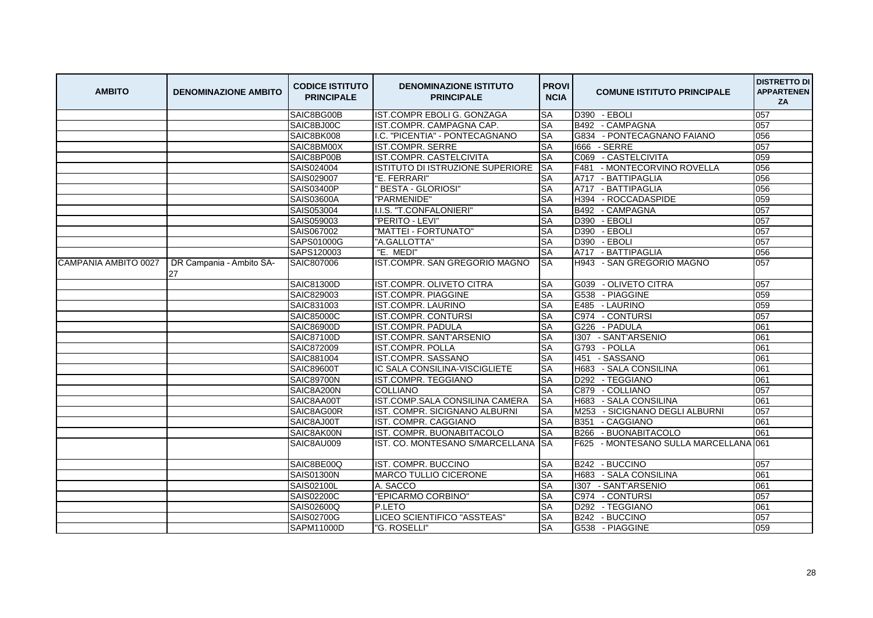| <b>AMBITO</b>        | <b>DENOMINAZIONE AMBITO</b>    | <b>CODICE ISTITUTO</b><br><b>PRINCIPALE</b> | <b>DENOMINAZIONE ISTITUTO</b><br><b>PRINCIPALE</b> | <b>PROVI</b><br><b>NCIA</b> | <b>COMUNE ISTITUTO PRINCIPALE</b>     | <b>DISTRETTO DI</b><br><b>APPARTENEN</b><br>ZA |
|----------------------|--------------------------------|---------------------------------------------|----------------------------------------------------|-----------------------------|---------------------------------------|------------------------------------------------|
|                      |                                | SAIC8BG00B                                  | IST.COMPR EBOLI G. GONZAGA                         | <b>SA</b>                   | D390 - EBOLI                          | 057                                            |
|                      |                                | SAIC8BJ00C                                  | IST.COMPR. CAMPAGNA CAP.                           | <b>SA</b>                   | B492 - CAMPAGNA                       | 057                                            |
|                      |                                | SAIC8BK008                                  | I.C. "PICENTIA" - PONTECAGNANO                     | <b>SA</b>                   | G834 - PONTECAGNANO FAIANO            | 056                                            |
|                      |                                | SAIC8BM00X                                  | <b>IST.COMPR. SERRE</b>                            | <b>SA</b>                   | 1666 - SERRE                          | 057                                            |
|                      |                                | SAIC8BP00B                                  | IST.COMPR. CASTELCIVITA                            | <b>SA</b>                   | C069 - CASTELCIVITA                   | 059                                            |
|                      |                                | SAIS024004                                  | ISTITUTO DI ISTRUZIONE SUPERIORE                   | <b>SA</b>                   | F481<br>- MONTECORVINO ROVELLA        | 056                                            |
|                      |                                | SAIS029007                                  | "E. FERRARI"                                       | <b>SA</b>                   | A717 - BATTIPAGLIA                    | 056                                            |
|                      |                                | SAIS03400P                                  | "BESTA - GLORIOSI"                                 | <b>SA</b>                   | A717<br>- BATTIPAGLIA                 | 056                                            |
|                      |                                | SAIS03600A                                  | "PARMENIDE"                                        | <b>SA</b>                   | H394<br>- ROCCADASPIDE                | 059                                            |
|                      |                                | SAIS053004                                  | I.I.S. "T.CONFALONIERI"                            | <b>SA</b>                   | B492<br>- CAMPAGNA                    | 057                                            |
|                      |                                | SAIS059003                                  | "PERITO - LEVI"                                    | <b>SA</b>                   | D390 - EBOLI                          | 057                                            |
|                      |                                | SAIS067002                                  | "MATTEI - FORTUNATO"                               | <b>SA</b>                   | D390 - EBOLI                          | 057                                            |
|                      |                                | SAPS01000G                                  | "A.GALLOTTA"                                       | <b>SA</b>                   | D390<br>- EBOLI                       | 057                                            |
|                      |                                | SAPS120003                                  | "E. MEDI"                                          | <b>SA</b>                   | A717 - BATTIPAGLIA                    | 056                                            |
| CAMPANIA AMBITO 0027 | DR Campania - Ambito SA-<br>27 | SAIC807006                                  | IST.COMPR. SAN GREGORIO MAGNO                      | <b>SA</b>                   | H943<br>- SAN GREGORIO MAGNO          | 057                                            |
|                      |                                | SAIC81300D                                  | IST.COMPR. OLIVETO CITRA                           | <b>SA</b>                   | - OLIVETO CITRA<br>G039               | 057                                            |
|                      |                                | SAIC829003                                  | IST.COMPR. PIAGGINE                                | <b>SA</b>                   | G538 - PIAGGINE                       | 059                                            |
|                      |                                | SAIC831003                                  | <b>IST.COMPR. LAURINO</b>                          | <b>SA</b>                   | E485 - LAURINO                        | 059                                            |
|                      |                                | SAIC85000C                                  | IST.COMPR. CONTURSI                                | <b>SA</b>                   | C974 - CONTURSI                       | 057                                            |
|                      |                                | SAIC86900D                                  | IST.COMPR. PADULA                                  | <b>SA</b>                   | G226 - PADULA                         | 061                                            |
|                      |                                | SAIC87100D                                  | IST.COMPR. SANT'ARSENIO                            | <b>SA</b>                   | 1307 - SANT'ARSENIO                   | 061                                            |
|                      |                                | SAIC872009                                  | <b>IST.COMPR. POLLA</b>                            | <b>SA</b>                   | G793 - POLLA                          | 061                                            |
|                      |                                | SAIC881004                                  | IST.COMPR. SASSANO                                 | <b>SA</b>                   | - SASSANO<br>1451                     | 061                                            |
|                      |                                | <b>SAIC89600T</b>                           | IC SALA CONSILINA-VISCIGLIETE                      | <b>SA</b>                   | H683 - SALA CONSILINA                 | 061                                            |
|                      |                                | <b>SAIC89700N</b>                           | IST.COMPR. TEGGIANO                                | <b>SA</b>                   | D292 - TEGGIANO                       | 061                                            |
|                      |                                | SAIC8A200N                                  | <b>COLLIANO</b>                                    | <b>SA</b>                   | C879<br>- COLLIANO                    | 057                                            |
|                      |                                | SAIC8AA00T                                  | IST.COMP.SALA CONSILINA CAMERA                     | <b>SA</b>                   | H683 - SALA CONSILINA                 | 061                                            |
|                      |                                | SAIC8AG00R                                  | IST. COMPR. SICIGNANO ALBURNI                      | <b>SA</b>                   | M253 - SICIGNANO DEGLI ALBURNI        | 057                                            |
|                      |                                | SAIC8AJ00T                                  | IST. COMPR. CAGGIANO                               | <b>SA</b>                   | B351 - CAGGIANO                       | 061                                            |
|                      |                                | SAIC8AK00N                                  | IST. COMPR. BUONABITACOLO                          | <b>SA</b>                   | B266 - BUONABITACOLO                  | 061                                            |
|                      |                                | SAIC8AU009                                  | IST. CO. MONTESANO S/MARCELLANA                    | <b>ISA</b>                  | F625 - MONTESANO SULLA MARCELLANA 061 |                                                |
|                      |                                | SAIC8BE00Q                                  | IST. COMPR. BUCCINO                                | <b>SA</b>                   | B242 - BUCCINO                        | 057                                            |
|                      |                                | SAIS01300N                                  | <b>MARCO TULLIO CICERONE</b>                       | <b>SA</b>                   | H683 - SALA CONSILINA                 | 061                                            |
|                      |                                | SAIS02100L                                  | A. SACCO                                           | <b>SA</b>                   | 1307 - SANT'ARSENIO                   | 061                                            |
|                      |                                | SAIS02200C                                  | "EPICARMO CORBINO"                                 | <b>SA</b>                   | C974 - CONTURSI                       | 057                                            |
|                      |                                | SAIS02600Q                                  | P.LETO                                             | <b>SA</b>                   | D <sub>292</sub><br>- TEGGIANO        | 061                                            |
|                      |                                | SAIS02700G                                  | LICEO SCIENTIFICO "ASSTEAS"                        | <b>SA</b>                   | B242 - BUCCINO                        | 057                                            |
|                      |                                | SAPM11000D                                  | "G. ROSELLI"                                       | <b>SA</b>                   | G538 - PIAGGINE                       | 059                                            |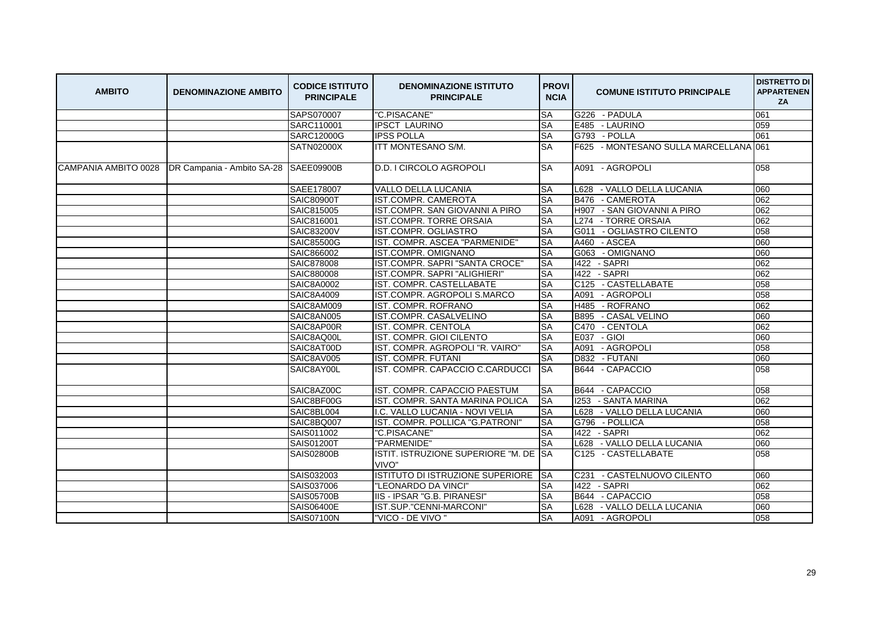| <b>AMBITO</b> | <b>DENOMINAZIONE AMBITO</b>                                    | <b>CODICE ISTITUTO</b><br><b>PRINCIPALE</b> | <b>DENOMINAZIONE ISTITUTO</b><br><b>PRINCIPALE</b> | <b>PROVI</b><br><b>NCIA</b> | <b>COMUNE ISTITUTO PRINCIPALE</b>     | <b>DISTRETTO DI</b><br><b>APPARTENEN</b><br>ZA |
|---------------|----------------------------------------------------------------|---------------------------------------------|----------------------------------------------------|-----------------------------|---------------------------------------|------------------------------------------------|
|               |                                                                | SAPS070007                                  | "C.PISACANE"                                       | <b>SA</b>                   | G226 - PADULA                         | 061                                            |
|               |                                                                | SARC110001                                  | <b>IPSCT LAURINO</b>                               | <b>SA</b>                   | E485 - LAURINO                        | 059                                            |
|               |                                                                | SARC12000G                                  | <b>IPSS POLLA</b>                                  | <b>SA</b>                   | G793 - POLLA                          | 061                                            |
|               |                                                                | <b>SATN02000X</b>                           | ITT MONTESANO S/M.                                 | <b>SA</b>                   | F625 - MONTESANO SULLA MARCELLANA 061 |                                                |
|               | CAMPANIA AMBITO 0028   DR Campania - Ambito SA-28   SAEE09900B |                                             | <b>D.D. I CIRCOLO AGROPOLI</b>                     | <b>SA</b>                   | A091 - AGROPOLI                       | 058                                            |
|               |                                                                | SAEE178007                                  | <b>VALLO DELLA LUCANIA</b>                         | <b>SA</b>                   | L628 - VALLO DELLA LUCANIA            | 060                                            |
|               |                                                                | SAIC80900T                                  | <b>IST.COMPR. CAMEROTA</b>                         | SA                          | B476 - CAMEROTA                       | 062                                            |
|               |                                                                | SAIC815005                                  | IST.COMPR. SAN GIOVANNI A PIRO                     | <b>SA</b>                   | H907 - SAN GIOVANNI A PIRO            | 062                                            |
|               |                                                                | SAIC816001                                  | <b>IST.COMPR. TORRE ORSAIA</b>                     | SA                          | L274 - TORRE ORSAIA                   | 062                                            |
|               |                                                                | <b>SAIC83200V</b>                           | IST.COMPR. OGLIASTRO                               | SA                          | - OGLIASTRO CILENTO<br>G011           | 058                                            |
|               |                                                                | <b>SAIC85500G</b>                           | IST. COMPR. ASCEA "PARMENIDE"                      | <b>SA</b>                   | A460 - ASCEA                          | 060                                            |
|               |                                                                | SAIC866002                                  | <b>IST.COMPR. OMIGNANO</b>                         | <b>SA</b>                   | G063<br>- OMIGNANO                    | 060                                            |
|               |                                                                | SAIC878008                                  | IST.COMPR. SAPRI "SANTA CROCE"                     | <b>SA</b>                   | 1422 - SAPRI                          | 062                                            |
|               |                                                                | SAIC880008                                  | IST.COMPR. SAPRI "ALIGHIERI"                       | <b>SA</b>                   | 1422 - SAPRI                          | 062                                            |
|               |                                                                | <b>SAIC8A0002</b>                           | IST. COMPR. CASTELLABATE                           | <b>SA</b>                   | C125 - CASTELLABATE                   | 058                                            |
|               |                                                                | SAIC8A4009                                  | IST.COMPR. AGROPOLI S.MARCO                        | <b>SA</b>                   | A091<br>- AGROPOLI                    | 058                                            |
|               |                                                                | SAIC8AM009                                  | IST. COMPR. ROFRANO                                | <b>SA</b>                   | H485 - ROFRANO                        | 062                                            |
|               |                                                                | SAIC8AN005                                  | IST.COMPR. CASALVELINO                             | <b>SA</b>                   | <b>B895</b><br>- CASAL VELINO         | 060                                            |
|               |                                                                | SAIC8AP00R                                  | IST. COMPR. CENTOLA                                | <b>SA</b>                   | - CENTOLA<br>C470                     | 062                                            |
|               |                                                                | SAIC8AQ00L                                  | IST. COMPR. GIOI CILENTO                           | <b>SA</b>                   | E037 - GIOI                           | 060                                            |
|               |                                                                | SAIC8AT00D                                  | IST. COMPR. AGROPOLI "R. VAIRO"                    | <b>SA</b>                   | A091 - AGROPOLI                       | 058                                            |
|               |                                                                | SAIC8AV005                                  | IST. COMPR. FUTANI                                 | <b>SA</b>                   | D832 - FUTANI                         | 060                                            |
|               |                                                                | SAIC8AY00L                                  | IST. COMPR. CAPACCIO C.CARDUCCI                    | <b>I</b> SA                 | B644 - CAPACCIO                       | 058                                            |
|               |                                                                | SAIC8AZ00C                                  | IST. COMPR. CAPACCIO PAESTUM                       | <b>SA</b>                   | B644 - CAPACCIO                       | 058                                            |
|               |                                                                | SAIC8BF00G                                  | IST. COMPR. SANTA MARINA POLICA                    | <b>SA</b>                   | - SANTA MARINA<br>1253                | 062                                            |
|               |                                                                | SAIC8BL004                                  | I.C. VALLO LUCANIA - NOVI VELIA                    | <b>SA</b>                   | - VALLO DELLA LUCANIA<br>L628         | 060                                            |
|               |                                                                | SAIC8BQ007                                  | IST. COMPR. POLLICA "G.PATRONI"                    | <b>SA</b>                   | G796 - POLLICA                        | 058                                            |
|               |                                                                | SAIS011002                                  | "C.PISACANE"                                       | <b>SA</b>                   | 1422 - SAPRI                          | 062                                            |
|               |                                                                | SAIS01200T                                  | "PARMENIDE"                                        | <b>SA</b>                   | L628 - VALLO DELLA LUCANIA            | 060                                            |
|               |                                                                | <b>SAIS02800B</b>                           | ISTIT. ISTRUZIONE SUPERIORE "M. DE<br>VIVO"        | <b>SA</b>                   | C125 - CASTELLABATE                   | 058                                            |
|               |                                                                | SAIS032003                                  | ISTITUTO DI ISTRUZIONE SUPERIORE                   | <b>SA</b>                   | C231<br>- CASTELNUOVO CILENTO         | 060                                            |
|               |                                                                | SAIS037006                                  | "LEONARDO DA VINCI"                                | <b>SA</b>                   | 1422 - SAPRI                          | 062                                            |
|               |                                                                | SAIS05700B                                  | IIS - IPSAR "G.B. PIRANESI"                        | <b>SA</b>                   | B644 - CAPACCIO                       | 058                                            |
|               |                                                                | <b>SAIS06400E</b>                           | IST.SUP."CENNI-MARCONI"                            | <b>SA</b>                   | L628 - VALLO DELLA LUCANIA            | 060                                            |
|               |                                                                | SAIS07100N                                  | "VICO - DE VIVO"                                   | <b>SA</b>                   | A091 - AGROPOLI                       | 058                                            |